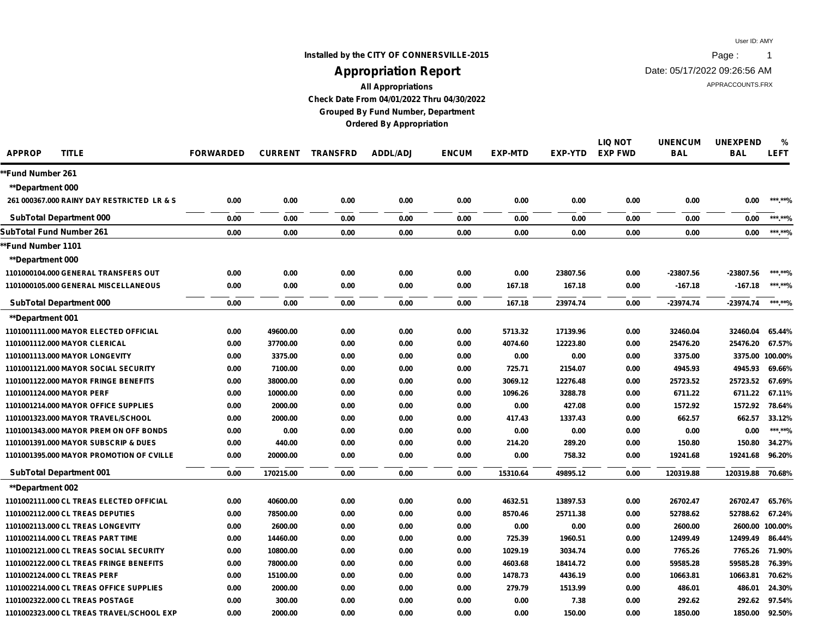## **Installed by the CITY OF CONNERSVILLE-2015 Page :** 1 **Appropriation Report**

Date: 05/17/2022 09:26:56 AM

APPRACCOUNTS.FRX

**All Appropriations Check Date From 04/01/2022 Thru 04/30/2022 Grouped By Fund Number, Department**

**Ordered By Appropriation**

| <b>APPROP</b><br><b>TITLE</b>               | <b>FORWARDED</b> | <b>CURRENT</b> | <b>TRANSFRD</b> | <b>ADDL/ADJ</b> | <b>ENCUM</b> | <b>EXP-MTD</b> | EXP-YTD  | <b>LIQ NOT</b><br><b>EXP FWD</b> | <b>UNENCUM</b><br><b>BAL</b> | <b>UNEXPEND</b><br><b>BAL</b> | %<br><b>LEFT</b> |
|---------------------------------------------|------------------|----------------|-----------------|-----------------|--------------|----------------|----------|----------------------------------|------------------------------|-------------------------------|------------------|
| *Fund Number 261                            |                  |                |                 |                 |              |                |          |                                  |                              |                               |                  |
| <b>**Department 000</b>                     |                  |                |                 |                 |              |                |          |                                  |                              |                               |                  |
| 261 000367,000 RAINY DAY RESTRICTED LR & S  | 0.00             | 0.00           | 0.00            | 0.00            | 0.00         | 0.00           | 0.00     | 0.00                             | 0.00                         | 0.00                          | ***.**%          |
| <b>SubTotal Department 000</b>              | 0.00             | 0.00           | 0.00            | 0.00            | 0.00         | 0.00           | 0.00     | 0.00                             | 0.00                         | 0.00                          | ***.**%          |
| SubTotal Fund Number 261                    | 0.00             | 0.00           | 0.00            | 0.00            | 0.00         | 0.00           | 0.00     | 0.00                             | 0.00                         | 0.00                          | ******%          |
| *Fund Number 1101                           |                  |                |                 |                 |              |                |          |                                  |                              |                               |                  |
| <b>**Department 000</b>                     |                  |                |                 |                 |              |                |          |                                  |                              |                               |                  |
| 1101000104.000 GENERAL TRANSFERS OUT        | 0.00             | 0.00           | 0.00            | 0.00            | 0.00         | 0.00           | 23807.56 | 0.00                             | -23807.56                    | -23807.56                     | ***.**%          |
| 1101000105,000 GENERAL MISCELLANEOUS        | 0.00             | 0.00           | 0.00            | 0.00            | 0.00         | 167.18         | 167.18   | 0.00                             | $-167.18$                    | -167.18                       | ***.**%          |
| <b>SubTotal Department 000</b>              | 0.00             | 0.00           | 0.00            | 0.00            | 0.00         | 167.18         | 23974.74 | 0.00                             | $-23974.74$                  | -23974.74                     | ***.**%          |
| <b>**Department 001</b>                     |                  |                |                 |                 |              |                |          |                                  |                              |                               |                  |
| 1101001111.000 MAYOR ELECTED OFFICIAL       | 0.00             | 49600.00       | 0.00            | 0.00            | 0.00         | 5713.32        | 17139.96 | 0.00                             | 32460.04                     | 32460.04                      | 65.44%           |
| 1101001112.000 MAYOR CLERICAL               | 0.00             | 37700.00       | 0.00            | 0.00            | 0.00         | 4074.60        | 12223.80 | 0.00                             | 25476.20                     | 25476.20                      | 67.57%           |
| 1101001113.000 MAYOR LONGEVITY              | 0.00             | 3375.00        | 0.00            | 0.00            | 0.00         | 0.00           | 0.00     | 0.00                             | 3375.00                      | 3375.00 100.00%               |                  |
| 1101001121.000 MAYOR SOCIAL SECURITY        | 0.00             | 7100.00        | 0.00            | 0.00            | 0.00         | 725.71         | 2154.07  | 0.00                             | 4945.93                      | 4945.93                       | 69.66%           |
| <b>1101001122,000 MAYOR FRINGE BENEFITS</b> | 0.00             | 38000.00       | 0.00            | 0.00            | 0.00         | 3069.12        | 12276.48 | 0.00                             | 25723.52                     | 25723.52                      | 67.69%           |
| 1101001124.000 MAYOR PERF                   | 0.00             | 10000.00       | 0.00            | 0.00            | 0.00         | 1096.26        | 3288.78  | 0.00                             | 6711.22                      | 6711.22                       | 67.11%           |
| 1101001214.000 MAYOR OFFICE SUPPLIES        | 0.00             | 2000.00        | 0.00            | 0.00            | 0.00         | 0.00           | 427.08   | 0.00                             | 1572.92                      | 1572.92                       | 78.64%           |
| 1101001323.000 MAYOR TRAVEL/SCHOOL          | 0.00             | 2000.00        | 0.00            | 0.00            | 0.00         | 417.43         | 1337.43  | 0.00                             | 662.57                       | 662.57                        | 33.12%           |
| 1101001343,000 MAYOR PREM ON OFF BONDS      | 0.00             | 0.00           | 0.00            | 0.00            | 0.00         | 0.00           | 0.00     | 0.00                             | 0.00                         | 0.00                          | ***.**%          |
| 1101001391.000 MAYOR SUBSCRIP & DUES        | 0.00             | 440.00         | 0.00            | 0.00            | 0.00         | 214.20         | 289.20   | 0.00                             | 150.80                       | 150.80                        | 34.27%           |
| 1101001395.000 MAYOR PROMOTION OF CVILLE    | 0.00             | 20000.00       | 0.00            | 0.00            | 0.00         | 0.00           | 758.32   | 0.00                             | 19241.68                     | 19241.68                      | 96.20%           |
| <b>SubTotal Department 001</b>              | 0.00             | 170215.00      | 0.00            | 0.00            | 0.00         | 15310.64       | 49895.12 | 0.00                             | 120319.88                    | 120319.88 70.68%              |                  |
| **Department 002                            |                  |                |                 |                 |              |                |          |                                  |                              |                               |                  |
| 1101002111.000 CL TREAS ELECTED OFFICIAL    | 0.00             | 40600.00       | 0.00            | 0.00            | 0.00         | 4632.51        | 13897.53 | 0.00                             | 26702.47                     | 26702.47                      | 65.76%           |
| 1101002112.000 CL TREAS DEPUTIES            | 0.00             | 78500.00       | 0.00            | 0.00            | 0.00         | 8570.46        | 25711.38 | 0.00                             | 52788.62                     | 52788.62                      | 67.24%           |
| 1101002113.000 CL TREAS LONGEVITY           | 0.00             | 2600.00        | 0.00            | 0.00            | 0.00         | 0.00           | 0.00     | 0.00                             | 2600.00                      | 2600.00 100.00%               |                  |
| 1101002114.000 CL TREAS PART TIME           | 0.00             | 14460.00       | 0.00            | 0.00            | 0.00         | 725.39         | 1960.51  | 0.00                             | 12499.49                     | 12499.49                      | 86.44%           |
| 1101002121.000 CL TREAS SOCIAL SECURITY     | 0.00             | 10800.00       | 0.00            | 0.00            | 0.00         | 1029.19        | 3034.74  | 0.00                             | 7765.26                      | 7765.26                       | 71.90%           |
| 1101002122.000 CL TREAS FRINGE BENEFITS     | 0.00             | 78000.00       | 0.00            | 0.00            | 0.00         | 4603.68        | 18414.72 | 0.00                             | 59585.28                     | 59585.28                      | 76.39%           |
| 1101002124.000 CL TREAS PERF                | 0.00             | 15100.00       | 0.00            | 0.00            | 0.00         | 1478.73        | 4436.19  | 0.00                             | 10663.81                     | 10663.81                      | 70.62%           |
| 1101002214.000 CL TREAS OFFICE SUPPLIES     | 0.00             | 2000.00        | 0.00            | 0.00            | 0.00         | 279.79         | 1513.99  | 0.00                             | 486.01                       | 486.01                        | 24.30%           |
| 1101002322.000 CL TREAS POSTAGE             | 0.00             | 300.00         | 0.00            | 0.00            | 0.00         | 0.00           | 7.38     | 0.00                             | 292.62                       | 292.62                        | 97.54%           |
| 1101002323.000 CL TREAS TRAVEL/SCHOOL EXP   | 0.00             | 2000.00        | 0.00            | 0.00            | 0.00         | 0.00           | 150.00   | 0.00                             | 1850.00                      | 1850.00                       | 92.50%           |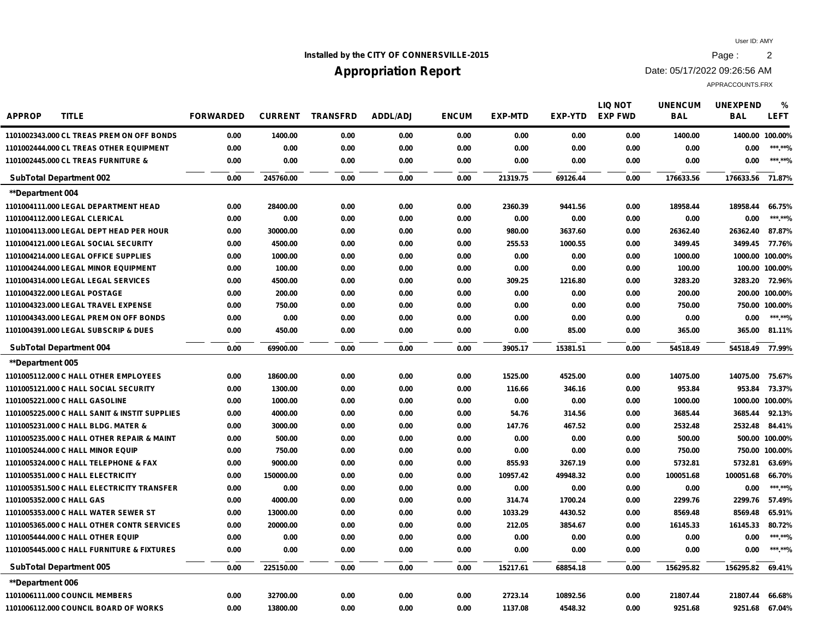## **Installed by the CITY OF CONNERSVILLE-2015 Page :** 2

# **Appropriation Report**

Date: 05/17/2022 09:26:56 AM

| <b>APPROP</b><br><b>TITLE</b>                 | <b>FORWARDED</b> | <b>CURRENT</b> | <b>TRANSFRD</b> | <b>ADDL/ADJ</b> | <b>ENCUM</b> | <b>EXP-MTD</b> | EXP-YTD  | <b>LIQ NOT</b><br><b>EXP FWD</b> | <b>UNENCUM</b><br><b>BAL</b> | <b>UNEXPEND</b><br><b>BAL</b> | $\%$<br><b>LEFT</b> |
|-----------------------------------------------|------------------|----------------|-----------------|-----------------|--------------|----------------|----------|----------------------------------|------------------------------|-------------------------------|---------------------|
| 1101002343.000 CL TREAS PREM ON OFF BONDS     | 0.00             | 1400.00        | 0.00            | 0.00            | 0.00         | 0.00           | 0.00     | 0.00                             | 1400.00                      |                               | 1400.00 100.00%     |
| 1101002444.000 CL TREAS OTHER EQUIPMENT       | 0.00             | 0.00           | 0.00            | 0.00            | 0.00         | 0.00           | 0.00     | 0.00                             | 0.00                         | 0.00                          | ***.**%             |
| 1101002445.000 CL TREAS FURNITURE &           | 0.00             | 0.00           | 0.00            | 0.00            | 0.00         | 0.00           | 0.00     | 0.00                             | 0.00                         | 0.00                          | ***.**%             |
| <b>SubTotal Department 002</b>                | 0.00             | 245760.00      | 0.00            | 0.00            | 0.00         | 21319.75       | 69126.44 | 0.00                             | 176633.56                    | 176633.56 71.87%              |                     |
| **Department 004                              |                  |                |                 |                 |              |                |          |                                  |                              |                               |                     |
| 1101004111.000 LEGAL DEPARTMENT HEAD          | 0.00             | 28400.00       | 0.00            | 0.00            | 0.00         | 2360.39        | 9441.56  | 0.00                             | 18958.44                     | 18958.44                      | 66.75%              |
| 1101004112.000 LEGAL CLERICAL                 | 0.00             | 0.00           | 0.00            | 0.00            | 0.00         | 0.00           | 0.00     | 0.00                             | 0.00                         | 0.00                          | ***.**%             |
| 1101004113,000 LEGAL DEPT HEAD PER HOUR       | 0.00             | 30000.00       | 0.00            | 0.00            | 0.00         | 980.00         | 3637.60  | 0.00                             | 26362.40                     | 26362.40                      | 87.87%              |
| 1101004121.000 LEGAL SOCIAL SECURITY          | 0.00             | 4500.00        | 0.00            | 0.00            | 0.00         | 255.53         | 1000.55  | 0.00                             | 3499.45                      | 3499.45                       | 77.76%              |
| 1101004214.000 LEGAL OFFICE SUPPLIES          | 0.00             | 1000.00        | 0.00            | 0.00            | 0.00         | 0.00           | 0.00     | 0.00                             | 1000.00                      |                               | 1000.00 100.00%     |
| 1101004244.000 LEGAL MINOR EQUIPMENT          | 0.00             | 100.00         | 0.00            | 0.00            | 0.00         | 0.00           | 0.00     | 0.00                             | 100.00                       |                               | 100.00 100.00%      |
| 1101004314.000 LEGAL LEGAL SERVICES           | 0.00             | 4500.00        | 0.00            | 0.00            | 0.00         | 309.25         | 1216.80  | 0.00                             | 3283.20                      | 3283.20                       | 72.96%              |
| 1101004322.000 LEGAL POSTAGE                  | 0.00             | 200.00         | 0.00            | 0.00            | 0.00         | 0.00           | 0.00     | 0.00                             | 200.00                       |                               | 200.00 100.00%      |
| 1101004323.000 LEGAL TRAVEL EXPENSE           | 0.00             | 750.00         | 0.00            | 0.00            | 0.00         | 0.00           | 0.00     | 0.00                             | 750.00                       |                               | 750.00 100.00%      |
| 1101004343,000 LEGAL PREM ON OFF BONDS        | 0.00             | 0.00           | 0.00            | 0.00            | 0.00         | 0.00           | 0.00     | 0.00                             | 0.00                         | 0.00                          | ***.**%             |
| 1101004391.000 LEGAL SUBSCRIP & DUES          | 0.00             | 450.00         | 0.00            | 0.00            | 0.00         | 0.00           | 85.00    | 0.00                             | 365.00                       | 365.00                        | 81.11%              |
| <b>SubTotal Department 004</b>                | 0.00             | 69900.00       | 0.00            | 0.00            | 0.00         | 3905.17        | 15381.51 | 0.00                             | 54518.49                     | 54518.49                      | 77.99%              |
| <b>**Department 005</b>                       |                  |                |                 |                 |              |                |          |                                  |                              |                               |                     |
| 1101005112.000 C HALL OTHER EMPLOYEES         | 0.00             | 18600.00       | 0.00            | 0.00            | 0.00         | 1525.00        | 4525.00  | 0.00                             | 14075.00                     | 14075.00                      | 75.67%              |
| 1101005121.000 C HALL SOCIAL SECURITY         | 0.00             | 1300.00        | 0.00            | 0.00            | 0.00         | 116.66         | 346.16   | 0.00                             | 953.84                       | 953.84                        | 73.37%              |
| 1101005221.000 C HALL GASOLINE                | 0.00             | 1000.00        | 0.00            | 0.00            | 0.00         | 0.00           | 0.00     | 0.00                             | 1000.00                      |                               | 1000.00 100.00%     |
| 1101005225.000 C HALL SANIT & INSTIT SUPPLIES | 0.00             | 4000.00        | 0.00            | 0.00            | 0.00         | 54.76          | 314.56   | 0.00                             | 3685.44                      | 3685.44                       | 92.13%              |
| 1101005231.000 C HALL BLDG. MATER &           | 0.00             | 3000.00        | 0.00            | 0.00            | 0.00         | 147.76         | 467.52   | 0.00                             | 2532.48                      | 2532.48                       | 84.41%              |
| 1101005235.000 C HALL OTHER REPAIR & MAINT    | 0.00             | 500.00         | 0.00            | 0.00            | 0.00         | 0.00           | 0.00     | 0.00                             | 500.00                       |                               | 500.00 100.00%      |
| 1101005244,000 C HALL MINOR EQUIP             | 0.00             | 750.00         | 0.00            | 0.00            | 0.00         | 0.00           | 0.00     | 0.00                             | 750.00                       |                               | 750.00 100.00%      |
| 1101005324.000 C HALL TELEPHONE & FAX         | 0.00             | 9000.00        | 0.00            | 0.00            | 0.00         | 855.93         | 3267.19  | 0.00                             | 5732.81                      | 5732.81                       | 63.69%              |
| 1101005351.000 C HALL ELECTRICITY             | 0.00             | 150000.00      | 0.00            | 0.00            | 0.00         | 10957.42       | 49948.32 | 0.00                             | 100051.68                    | 100051.68                     | 66.70%              |
| 1101005351.500 C HALL ELECTRICITY TRANSFER    | 0.00             | 0.00           | 0.00            | 0.00            | 0.00         | 0.00           | 0.00     | 0.00                             | 0.00                         | 0.00                          | ***.**%             |
| 1101005352.000 C HALL GAS                     | 0.00             | 4000.00        | 0.00            | 0.00            | 0.00         | 314.74         | 1700.24  | 0.00                             | 2299.76                      | 2299.76                       | 57.49%              |
| 1101005353,000 C HALL WATER SEWER ST          | 0.00             | 13000.00       | 0.00            | 0.00            | 0.00         | 1033.29        | 4430.52  | 0.00                             | 8569.48                      | 8569.48                       | 65.91%              |
| 1101005365.000 C HALL OTHER CONTR SERVICES    | 0.00             | 20000.00       | 0.00            | 0.00            | 0.00         | 212.05         | 3854.67  | 0.00                             | 16145.33                     | 16145.33                      | 80.72%              |
| 1101005444.000 C HALL OTHER EQUIP             | 0.00             | 0.00           | 0.00            | 0.00            | 0.00         | 0.00           | 0.00     | 0.00                             | 0.00                         | 0.00                          | ******%             |
| 1101005445.000 C HALL FURNITURE & FIXTURES    | 0.00             | 0.00           | 0.00            | 0.00            | 0.00         | 0.00           | 0.00     | 0.00                             | 0.00                         | 0.00                          | ***.**%             |
| <b>SubTotal Department 005</b>                | 0.00             | 225150.00      | 0.00            | 0.00            | 0.00         | 15217.61       | 68854.18 | 0.00                             | 156295.82                    | 156295.82                     | 69.41%              |
| <b>**Department 006</b>                       |                  |                |                 |                 |              |                |          |                                  |                              |                               |                     |
| 1101006111.000 COUNCIL MEMBERS                | 0.00             | 32700.00       | 0.00            | 0.00            | 0.00         | 2723.14        | 10892.56 | 0.00                             | 21807.44                     | 21807.44                      | 66.68%              |
| 1101006112,000 COUNCIL BOARD OF WORKS         | 0.00             | 13800.00       | 0.00            | 0.00            | 0.00         | 1137.08        | 4548.32  | 0.00                             | 9251.68                      | 9251.68                       | 67.04%              |
|                                               |                  |                |                 |                 |              |                |          |                                  |                              |                               |                     |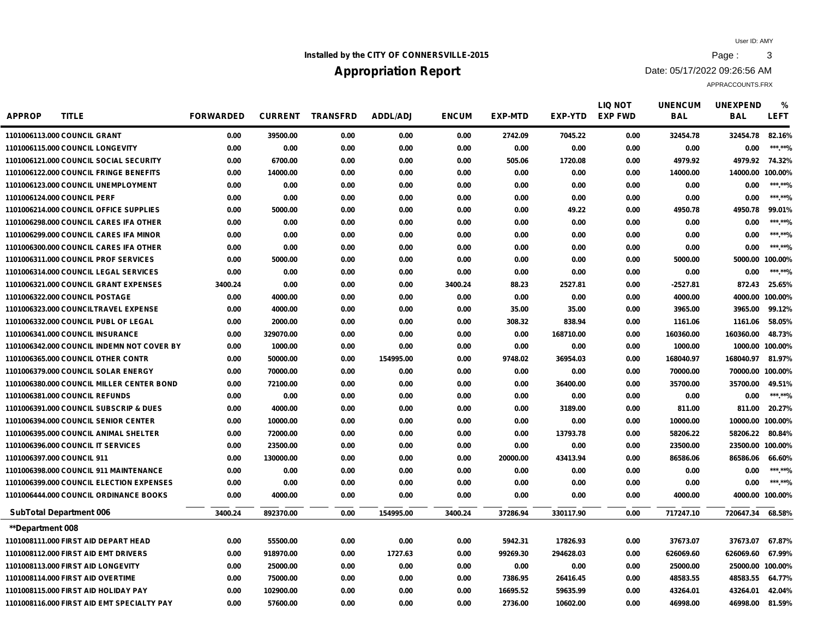## **Installed by the CITY OF CONNERSVILLE-2015 Page :** 3

# **Appropriation Report**

Date: 05/17/2022 09:26:56 AM

| <b>APPROP</b><br><b>TITLE</b>              | <b>FORWARDED</b> | <b>CURRENT</b> | <b>TRANSFRD</b> | <b>ADDL/ADJ</b> | <b>ENCUM</b> | <b>EXP-MTD</b> | <b>EXP-YTD</b> | <b>LIQ NOT</b><br><b>EXP FWD</b> | <b>UNENCUM</b><br><b>BAL</b> | <b>UNEXPEND</b><br><b>BAL</b> | %<br><b>LEFT</b> |
|--------------------------------------------|------------------|----------------|-----------------|-----------------|--------------|----------------|----------------|----------------------------------|------------------------------|-------------------------------|------------------|
| 1101006113.000 COUNCIL GRANT               | 0.00             | 39500.00       | 0.00            | 0.00            | 0.00         | 2742.09        | 7045.22        | 0.00                             | 32454.78                     | 32454.78                      | 82.16%           |
| 1101006115.000 COUNCIL LONGEVITY           | 0.00             | 0.00           | 0.00            | 0.00            | 0.00         | 0.00           | 0.00           | 0.00                             | 0.00                         | 0.00                          | ***.**%          |
| 1101006121.000 COUNCIL SOCIAL SECURITY     | 0.00             | 6700.00        | 0.00            | 0.00            | 0.00         | 505.06         | 1720.08        | 0.00                             | 4979.92                      | 4979.92 74.32%                |                  |
| 1101006122.000 COUNCIL FRINGE BENEFITS     | 0.00             | 14000.00       | 0.00            | 0.00            | 0.00         | 0.00           | 0.00           | 0.00                             | 14000.00                     | 14000.00 100.00%              |                  |
| 1101006123.000 COUNCIL UNEMPLOYMENT        | 0.00             | 0.00           | 0.00            | 0.00            | 0.00         | 0.00           | 0.00           | 0.00                             | 0.00                         | 0.00                          | ***.**%          |
| 1101006124.000 COUNCIL PERF                | 0.00             | 0.00           | 0.00            | 0.00            | 0.00         | 0.00           | 0.00           | 0.00                             | 0.00                         | 0.00                          | ***.**%          |
| 1101006214.000 COUNCIL OFFICE SUPPLIES     | 0.00             | 5000.00        | 0.00            | 0.00            | 0.00         | 0.00           | 49.22          | 0.00                             | 4950.78                      | 4950.78                       | 99.01%           |
| 1101006298.000 COUNCIL CARES IFA OTHER     | 0.00             | 0.00           | 0.00            | 0.00            | 0.00         | 0.00           | 0.00           | 0.00                             | 0.00                         | 0.00                          | ***.**%          |
| 1101006299.000 COUNCIL CARES IFA MINOR     | 0.00             | 0.00           | 0.00            | 0.00            | 0.00         | 0.00           | 0.00           | 0.00                             | 0.00                         | 0.00                          | ***.**%          |
| 1101006300.000 COUNCIL CARES IFA OTHER     | 0.00             | 0.00           | 0.00            | 0.00            | 0.00         | 0.00           | 0.00           | 0.00                             | 0.00                         | 0.00                          | ***.**%          |
| 1101006311.000 COUNCIL PROF SERVICES       | 0.00             | 5000.00        | 0.00            | 0.00            | 0.00         | 0.00           | 0.00           | 0.00                             | 5000.00                      | 5000.00 100.00%               |                  |
| 1101006314.000 COUNCIL LEGAL SERVICES      | 0.00             | 0.00           | 0.00            | 0.00            | 0.00         | 0.00           | 0.00           | 0.00                             | 0.00                         | 0.00                          | ***.**%          |
| 1101006321.000 COUNCIL GRANT EXPENSES      | 3400.24          | 0.00           | 0.00            | 0.00            | 3400.24      | 88.23          | 2527.81        | 0.00                             | $-2527.81$                   | 872.43                        | 25.65%           |
| 1101006322.000 COUNCIL POSTAGE             | 0.00             | 4000.00        | 0.00            | 0.00            | 0.00         | 0.00           | 0.00           | 0.00                             | 4000.00                      | 4000.00 100.00%               |                  |
| 1101006323.000 COUNCILTRAVEL EXPENSE       | 0.00             | 4000.00        | 0.00            | 0.00            | 0.00         | 35.00          | 35.00          | 0.00                             | 3965.00                      | 3965.00                       | 99.12%           |
| 1101006332.000 COUNCIL PUBL OF LEGAL       | 0.00             | 2000.00        | 0.00            | 0.00            | 0.00         | 308.32         | 838.94         | 0.00                             | 1161.06                      | 1161.06                       | 58.05%           |
| <b>1101006341,000 COUNCIL INSURANCE</b>    | 0.00             | 329070.00      | 0.00            | 0.00            | 0.00         | 0.00           | 168710.00      | 0.00                             | 160360.00                    | 160360.00                     | 48.73%           |
| 1101006342.000 COUNCIL INDEMN NOT COVER BY | 0.00             | 1000.00        | 0.00            | 0.00            | 0.00         | 0.00           | 0.00           | 0.00                             | 1000.00                      | 1000.00 100.00%               |                  |
| 1101006365,000 COUNCIL OTHER CONTR         | 0.00             | 50000.00       | 0.00            | 154995.00       | 0.00         | 9748.02        | 36954.03       | 0.00                             | 168040.97                    | 168040.97                     | 81.97%           |
| 1101006379,000 COUNCIL SOLAR ENERGY        | 0.00             | 70000.00       | 0.00            | 0.00            | 0.00         | 0.00           | 0.00           | 0.00                             | 70000.00                     | 70000.00 100.00%              |                  |
| 1101006380,000 COUNCIL MILLER CENTER BOND  | 0.00             | 72100.00       | 0.00            | 0.00            | 0.00         | 0.00           | 36400.00       | 0.00                             | 35700.00                     | 35700.00                      | 49.51%           |
| 1101006381.000 COUNCIL REFUNDS             | 0.00             | 0.00           | 0.00            | 0.00            | 0.00         | 0.00           | 0.00           | 0.00                             | 0.00                         | 0.00                          | ***.**%          |
| 1101006391.000 COUNCIL SUBSCRIP & DUES     | 0.00             | 4000.00        | 0.00            | 0.00            | 0.00         | 0.00           | 3189.00        | 0.00                             | 811.00                       | 811.00                        | 20.27%           |
| 1101006394,000 COUNCIL SENIOR CENTER       | 0.00             | 10000.00       | 0.00            | 0.00            | 0.00         | 0.00           | 0.00           | 0.00                             | 10000.00                     | 10000.00 100.00%              |                  |
| 1101006395.000 COUNCIL ANIMAL SHELTER      | 0.00             | 72000.00       | 0.00            | 0.00            | 0.00         | 0.00           | 13793.78       | 0.00                             | 58206.22                     | 58206.22                      | 80.84%           |
| 1101006396.000 COUNCIL IT SERVICES         | 0.00             | 23500.00       | 0.00            | 0.00            | 0.00         | 0.00           | 0.00           | 0.00                             | 23500.00                     | 23500.00 100.00%              |                  |
| 1101006397.000 COUNCIL 911                 | 0.00             | 130000.00      | 0.00            | 0.00            | 0.00         | 20000.00       | 43413.94       | 0.00                             | 86586.06                     | 86586.06                      | 66.60%           |
| 1101006398.000 COUNCIL 911 MAINTENANCE     | 0.00             | 0.00           | 0.00            | 0.00            | 0.00         | 0.00           | 0.00           | 0.00                             | 0.00                         | 0.00                          | ******%          |
| 1101006399,000 COUNCIL ELECTION EXPENSES   | 0.00             | 0.00           | 0.00            | 0.00            | 0.00         | 0.00           | 0.00           | 0.00                             | 0.00                         | 0.00                          | ***.**%          |
| 1101006444.000 COUNCIL ORDINANCE BOOKS     | 0.00             | 4000.00        | 0.00            | 0.00            | 0.00         | 0.00           | 0.00           | 0.00                             | 4000.00                      | 4000.00 100.00%               |                  |
| <b>SubTotal Department 006</b>             | 3400.24          | 892370.00      | 0.00            | 154995.00       | 3400.24      | 37286.94       | 330117.90      | 0.00                             | 717247.10                    | 720647.34                     | 68.58%           |
| **Department 008                           |                  |                |                 |                 |              |                |                |                                  |                              |                               |                  |
| 1101008111.000 FIRST AID DEPART HEAD       | 0.00             | 55500.00       | 0.00            | 0.00            | 0.00         | 5942.31        | 17826.93       | 0.00                             | 37673.07                     | 37673.07                      | 67.87%           |
| 1101008112,000 FIRST AID EMT DRIVERS       | 0.00             | 918970.00      | 0.00            | 1727.63         | 0.00         | 99269.30       | 294628.03      | 0.00                             | 626069.60                    | 626069.60                     | 67.99%           |
| 1101008113.000 FIRST AID LONGEVITY         | 0.00             | 25000.00       | 0.00            | 0.00            | 0.00         | 0.00           | 0.00           | 0.00                             | 25000.00                     | 25000.00 100.00%              |                  |
| 1101008114.000 FIRST AID OVERTIME          | 0.00             | 75000.00       | 0.00            | 0.00            | 0.00         | 7386.95        | 26416.45       | 0.00                             | 48583.55                     | 48583.55                      | 64.77%           |
| 1101008115,000 FIRST AID HOLIDAY PAY       | 0.00             | 102900.00      | 0.00            | 0.00            | 0.00         | 16695.52       | 59635.99       | 0.00                             | 43264.01                     | 43264.01                      | 42.04%           |
| 1101008116,000 FIRST AID EMT SPECIALTY PAY | 0.00             | 57600.00       | 0.00            | 0.00            | 0.00         | 2736.00        | 10602.00       | 0.00                             | 46998.00                     | 46998.00                      | 81.59%           |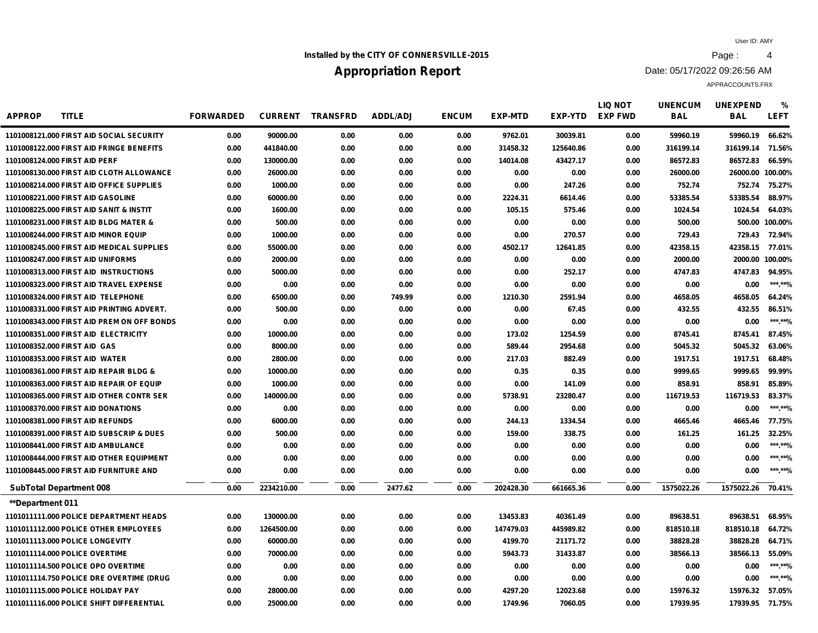## **Installed by the CITY OF CONNERSVILLE-2015 Page : 4**

# **Appropriation Report**

Date: 05/17/2022 09:26:56 AM

| <b>APPROP</b><br><b>TITLE</b>              | <b>FORWARDED</b> | <b>CURRENT</b> | <b>TRANSFRD</b> | <b>ADDL/ADJ</b> | <b>ENCUM</b> | <b>EXP-MTD</b> | <b>EXP-YTD</b> | <b>LIQ NOT</b><br><b>EXP FWD</b> | <b>UNENCUM</b><br><b>BAL</b> | <b>UNEXPEND</b><br><b>BAL</b> | %<br>LEFT      |
|--------------------------------------------|------------------|----------------|-----------------|-----------------|--------------|----------------|----------------|----------------------------------|------------------------------|-------------------------------|----------------|
| 1101008121.000 FIRST AID SOCIAL SECURITY   | 0.00             | 90000.00       | 0.00            | 0.00            | 0.00         | 9762.01        | 30039.81       | 0.00                             | 59960.19                     | 59960.19                      | 66.62%         |
| 1101008122.000 FIRST AID FRINGE BENEFITS   | 0.00             | 441840.00      | 0.00            | 0.00            | 0.00         | 31458.32       | 125640.86      | 0.00                             | 316199.14                    | 316199.14                     | 71.56%         |
| 1101008124.000 FIRST AID PERF              | 0.00             | 130000.00      | 0.00            | 0.00            | 0.00         | 14014.08       | 43427.17       | 0.00                             | 86572.83                     | 86572.83                      | 66.59%         |
| 1101008130.000 FIRST AID CLOTH ALLOWANCE   | 0.00             | 26000.00       | 0.00            | 0.00            | 0.00         | 0.00           | 0.00           | 0.00                             | 26000.00                     | 26000.00 100.00%              |                |
| 1101008214.000 FIRST AID OFFICE SUPPLIES   | 0.00             | 1000.00        | 0.00            | 0.00            | 0.00         | 0.00           | 247.26         | 0.00                             | 752.74                       | 752.74                        | 75.27%         |
| 1101008221.000 FIRST AID GASOLINE          | 0.00             | 60000.00       | 0.00            | 0.00            | 0.00         | 2224.31        | 6614.46        | 0.00                             | 53385.54                     | 53385.54                      | 88.97%         |
| 1101008225.000 FIRST AID SANIT & INSTIT    | 0.00             | 1600.00        | 0.00            | 0.00            | 0.00         | 105.15         | 575.46         | 0.00                             | 1024.54                      | 1024.54                       | 64.03%         |
| 1101008231.000 FIRST AID BLDG MATER &      | 0.00             | 500.00         | 0.00            | 0.00            | 0.00         | 0.00           | 0.00           | 0.00                             | 500.00                       |                               | 500.00 100.00% |
| 1101008244,000 FIRST AID MINOR EQUIP       | 0.00             | 1000.00        | 0.00            | 0.00            | 0.00         | 0.00           | 270.57         | 0.00                             | 729.43                       | 729.43                        | 72.94%         |
| 1101008245,000 FIRST AID MEDICAL SUPPLIES  | 0.00             | 55000.00       | 0.00            | 0.00            | 0.00         | 4502.17        | 12641.85       | 0.00                             | 42358.15                     | 42358.15                      | 77.01%         |
| 1101008247.000 FIRST AID UNIFORMS          | 0.00             | 2000.00        | 0.00            | 0.00            | 0.00         | 0.00           | 0.00           | 0.00                             | 2000.00                      | 2000.00 100.00%               |                |
| 1101008313.000 FIRST AID INSTRUCTIONS      | 0.00             | 5000.00        | 0.00            | 0.00            | 0.00         | 0.00           | 252.17         | 0.00                             | 4747.83                      | 4747.83                       | 94.95%         |
| 1101008323.000 FIRST AID TRAVEL EXPENSE    | 0.00             | 0.00           | 0.00            | 0.00            | 0.00         | 0.00           | 0.00           | 0.00                             | 0.00                         | 0.00                          | ***.**%        |
| 1101008324.000 FIRST AID TELEPHONE         | 0.00             | 6500.00        | 0.00            | 749.99          | 0.00         | 1210.30        | 2591.94        | 0.00                             | 4658.05                      | 4658.05                       | 64.24%         |
| 1101008331.000 FIRST AID PRINTING ADVERT.  | 0.00             | 500.00         | 0.00            | 0.00            | 0.00         | 0.00           | 67.45          | 0.00                             | 432.55                       | 432.55                        | 86.51%         |
| 1101008343,000 FIRST AID PREM ON OFF BONDS | 0.00             | 0.00           | 0.00            | 0.00            | 0.00         | 0.00           | 0.00           | 0.00                             | 0.00                         | 0.00                          | ***.**%        |
| 1101008351.000 FIRST AID ELECTRICITY       | 0.00             | 10000.00       | 0.00            | 0.00            | 0.00         | 173.02         | 1254.59        | 0.00                             | 8745.41                      | 8745.41                       | 87.45%         |
| 1101008352.000 FIRST AID GAS               | 0.00             | 8000.00        | 0.00            | 0.00            | 0.00         | 589.44         | 2954.68        | 0.00                             | 5045.32                      | 5045.32                       | 63.06%         |
| 1101008353.000 FIRST AID WATER             | 0.00             | 2800.00        | 0.00            | 0.00            | 0.00         | 217.03         | 882.49         | 0.00                             | 1917.51                      | 1917.51                       | 68.48%         |
| 1101008361.000 FIRST AID REPAIR BLDG &     | 0.00             | 10000.00       | 0.00            | 0.00            | 0.00         | 0.35           | 0.35           | 0.00                             | 9999.65                      | 9999.65                       | 99.99%         |
| 1101008363.000 FIRST AID REPAIR OF EQUIP   | 0.00             | 1000.00        | 0.00            | 0.00            | 0.00         | 0.00           | 141.09         | 0.00                             | 858.91                       | 858.91                        | 85.89%         |
| 1101008365.000 FIRST AID OTHER CONTR SER   | 0.00             | 140000.00      | 0.00            | 0.00            | 0.00         | 5738.91        | 23280.47       | 0.00                             | 116719.53                    | 116719.53                     | 83.37%         |
| 1101008370,000 FIRST AID DONATIONS         | 0.00             | 0.00           | 0.00            | 0.00            | 0.00         | 0.00           | 0.00           | 0.00                             | 0.00                         | 0.00                          | ***.**%        |
| 1101008381.000 FIRST AID REFUNDS           | 0.00             | 6000.00        | 0.00            | 0.00            | 0.00         | 244.13         | 1334.54        | 0.00                             | 4665.46                      | 4665.46                       | 77.75%         |
| 1101008391.000 FIRST AID SUBSCRIP & DUES   | 0.00             | 500.00         | 0.00            | 0.00            | 0.00         | 159.00         | 338.75         | 0.00                             | 161.25                       | 161.25                        | 32.25%         |
| 1101008441.000 FIRST AID AMBULANCE         | 0.00             | 0.00           | 0.00            | 0.00            | 0.00         | 0.00           | 0.00           | 0.00                             | 0.00                         | 0.00                          | ***.**%        |
| 1101008444.000 FIRST AID OTHER EQUIPMENT   | 0.00             | 0.00           | 0.00            | 0.00            | 0.00         | 0.00           | 0.00           | 0.00                             | 0.00                         | 0.00                          | ***.**%        |
| 1101008445.000 FIRST AID FURNITURE AND     | 0.00             | 0.00           | 0.00            | 0.00            | 0.00         | 0.00           | 0.00           | 0.00                             | 0.00                         | 0.00                          | ******%        |
| <b>SubTotal Department 008</b>             | 0.00             | 2234210.00     | 0.00            | 2477.62         | 0.00         | 202428.30      | 661665.36      | 0.00                             | 1575022.26                   | 1575022.26 70.41%             |                |
| <b>**Department 011</b>                    |                  |                |                 |                 |              |                |                |                                  |                              |                               |                |
| 1101011111.000 POLICE DEPARTMENT HEADS     | 0.00             | 130000.00      | 0.00            | 0.00            | 0.00         | 13453.83       | 40361.49       | 0.00                             | 89638.51                     | 89638.51                      | 68.95%         |
| 1101011112.000 POLICE OTHER EMPLOYEES      | 0.00             | 1264500.00     | 0.00            | 0.00            | 0.00         | 147479.03      | 445989.82      | 0.00                             | 818510.18                    | 818510.18                     | 64.72%         |
| 1101011113,000 POLICE LONGEVITY            | 0.00             | 60000.00       | 0.00            | 0.00            | 0.00         | 4199.70        | 21171.72       | 0.00                             | 38828.28                     | 38828.28                      | 64.71%         |
| 1101011114.000 POLICE OVERTIME             | 0.00             | 70000.00       | 0.00            | 0.00            | 0.00         | 5943.73        | 31433.87       | 0.00                             | 38566.13                     | 38566.13                      | 55.09%         |
| 1101011114.500 POLICE OPO OVERTIME         | 0.00             | 0.00           | 0.00            | 0.00            | 0.00         | 0.00           | 0.00           | 0.00                             | 0.00                         | 0.00                          | *** **%        |
| 1101011114.750 POLICE DRE OVERTIME (DRUG   | 0.00             | 0.00           | 0.00            | 0.00            | 0.00         | 0.00           | 0.00           | 0.00                             | 0.00                         | 0.00                          | ***.**%        |
| 1101011115,000 POLICE HOLIDAY PAY          | 0.00             | 28000.00       | 0.00            | 0.00            | 0.00         | 4297.20        | 12023.68       | 0.00                             | 15976.32                     | 15976.32                      | 57.05%         |
| 1101011116,000 POLICE SHIFT DIFFERENTIAL   | 0.00             | 25000.00       | 0.00            | 0.00            | 0.00         | 1749.96        | 7060.05        | 0.00                             | 17939.95                     | 17939.95 71.75%               |                |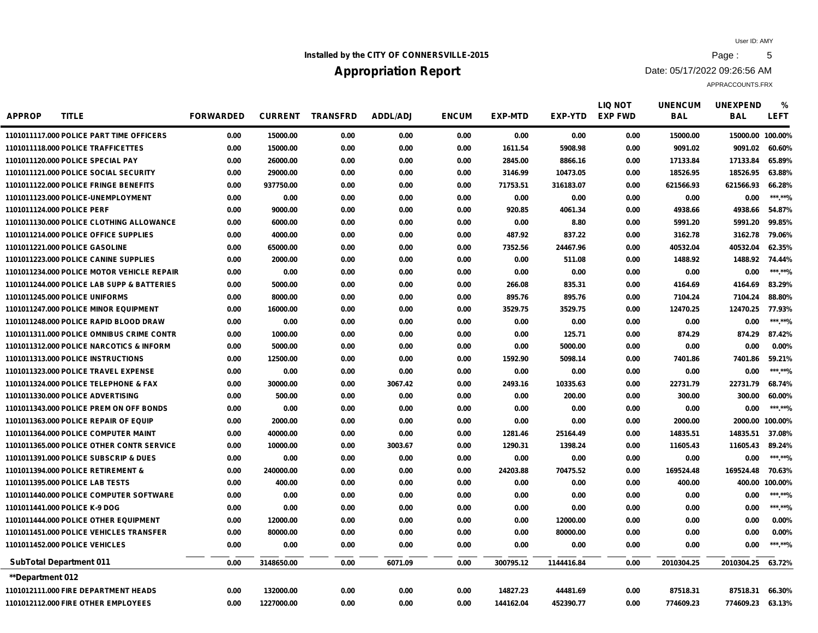## **Installed by the CITY OF CONNERSVILLE-2015 Page : 5**

# **Appropriation Report**

Date: 05/17/2022 09:26:56 AM

| <b>APPROP</b><br><b>TITLE</b>              | <b>FORWARDED</b> | <b>CURRENT</b> | <b>TRANSFRD</b> | ADDL/ADJ | <b>ENCUM</b> | <b>EXP-MTD</b> | EXP-YTD    | <b>LIQ NOT</b><br><b>EXP FWD</b> | <b>UNENCUM</b><br><b>BAL</b> | <b>UNEXPEND</b><br><b>BAL</b> | %<br><b>LEFT</b> |
|--------------------------------------------|------------------|----------------|-----------------|----------|--------------|----------------|------------|----------------------------------|------------------------------|-------------------------------|------------------|
| 1101011117.000 POLICE PART TIME OFFICERS   | 0.00             | 15000.00       | 0.00            | 0.00     | 0.00         | 0.00           | 0.00       | 0.00                             | 15000.00                     | 15000.00 100.00%              |                  |
| 1101011118.000 POLICE TRAFFICETTES         | 0.00             | 15000.00       | 0.00            | 0.00     | 0.00         | 1611.54        | 5908.98    | 0.00                             | 9091.02                      | 9091.02                       | 60.60%           |
| 1101011120.000 POLICE SPECIAL PAY          | 0.00             | 26000.00       | 0.00            | 0.00     | 0.00         | 2845.00        | 8866.16    | 0.00                             | 17133.84                     | 17133.84                      | 65.89%           |
| 1101011121.000 POLICE SOCIAL SECURITY      | 0.00             | 29000.00       | 0.00            | 0.00     | 0.00         | 3146.99        | 10473.05   | 0.00                             | 18526.95                     | 18526.95                      | 63.88%           |
| 1101011122.000 POLICE FRINGE BENEFITS      | 0.00             | 937750.00      | 0.00            | 0.00     | 0.00         | 71753.51       | 316183.07  | 0.00                             | 621566.93                    | 621566.93                     | 66.28%           |
| 1101011123.000 POLICE-UNEMPLOYMENT         | 0.00             | 0.00           | 0.00            | 0.00     | 0.00         | 0.00           | 0.00       | 0.00                             | 0.00                         | 0.00                          | ***.**%          |
| 1101011124.000 POLICE PERF                 | 0.00             | 9000.00        | 0.00            | 0.00     | 0.00         | 920.85         | 4061.34    | 0.00                             | 4938.66                      | 4938.66                       | 54.87%           |
| 1101011130.000 POLICE CLOTHING ALLOWANCE   | 0.00             | 6000.00        | 0.00            | 0.00     | 0.00         | 0.00           | 8.80       | 0.00                             | 5991.20                      | 5991.20                       | 99.85%           |
| 1101011214.000 POLICE OFFICE SUPPLIES      | 0.00             | 4000.00        | 0.00            | 0.00     | 0.00         | 487.92         | 837.22     | 0.00                             | 3162.78                      | 3162.78                       | 79.06%           |
| 1101011221.000 POLICE GASOLINE             | 0.00             | 65000.00       | 0.00            | 0.00     | 0.00         | 7352.56        | 24467.96   | 0.00                             | 40532.04                     | 40532.04                      | 62.35%           |
| 1101011223,000 POLICE CANINE SUPPLIES      | 0.00             | 2000.00        | 0.00            | 0.00     | 0.00         | 0.00           | 511.08     | 0.00                             | 1488.92                      | 1488.92 74.44%                |                  |
| 1101011234.000 POLICE MOTOR VEHICLE REPAIR | 0.00             | 0.00           | 0.00            | 0.00     | 0.00         | 0.00           | 0.00       | 0.00                             | 0.00                         | 0.00                          | ***.**%          |
| 1101011244.000 POLICE LAB SUPP & BATTERIES | 0.00             | 5000.00        | 0.00            | 0.00     | 0.00         | 266.08         | 835.31     | 0.00                             | 4164.69                      | 4164.69                       | 83.29%           |
| 1101011245,000 POLICE UNIFORMS             | 0.00             | 8000.00        | 0.00            | 0.00     | 0.00         | 895.76         | 895.76     | 0.00                             | 7104.24                      | 7104.24                       | 88.80%           |
| 1101011247,000 POLICE MINOR EQUIPMENT      | 0.00             | 16000.00       | 0.00            | 0.00     | 0.00         | 3529.75        | 3529.75    | 0.00                             | 12470.25                     | 12470.25                      | 77.93%           |
| 1101011248,000 POLICE RAPID BLOOD DRAW     | 0.00             | 0.00           | 0.00            | 0.00     | 0.00         | 0.00           | 0.00       | 0.00                             | 0.00                         | 0.00                          | ******%          |
| 1101011311,000 POLICE OMNIBUS CRIME CONTR  | 0.00             | 1000.00        | 0.00            | 0.00     | 0.00         | 0.00           | 125.71     | 0.00                             | 874.29                       | 874.29                        | 87.42%           |
| 1101011312.000 POLICE NARCOTICS & INFORM   | 0.00             | 5000.00        | 0.00            | 0.00     | 0.00         | 0.00           | 5000.00    | 0.00                             | 0.00                         | 0.00                          | 0.00%            |
| 1101011313,000 POLICE INSTRUCTIONS         | 0.00             | 12500.00       | 0.00            | 0.00     | 0.00         | 1592.90        | 5098.14    | 0.00                             | 7401.86                      | 7401.86                       | 59.21%           |
| 1101011323.000 POLICE TRAVEL EXPENSE       | 0.00             | 0.00           | 0.00            | 0.00     | 0.00         | 0.00           | 0.00       | 0.00                             | 0.00                         | 0.00                          | ***.**%          |
| 1101011324.000 POLICE TELEPHONE & FAX      | 0.00             | 30000.00       | 0.00            | 3067.42  | 0.00         | 2493.16        | 10335.63   | 0.00                             | 22731.79                     | 22731.79                      | 68.74%           |
| 1101011330,000 POLICE ADVERTISING          | 0.00             | 500.00         | 0.00            | 0.00     | 0.00         | 0.00           | 200.00     | 0.00                             | 300.00                       | 300.00                        | 60.00%           |
| 1101011343.000 POLICE PREM ON OFF BONDS    | 0.00             | 0.00           | 0.00            | 0.00     | 0.00         | 0.00           | 0.00       | 0.00                             | 0.00                         | 0.00                          | ***.**%          |
| 1101011363.000 POLICE REPAIR OF EQUIP      | 0.00             | 2000.00        | 0.00            | 0.00     | 0.00         | 0.00           | 0.00       | 0.00                             | 2000.00                      | 2000.00 100.00%               |                  |
| 1101011364.000 POLICE COMPUTER MAINT       | 0.00             | 40000.00       | 0.00            | 0.00     | 0.00         | 1281.46        | 25164.49   | 0.00                             | 14835.51                     | 14835.51                      | 37.08%           |
| 1101011365,000 POLICE OTHER CONTR SERVICE  | 0.00             | 10000.00       | 0.00            | 3003.67  | 0.00         | 1290.31        | 1398.24    | 0.00                             | 11605.43                     | 11605.43                      | 89.24%           |
| 1101011391.000 POLICE SUBSCRIP & DUES      | 0.00             | 0.00           | 0.00            | 0.00     | 0.00         | 0.00           | 0.00       | 0.00                             | 0.00                         | 0.00                          | ******%          |
| 1101011394.000 POLICE RETIREMENT &         | 0.00             | 240000.00      | 0.00            | 0.00     | 0.00         | 24203.88       | 70475.52   | 0.00                             | 169524.48                    | 169524.48                     | 70.63%           |
| 1101011395.000 POLICE LAB TESTS            | 0.00             | 400.00         | 0.00            | 0.00     | 0.00         | 0.00           | 0.00       | 0.00                             | 400.00                       |                               | 400.00 100.00%   |
| 1101011440.000 POLICE COMPUTER SOFTWARE    | 0.00             | 0.00           | 0.00            | 0.00     | 0.00         | 0.00           | 0.00       | 0.00                             | 0.00                         | 0.00                          | ***.**%          |
| 1101011441.000 POLICE K-9 DOG              | 0.00             | 0.00           | 0.00            | 0.00     | 0.00         | 0.00           | 0.00       | 0.00                             | 0.00                         | 0.00                          | ***.**%          |
| 1101011444.000 POLICE OTHER EQUIPMENT      | 0.00             | 12000.00       | 0.00            | 0.00     | 0.00         | 0.00           | 12000.00   | 0.00                             | 0.00                         | 0.00                          | 0.00%            |
| 1101011451.000 POLICE VEHICLES TRANSFER    | 0.00             | 80000.00       | 0.00            | 0.00     | 0.00         | 0.00           | 80000.00   | 0.00                             | 0.00                         | 0.00                          | 0.00%            |
| 1101011452.000 POLICE VEHICLES             | 0.00             | 0.00           | 0.00            | 0.00     | 0.00         | 0.00           | 0.00       | 0.00                             | 0.00                         | 0.00                          | ***.**%          |
| <b>SubTotal Department 011</b>             | 0.00             | 3148650.00     | 0.00            | 6071.09  | 0.00         | 300795.12      | 1144416.84 | 0.00                             | 2010304.25                   | 2010304.25                    | 63.72%           |
| <b>**Department 012</b>                    |                  |                |                 |          |              |                |            |                                  |                              |                               |                  |
| 1101012111.000 FIRE DEPARTMENT HEADS       | 0.00             | 132000.00      | 0.00            | 0.00     | 0.00         | 14827.23       | 44481.69   | 0.00                             | 87518.31                     | 87518.31                      | 66.30%           |
| 1101012112.000 FIRE OTHER EMPLOYEES        | 0.00             | 1227000.00     | 0.00            | 0.00     | 0.00         | 144162.04      | 452390.77  | 0.00                             | 774609.23                    | 774609.23                     | 63.13%           |
|                                            |                  |                |                 |          |              |                |            |                                  |                              |                               |                  |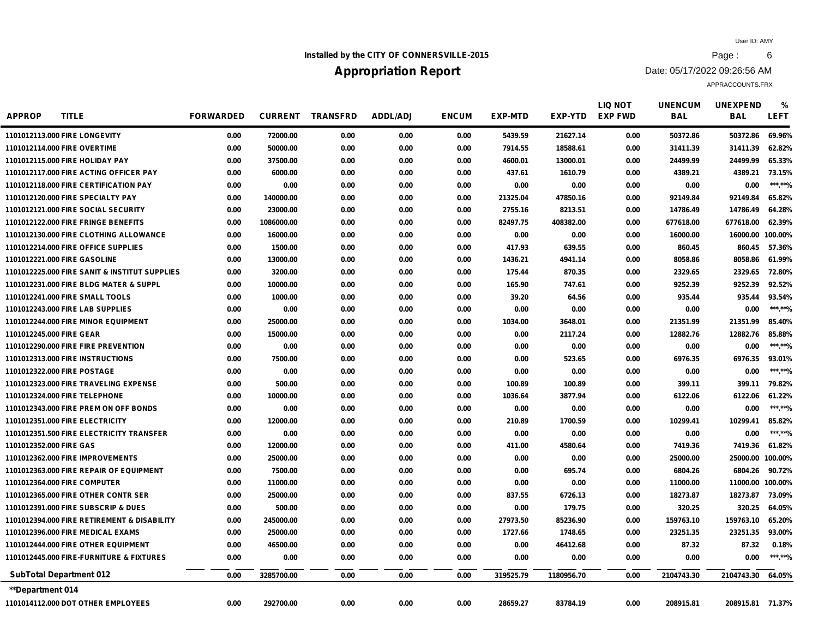## **Installed by the CITY OF CONNERSVILLE-2015 Page :** 6

# **Appropriation Report**

Date: 05/17/2022 09:26:56 AM

| <b>APPROP</b>            | <b>TITLE</b>                                  | <b>FORWARDED</b> | <b>CURRENT</b> | <b>TRANSFRD</b> | <b>ADDL/ADJ</b> | <b>ENCUM</b> | <b>EXP-MTD</b> | <b>EXP-YTD</b> | <b>LIQ NOT</b><br><b>EXP FWD</b> | <b>UNENCUM</b><br><b>BAL</b> | <b>UNEXPEND</b><br><b>BAL</b> | %<br><b>LEFT</b> |
|--------------------------|-----------------------------------------------|------------------|----------------|-----------------|-----------------|--------------|----------------|----------------|----------------------------------|------------------------------|-------------------------------|------------------|
|                          | 1101012113.000 FIRE LONGEVITY                 | 0.00             | 72000.00       | 0.00            | 0.00            | 0.00         | 5439.59        | 21627.14       | 0.00                             | 50372.86                     | 50372.86                      | 69.96%           |
|                          | 1101012114.000 FIRE OVERTIME                  | 0.00             | 50000.00       | 0.00            | 0.00            | 0.00         | 7914.55        | 18588.61       | 0.00                             | 31411.39                     | 31411.39                      | 62.82%           |
|                          | 1101012115,000 FIRE HOLIDAY PAY               | 0.00             | 37500.00       | 0.00            | 0.00            | 0.00         | 4600.01        | 13000.01       | 0.00                             | 24499.99                     | 24499.99                      | 65.33%           |
|                          | 1101012117,000 FIRE ACTING OFFICER PAY        | 0.00             | 6000.00        | 0.00            | 0.00            | 0.00         | 437.61         | 1610.79        | 0.00                             | 4389.21                      | 4389.21                       | 73.15%           |
|                          | 1101012118.000 FIRE CERTIFICATION PAY         | 0.00             | 0.00           | 0.00            | 0.00            | 0.00         | 0.00           | 0.00           | 0.00                             | 0.00                         | 0.00                          | ***.**%          |
|                          | 1101012120.000 FIRE SPECIALTY PAY             | 0.00             | 140000.00      | 0.00            | 0.00            | 0.00         | 21325.04       | 47850.16       | 0.00                             | 92149.84                     | 92149.84                      | 65.82%           |
|                          | 1101012121.000 FIRE SOCIAL SECURITY           | 0.00             | 23000.00       | 0.00            | 0.00            | 0.00         | 2755.16        | 8213.51        | 0.00                             | 14786.49                     | 14786.49                      | 64.28%           |
|                          | 1101012122.000 FIRE FRINGE BENEFITS           | 0.00             | 1086000.00     | 0.00            | 0.00            | 0.00         | 82497.75       | 408382.00      | 0.00                             | 677618.00                    | 677618.00                     | 62.39%           |
|                          | 1101012130.000 FIRE CLOTHING ALLOWANCE        | 0.00             | 16000.00       | 0.00            | 0.00            | 0.00         | 0.00           | 0.00           | 0.00                             | 16000.00                     | 16000.00 100.00%              |                  |
|                          | 1101012214.000 FIRE OFFICE SUPPLIES           | 0.00             | 1500.00        | 0.00            | 0.00            | 0.00         | 417.93         | 639.55         | 0.00                             | 860.45                       | 860.45                        | 57.36%           |
|                          | 1101012221.000 FIRE GASOLINE                  | 0.00             | 13000.00       | 0.00            | 0.00            | 0.00         | 1436.21        | 4941.14        | 0.00                             | 8058.86                      | 8058.86                       | 61.99%           |
|                          | 1101012225,000 FIRE SANIT & INSTITUT SUPPLIES | 0.00             | 3200.00        | 0.00            | 0.00            | 0.00         | 175.44         | 870.35         | 0.00                             | 2329.65                      | 2329.65                       | 72.80%           |
|                          | 1101012231.000 FIRE BLDG MATER & SUPPL        | 0.00             | 10000.00       | 0.00            | 0.00            | 0.00         | 165.90         | 747.61         | 0.00                             | 9252.39                      | 9252.39                       | 92.52%           |
|                          | 1101012241.000 FIRE SMALL TOOLS               | 0.00             | 1000.00        | 0.00            | 0.00            | 0.00         | 39.20          | 64.56          | 0.00                             | 935.44                       | 935.44                        | 93.54%           |
|                          | 1101012243.000 FIRE LAB SUPPLIES              | 0.00             | 0.00           | 0.00            | 0.00            | 0.00         | 0.00           | 0.00           | 0.00                             | 0.00                         | 0.00                          | ***.**%          |
|                          | 1101012244.000 FIRE MINOR EQUIPMENT           | 0.00             | 25000.00       | 0.00            | 0.00            | 0.00         | 1034.00        | 3648.01        | 0.00                             | 21351.99                     | 21351.99                      | 85.40%           |
| 1101012245.000 FIRE GEAR |                                               | 0.00             | 15000.00       | 0.00            | 0.00            | 0.00         | 0.00           | 2117.24        | 0.00                             | 12882.76                     | 12882.76                      | 85.88%           |
|                          | 1101012290,000 FIRE FIRE PREVENTION           | 0.00             | 0.00           | 0.00            | 0.00            | 0.00         | 0.00           | 0.00           | 0.00                             | 0.00                         | 0.00                          | ***.**%          |
|                          | <b>1101012313,000 FIRE INSTRUCTIONS</b>       | 0.00             | 7500.00        | 0.00            | 0.00            | 0.00         | 0.00           | 523.65         | 0.00                             | 6976.35                      | 6976.35                       | 93.01%           |
|                          | 1101012322.000 FIRE POSTAGE                   | 0.00             | 0.00           | 0.00            | 0.00            | 0.00         | 0.00           | 0.00           | 0.00                             | 0.00                         | 0.00                          | ***.**%          |
|                          | 1101012323.000 FIRE TRAVELING EXPENSE         | 0.00             | 500.00         | 0.00            | 0.00            | 0.00         | 100.89         | 100.89         | 0.00                             | 399.11                       | 399.11                        | 79.82%           |
|                          | 1101012324.000 FIRE TELEPHONE                 | 0.00             | 10000.00       | 0.00            | 0.00            | 0.00         | 1036.64        | 3877.94        | 0.00                             | 6122.06                      | 6122.06                       | 61.22%           |
|                          | 1101012343,000 FIRE PREM ON OFF BONDS         | 0.00             | 0.00           | 0.00            | 0.00            | 0.00         | 0.00           | 0.00           | 0.00                             | 0.00                         | 0.00                          | ***.**%          |
|                          | 1101012351.000 FIRE ELECTRICITY               | 0.00             | 12000.00       | 0.00            | 0.00            | 0.00         | 210.89         | 1700.59        | 0.00                             | 10299.41                     | 10299.41                      | 85.82%           |
|                          | 1101012351.500 FIRE ELECTRICITY TRANSFER      | 0.00             | 0.00           | 0.00            | 0.00            | 0.00         | 0.00           | 0.00           | 0.00                             | 0.00                         | 0.00                          | ***.**%          |
| 1101012352.000 FIRE GAS  |                                               | 0.00             | 12000.00       | 0.00            | 0.00            | 0.00         | 411.00         | 4580.64        | 0.00                             | 7419.36                      | 7419.36                       | 61.82%           |
|                          | 1101012362.000 FIRE IMPROVEMENTS              | 0.00             | 25000.00       | 0.00            | 0.00            | 0.00         | 0.00           | 0.00           | 0.00                             | 25000.00                     | 25000.00 100.00%              |                  |
|                          | 1101012363,000 FIRE REPAIR OF EQUIPMENT       | 0.00             | 7500.00        | 0.00            | 0.00            | 0.00         | 0.00           | 695.74         | 0.00                             | 6804.26                      | 6804.26                       | 90.72%           |
|                          | 1101012364.000 FIRE COMPUTER                  | 0.00             | 11000.00       | 0.00            | 0.00            | 0.00         | 0.00           | 0.00           | 0.00                             | 11000.00                     | 11000.00 100.00%              |                  |
|                          | 1101012365,000 FIRE OTHER CONTR SER           | 0.00             | 25000.00       | 0.00            | 0.00            | 0.00         | 837.55         | 6726.13        | 0.00                             | 18273.87                     | 18273.87                      | 73.09%           |
|                          | 1101012391.000 FIRE SUBSCRIP & DUES           | 0.00             | 500.00         | 0.00            | 0.00            | 0.00         | 0.00           | 179.75         | 0.00                             | 320.25                       | 320.25                        | 64.05%           |
|                          | 1101012394.000 FIRE RETIREMENT & DISABILITY   | 0.00             | 245000.00      | 0.00            | 0.00            | 0.00         | 27973.50       | 85236.90       | 0.00                             | 159763.10                    | 159763.10                     | 65.20%           |
|                          | 1101012396,000 FIRE MEDICAL EXAMS             | 0.00             | 25000.00       | 0.00            | 0.00            | 0.00         | 1727.66        | 1748.65        | 0.00                             | 23251.35                     | 23251.35                      | 93.00%           |
|                          | 1101012444.000 FIRE OTHER EQUIPMENT           | 0.00             | 46500.00       | 0.00            | 0.00            | 0.00         | 0.00           | 46412.68       | 0.00                             | 87.32                        | 87.32                         | 0.18%            |
|                          | 1101012445.000 FIRE-FURNITURE & FIXTURES      | 0.00             | 0.00           | 0.00            | 0.00            | 0.00         | 0.00           | 0.00           | 0.00                             | 0.00                         | 0.00                          | ***.**%          |
|                          | <b>SubTotal Department 012</b>                | 0.00             | 3285700.00     | 0.00            | 0.00            | 0.00         | 319525.79      | 1180956.70     | 0.00                             | 2104743.30                   | 2104743.30                    | 64.05%           |
| <b>**Department 014</b>  |                                               |                  |                |                 |                 |              |                |                |                                  |                              |                               |                  |
|                          | 1101014112,000 DOT OTHER EMPLOYEES            | 0.00             | 292700.00      | 0.00            | 0.00            | 0.00         | 28659.27       | 83784.19       | 0.00                             | 208915.81                    | 208915.81 71.37%              |                  |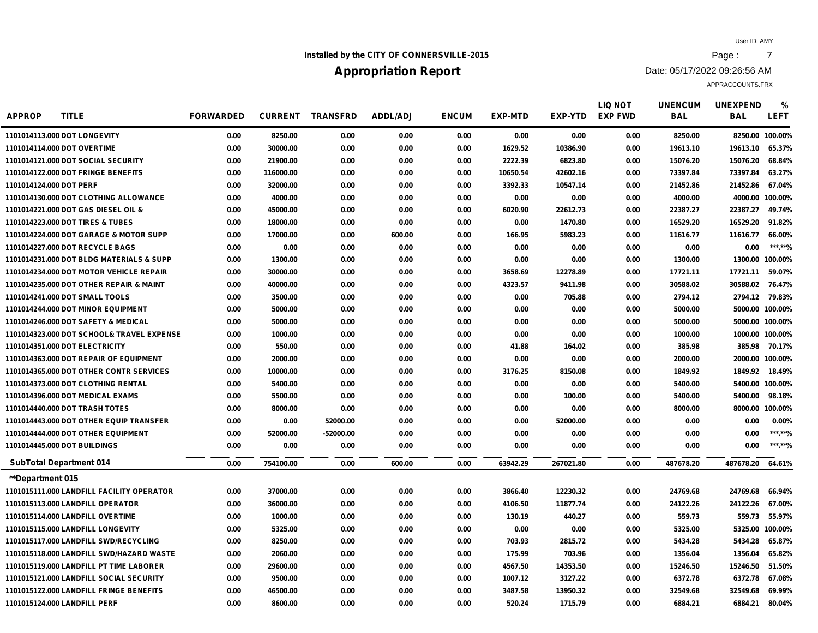## **Installed by the CITY OF CONNERSVILLE-2015 Page :** 7

# **Appropriation Report**

Date: 05/17/2022 09:26:56 AM

| <b>APPROP</b><br><b>TITLE</b>             | <b>FORWARDED</b> | <b>CURRENT</b> | <b>TRANSFRD</b> | <b>ADDL/ADJ</b> | <b>ENCUM</b> | <b>EXP-MTD</b> | EXP-YTD   | <b>LIQ NOT</b><br><b>EXP FWD</b> | <b>UNENCUM</b><br><b>BAL</b> | <b>UNEXPEND</b><br><b>BAL</b> | %<br><b>LEFT</b> |
|-------------------------------------------|------------------|----------------|-----------------|-----------------|--------------|----------------|-----------|----------------------------------|------------------------------|-------------------------------|------------------|
| 1101014113.000 DOT LONGEVITY              | 0.00             | 8250.00        | 0.00            | 0.00            | 0.00         | 0.00           | 0.00      | 0.00                             | 8250.00                      | 8250.00 100.00%               |                  |
| 1101014114.000 DOT OVERTIME               | 0.00             | 30000.00       | 0.00            | 0.00            | 0.00         | 1629.52        | 10386.90  | 0.00                             | 19613.10                     | 19613.10                      | 65.37%           |
| 1101014121.000 DOT SOCIAL SECURITY        | 0.00             | 21900.00       | 0.00            | 0.00            | 0.00         | 2222.39        | 6823.80   | 0.00                             | 15076.20                     | 15076.20                      | 68.84%           |
| 1101014122.000 DOT FRINGE BENEFITS        | 0.00             | 116000.00      | 0.00            | 0.00            | 0.00         | 10650.54       | 42602.16  | 0.00                             | 73397.84                     | 73397.84                      | 63.27%           |
| 1101014124.000 DOT PERF                   | 0.00             | 32000.00       | 0.00            | 0.00            | 0.00         | 3392.33        | 10547.14  | 0.00                             | 21452.86                     | 21452.86                      | 67.04%           |
| 1101014130.000 DOT CLOTHING ALLOWANCE     | 0.00             | 4000.00        | 0.00            | 0.00            | 0.00         | 0.00           | 0.00      | 0.00                             | 4000.00                      | 4000.00 100.00%               |                  |
| 1101014221.000 DOT GAS DIESEL OIL &       | 0.00             | 45000.00       | 0.00            | 0.00            | 0.00         | 6020.90        | 22612.73  | 0.00                             | 22387.27                     | 22387.27                      | 49.74%           |
| 1101014223,000 DOT TIRES & TUBES          | 0.00             | 18000.00       | 0.00            | 0.00            | 0.00         | 0.00           | 1470.80   | 0.00                             | 16529.20                     | 16529.20                      | 91.82%           |
| 1101014224.000 DOT GARAGE & MOTOR SUPP    | 0.00             | 17000.00       | 0.00            | 600.00          | 0.00         | 166.95         | 5983.23   | 0.00                             | 11616.77                     | 11616.77                      | 66.00%           |
| 1101014227.000 DOT RECYCLE BAGS           | 0.00             | 0.00           | 0.00            | 0.00            | 0.00         | 0.00           | 0.00      | 0.00                             | 0.00                         | 0.00                          | ******%          |
| 1101014231.000 DOT BLDG MATERIALS & SUPP  | 0.00             | 1300.00        | 0.00            | 0.00            | 0.00         | 0.00           | 0.00      | 0.00                             | 1300.00                      | 1300.00 100.00%               |                  |
| 1101014234.000 DOT MOTOR VEHICLE REPAIR   | 0.00             | 30000.00       | 0.00            | 0.00            | 0.00         | 3658.69        | 12278.89  | 0.00                             | 17721.11                     | 17721.11                      | 59.07%           |
| 1101014235.000 DOT OTHER REPAIR & MAINT   | 0.00             | 40000.00       | 0.00            | 0.00            | 0.00         | 4323.57        | 9411.98   | 0.00                             | 30588.02                     | 30588.02 76.47%               |                  |
| 1101014241.000 DOT SMALL TOOLS            | 0.00             | 3500.00        | 0.00            | 0.00            | 0.00         | 0.00           | 705.88    | 0.00                             | 2794.12                      | 2794.12 79.83%                |                  |
| 1101014244.000 DOT MINOR EQUIPMENT        | 0.00             | 5000.00        | 0.00            | 0.00            | 0.00         | 0.00           | 0.00      | 0.00                             | 5000.00                      | 5000.00 100.00%               |                  |
| 1101014246.000 DOT SAFETY & MEDICAL       | 0.00             | 5000.00        | 0.00            | 0.00            | 0.00         | 0.00           | 0.00      | 0.00                             | 5000.00                      | 5000.00 100.00%               |                  |
| 1101014323.000 DOT SCHOOL& TRAVEL EXPENSE | 0.00             | 1000.00        | 0.00            | 0.00            | 0.00         | 0.00           | 0.00      | 0.00                             | 1000.00                      | 1000.00 100.00%               |                  |
| 1101014351.000 DOT ELECTRICITY            | 0.00             | 550.00         | 0.00            | 0.00            | 0.00         | 41.88          | 164.02    | 0.00                             | 385.98                       |                               | 385.98 70.17%    |
| 1101014363.000 DOT REPAIR OF EQUIPMENT    | 0.00             | 2000.00        | 0.00            | 0.00            | 0.00         | 0.00           | 0.00      | 0.00                             | 2000.00                      | 2000.00 100.00%               |                  |
| 1101014365.000 DOT OTHER CONTR SERVICES   | 0.00             | 10000.00       | 0.00            | 0.00            | 0.00         | 3176.25        | 8150.08   | 0.00                             | 1849.92                      | 1849.92 18.49%                |                  |
| 1101014373,000 DOT CLOTHING RENTAL        | 0.00             | 5400.00        | 0.00            | 0.00            | 0.00         | 0.00           | 0.00      | 0.00                             | 5400.00                      | 5400.00 100.00%               |                  |
| 1101014396.000 DOT MEDICAL EXAMS          | 0.00             | 5500.00        | 0.00            | 0.00            | 0.00         | 0.00           | 100.00    | 0.00                             | 5400.00                      | 5400.00                       | 98.18%           |
| 1101014440.000 DOT TRASH TOTES            | 0.00             | 8000.00        | 0.00            | 0.00            | 0.00         | 0.00           | 0.00      | 0.00                             | 8000.00                      | 8000.00 100.00%               |                  |
| 1101014443.000 DOT OTHER EQUIP TRANSFER   | 0.00             | 0.00           | 52000.00        | 0.00            | 0.00         | 0.00           | 52000.00  | 0.00                             | 0.00                         | 0.00                          | 0.00%            |
| 1101014444.000 DOT OTHER EQUIPMENT        | 0.00             | 52000.00       | -52000.00       | 0.00            | 0.00         | 0.00           | 0.00      | 0.00                             | 0.00                         | 0.00                          | ***.**%          |
| 1101014445.000 DOT BUILDINGS              | 0.00             | 0.00           | 0.00            | 0.00            | 0.00         | 0.00           | 0.00      | 0.00                             | 0.00                         | 0.00                          | ***.**%          |
| <b>SubTotal Department 014</b>            | 0.00             | 754100.00      | 0.00            | 600.00          | 0.00         | 63942.29       | 267021.80 | 0.00                             | 487678.20                    | 487678.20                     | 64.61%           |
| <b>**Department 015</b>                   |                  |                |                 |                 |              |                |           |                                  |                              |                               |                  |
| 1101015111.000 LANDFILL FACILITY OPERATOR | 0.00             | 37000.00       | 0.00            | 0.00            | 0.00         | 3866.40        | 12230.32  | 0.00                             | 24769.68                     | 24769.68                      | 66.94%           |
| 1101015113.000 LANDFILL OPERATOR          | 0.00             | 36000.00       | 0.00            | 0.00            | 0.00         | 4106.50        | 11877.74  | 0.00                             | 24122.26                     | 24122.26 67.00%               |                  |
| 1101015114.000 LANDFILL OVERTIME          | 0.00             | 1000.00        | 0.00            | 0.00            | 0.00         | 130.19         | 440.27    | 0.00                             | 559.73                       | 559.73                        | 55.97%           |
| 1101015115.000 LANDFILL LONGEVITY         | 0.00             | 5325.00        | 0.00            | 0.00            | 0.00         | 0.00           | 0.00      | 0.00                             | 5325.00                      | 5325.00 100.00%               |                  |
| 1101015117.000 LANDFILL SWD/RECYCLING     | 0.00             | 8250.00        | 0.00            | 0.00            | 0.00         | 703.93         | 2815.72   | 0.00                             | 5434.28                      | 5434.28                       | 65.87%           |
| 1101015118.000 LANDFILL SWD/HAZARD WASTE  | 0.00             | 2060.00        | 0.00            | 0.00            | 0.00         | 175.99         | 703.96    | 0.00                             | 1356.04                      | 1356.04                       | 65.82%           |
| 1101015119.000 LANDFILL PT TIME LABORER   | 0.00             | 29600.00       | 0.00            | 0.00            | 0.00         | 4567.50        | 14353.50  | 0.00                             | 15246.50                     | 15246.50                      | 51.50%           |
| 1101015121.000 LANDFILL SOCIAL SECURITY   | 0.00             | 9500.00        | 0.00            | 0.00            | 0.00         | 1007.12        | 3127.22   | 0.00                             | 6372.78                      | 6372.78                       | 67.08%           |
| 1101015122.000 LANDFILL FRINGE BENEFITS   | 0.00             | 46500.00       | 0.00            | 0.00            | 0.00         | 3487.58        | 13950.32  | 0.00                             | 32549.68                     | 32549.68                      | 69.99%           |
| 1101015124.000 LANDFILL PERF              | 0.00             | 8600.00        | 0.00            | 0.00            | 0.00         | 520.24         | 1715.79   | 0.00                             | 6884.21                      | 6884.21                       | 80.04%           |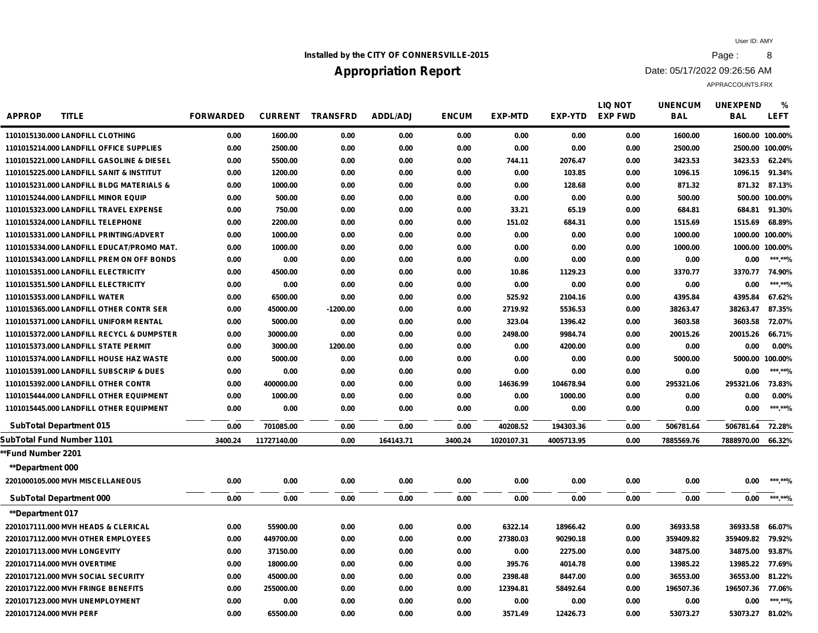## **Installed by the CITY OF CONNERSVILLE-2015 Page : 8**

# **Appropriation Report**

Date: 05/17/2022 09:26:56 AM

| <b>APPROP</b><br><b>TITLE</b>             | <b>FORWARDED</b> |             | <b>CURRENT TRANSFRD</b> | <b>ADDL/ADJ</b> | <b>ENCUM</b> | <b>EXP-MTD</b> | <b>EXP-YTD</b> | LIQ NOT<br><b>EXP FWD</b> | <b>UNENCUM</b><br><b>BAL</b> | <b>UNEXPEND</b><br><b>BAL</b> | %<br><b>LEFT</b> |
|-------------------------------------------|------------------|-------------|-------------------------|-----------------|--------------|----------------|----------------|---------------------------|------------------------------|-------------------------------|------------------|
| 1101015130.000 LANDFILL CLOTHING          | 0.00             | 1600.00     | 0.00                    | 0.00            | 0.00         | 0.00           | 0.00           | 0.00                      | 1600.00                      | 1600.00 100.00%               |                  |
| 1101015214.000 LANDFILL OFFICE SUPPLIES   | 0.00             | 2500.00     | 0.00                    | 0.00            | 0.00         | 0.00           | 0.00           | 0.00                      | 2500.00                      | 2500.00 100.00%               |                  |
| 1101015221.000 LANDFILL GASOLINE & DIESEL | 0.00             | 5500.00     | 0.00                    | 0.00            | 0.00         | 744.11         | 2076.47        | 0.00                      | 3423.53                      | 3423.53                       | 62.24%           |
| 1101015225,000 LANDFILL SANIT & INSTITUT  | 0.00             | 1200.00     | 0.00                    | 0.00            | 0.00         | 0.00           | 103.85         | 0.00                      | 1096.15                      | 1096.15                       | 91.34%           |
| 1101015231.000 LANDFILL BLDG MATERIALS &  | 0.00             | 1000.00     | 0.00                    | 0.00            | 0.00         | 0.00           | 128.68         | 0.00                      | 871.32                       |                               | 871.32 87.13%    |
| 1101015244.000 LANDFILL MINOR EQUIP       | 0.00             | 500.00      | 0.00                    | 0.00            | 0.00         | 0.00           | 0.00           | 0.00                      | 500.00                       |                               | 500.00 100.00%   |
| 1101015323.000 LANDFILL TRAVEL EXPENSE    | 0.00             | 750.00      | 0.00                    | 0.00            | 0.00         | 33.21          | 65.19          | 0.00                      | 684.81                       | 684.81                        | 91.30%           |
| 1101015324.000 LANDFILL TELEPHONE         | 0.00             | 2200.00     | 0.00                    | 0.00            | 0.00         | 151.02         | 684.31         | 0.00                      | 1515.69                      | 1515.69                       | 68.89%           |
| 1101015331.000 LANDFILL PRINTING/ADVERT   | 0.00             | 1000.00     | 0.00                    | 0.00            | 0.00         | 0.00           | 0.00           | 0.00                      | 1000.00                      | 1000.00 100.00%               |                  |
| 1101015334.000 LANDFILL EDUCAT/PROMO MAT. | 0.00             | 1000.00     | 0.00                    | 0.00            | 0.00         | 0.00           | 0.00           | 0.00                      | 1000.00                      | 1000.00 100.00%               |                  |
| 1101015343.000 LANDFILL PREM ON OFF BONDS | 0.00             | 0.00        | 0.00                    | 0.00            | 0.00         | 0.00           | 0.00           | 0.00                      | 0.00                         | 0.00                          | ***.**%          |
| 1101015351.000 LANDFILL ELECTRICITY       | 0.00             | 4500.00     | 0.00                    | 0.00            | 0.00         | 10.86          | 1129.23        | 0.00                      | 3370.77                      | 3370.77                       | 74.90%           |
| 1101015351.500 LANDFILL ELECTRICITY       | 0.00             | 0.00        | 0.00                    | 0.00            | 0.00         | 0.00           | 0.00           | 0.00                      | 0.00                         | 0.00                          | ***.**%          |
| 1101015353.000 LANDFILL WATER             | 0.00             | 6500.00     | 0.00                    | 0.00            | 0.00         | 525.92         | 2104.16        | 0.00                      | 4395.84                      | 4395.84                       | 67.62%           |
| 1101015365.000 LANDFILL OTHER CONTR SER   | 0.00             | 45000.00    | $-1200.00$              | 0.00            | 0.00         | 2719.92        | 5536.53        | 0.00                      | 38263.47                     | 38263.47                      | 87.35%           |
| 1101015371.000 LANDFILL UNIFORM RENTAL    | 0.00             | 5000.00     | 0.00                    | 0.00            | 0.00         | 323.04         | 1396.42        | 0.00                      | 3603.58                      | 3603.58                       | 72.07%           |
| 1101015372.000 LANDFILL RECYCL & DUMPSTER | 0.00             | 30000.00    | 0.00                    | 0.00            | 0.00         | 2498.00        | 9984.74        | 0.00                      | 20015.26                     | 20015.26                      | 66.71%           |
| 1101015373.000 LANDFILL STATE PERMIT      | 0.00             | 3000.00     | 1200.00                 | 0.00            | 0.00         | 0.00           | 4200.00        | 0.00                      | 0.00                         | 0.00                          | $0.00\%$         |
| 1101015374.000 LANDFILL HOUSE HAZ WASTE   | 0.00             | 5000.00     | 0.00                    | 0.00            | 0.00         | 0.00           | 0.00           | 0.00                      | 5000.00                      | 5000.00 100.00%               |                  |
| 1101015391.000 LANDFILL SUBSCRIP & DUES   | 0.00             | 0.00        | 0.00                    | 0.00            | 0.00         | 0.00           | 0.00           | 0.00                      | 0.00                         | 0.00                          | ***.**%          |
| 1101015392.000 LANDFILL OTHER CONTR       | 0.00             | 400000.00   | 0.00                    | 0.00            | 0.00         | 14636.99       | 104678.94      | 0.00                      | 295321.06                    | 295321.06                     | 73.83%           |
| 1101015444.000 LANDFILL OTHER EQUIPMENT   | 0.00             | 1000.00     | 0.00                    | 0.00            | 0.00         | 0.00           | 1000.00        | 0.00                      | 0.00                         | 0.00                          | 0.00%            |
| 1101015445.000 LANDFILL OTHER EQUIPMENT   | 0.00             | 0.00        | 0.00                    | 0.00            | 0.00         | 0.00           | 0.00           | 0.00                      | 0.00                         | 0.00                          | ***.**%          |
| <b>SubTotal Department 015</b>            | 0.00             | 701085.00   | 0.00                    | 0.00            | 0.00         | 40208.52       | 194303.36      | 0.00                      | 506781.64                    | 506781.64 72.28%              |                  |
| SubTotal Fund Number 1101                 | 3400.24          | 11727140.00 | 0.00                    | 164143.71       | 3400.24      | 1020107.31     | 4005713.95     | 0.00                      | 7885569.76                   | 7888970.00                    | 66.32%           |
| **Fund Number 2201                        |                  |             |                         |                 |              |                |                |                           |                              |                               |                  |
| <b>**Department 000</b>                   |                  |             |                         |                 |              |                |                |                           |                              |                               |                  |
| 2201000105.000 MVH MISCELLANEOUS          | 0.00             | 0.00        | 0.00                    | 0.00            | 0.00         | 0.00           | 0.00           | 0.00                      | 0.00                         | 0.00                          | ***.**%          |
| <b>SubTotal Department 000</b>            | 0.00             | 0.00        | 0.00                    | 0.00            | 0.00         | 0.00           | 0.00           | 0.00                      | 0.00                         | 0.00                          | ***.**%          |
| **Department 017                          |                  |             |                         |                 |              |                |                |                           |                              |                               |                  |
| 2201017111.000 MVH HEADS & CLERICAL       | 0.00             | 55900.00    | 0.00                    | 0.00            | 0.00         | 6322.14        | 18966.42       | 0.00                      | 36933.58                     | 36933.58                      | 66.07%           |
| 2201017112.000 MVH OTHER EMPLOYEES        | 0.00             | 449700.00   | 0.00                    | 0.00            | 0.00         | 27380.03       | 90290.18       | 0.00                      | 359409.82                    | 359409.82 79.92%              |                  |
| 2201017113.000 MVH LONGEVITY              | 0.00             | 37150.00    | 0.00                    | 0.00            | 0.00         | 0.00           | 2275.00        | 0.00                      | 34875.00                     | 34875.00                      | 93.87%           |
| 2201017114.000 MVH OVERTIME               | 0.00             | 18000.00    | 0.00                    | 0.00            | 0.00         | 395.76         | 4014.78        | 0.00                      | 13985.22                     | 13985.22 77.69%               |                  |
| 2201017121.000 MVH SOCIAL SECURITY        | 0.00             | 45000.00    | 0.00                    | 0.00            | 0.00         | 2398.48        | 8447.00        | 0.00                      | 36553.00                     | 36553.00                      | 81.22%           |
| 2201017122.000 MVH FRINGE BENEFITS        | 0.00             | 255000.00   | 0.00                    | 0.00            | 0.00         | 12394.81       | 58492.64       | 0.00                      | 196507.36                    | 196507.36                     | 77.06%           |
| 2201017123.000 MVH UNEMPLOYMENT           | 0.00             | 0.00        | 0.00                    | 0.00            | 0.00         | 0.00           | 0.00           | 0.00                      | 0.00                         | 0.00                          | ***.**%          |
| 2201017124.000 MVH PERF                   | 0.00             | 65500.00    | 0.00                    | 0.00            | 0.00         | 3571.49        | 12426.73       | 0.00                      | 53073.27                     | 53073.27                      | 81.02%           |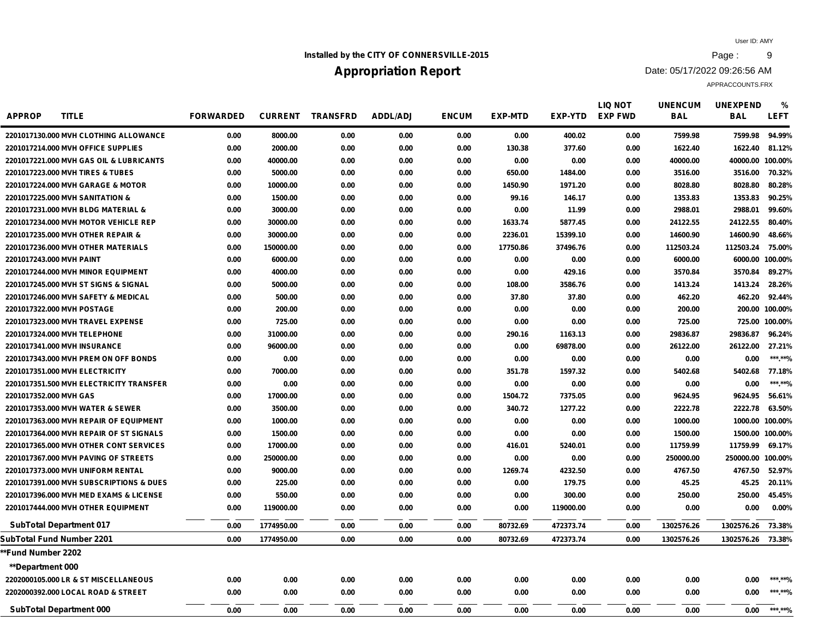## **Installed by the CITY OF CONNERSVILLE-2015 Page : 9**

# **Appropriation Report**

Date: 05/17/2022 09:26:56 AM

| <b>APPROP</b><br><b>TITLE</b>                      | <b>FORWARDED</b> | <b>CURRENT</b> | <b>TRANSFRD</b> | <b>ADDL/ADJ</b> | <b>ENCUM</b> | <b>EXP-MTD</b> | <b>EXP-YTD</b> | <b>LIQ NOT</b><br><b>EXP FWD</b> | <b>UNENCUM</b><br><b>BAL</b> | <b>UNEXPEND</b><br><b>BAL</b> | %<br><b>LEFT</b> |
|----------------------------------------------------|------------------|----------------|-----------------|-----------------|--------------|----------------|----------------|----------------------------------|------------------------------|-------------------------------|------------------|
| 2201017130.000 MVH CLOTHING ALLOWANCE              | 0.00             | 8000.00        | 0.00            | 0.00            | 0.00         | 0.00           | 400.02         | 0.00                             | 7599.98                      | 7599.98                       | 94.99%           |
| 2201017214.000 MVH OFFICE SUPPLIES                 | 0.00             | 2000.00        | 0.00            | 0.00            | 0.00         | 130.38         | 377.60         | 0.00                             | 1622.40                      | 1622.40                       | 81.12%           |
| 2201017221.000 MVH GAS OIL & LUBRICANTS            | 0.00             | 40000.00       | 0.00            | 0.00            | 0.00         | 0.00           | 0.00           | 0.00                             | 40000.00                     | 40000.00 100.00%              |                  |
| 2201017223.000 MVH TIRES & TUBES                   | 0.00             | 5000.00        | 0.00            | 0.00            | 0.00         | 650.00         | 1484.00        | 0.00                             | 3516.00                      | 3516.00                       | 70.32%           |
| 2201017224.000 MVH GARAGE & MOTOR                  | 0.00             | 10000.00       | 0.00            | 0.00            | 0.00         | 1450.90        | 1971.20        | 0.00                             | 8028.80                      | 8028.80                       | 80.28%           |
| 2201017225.000 MVH SANITATION &                    | 0.00             | 1500.00        | 0.00            | 0.00            | 0.00         | 99.16          | 146.17         | 0.00                             | 1353.83                      | 1353.83                       | 90.25%           |
| 2201017231.000 MVH BLDG MATERIAL &                 | 0.00             | 3000.00        | 0.00            | 0.00            | 0.00         | 0.00           | 11.99          | 0.00                             | 2988.01                      | 2988.01                       | 99.60%           |
| 2201017234.000 MVH MOTOR VEHICLE REP               | 0.00             | 30000.00       | 0.00            | 0.00            | 0.00         | 1633.74        | 5877.45        | 0.00                             | 24122.55                     | 24122.55                      | 80.40%           |
| 2201017235,000 MVH OTHER REPAIR &                  | 0.00             | 30000.00       | 0.00            | 0.00            | 0.00         | 2236.01        | 15399.10       | 0.00                             | 14600.90                     | 14600.90                      | 48.66%           |
| 2201017236.000 MVH OTHER MATERIALS                 | 0.00             | 150000.00      | 0.00            | 0.00            | 0.00         | 17750.86       | 37496.76       | 0.00                             | 112503.24                    | 112503.24                     | 75.00%           |
| 2201017243.000 MVH PAINT                           | 0.00             | 6000.00        | 0.00            | 0.00            | 0.00         | 0.00           | 0.00           | 0.00                             | 6000.00                      | 6000.00 100.00%               |                  |
| 2201017244.000 MVH MINOR EQUIPMENT                 | 0.00             | 4000.00        | 0.00            | 0.00            | 0.00         | 0.00           | 429.16         | 0.00                             | 3570.84                      | 3570.84                       | 89.27%           |
| 2201017245.000 MVH ST SIGNS & SIGNAL               | 0.00             | 5000.00        | 0.00            | 0.00            | 0.00         | 108.00         | 3586.76        | 0.00                             | 1413.24                      | 1413.24                       | 28.26%           |
| 2201017246.000 MVH SAFETY & MEDICAL                | 0.00             | 500.00         | 0.00            | 0.00            | 0.00         | 37.80          | 37.80          | 0.00                             | 462.20                       | 462.20                        | 92.44%           |
| 2201017322.000 MVH POSTAGE                         | 0.00             | 200.00         | 0.00            | 0.00            | 0.00         | 0.00           | 0.00           | 0.00                             | 200.00                       |                               | 200.00 100.00%   |
| 2201017323.000 MVH TRAVEL EXPENSE                  | 0.00             | 725.00         | 0.00            | 0.00            | 0.00         | 0.00           | 0.00           | 0.00                             | 725.00                       |                               | 725.00 100.00%   |
| 2201017324.000 MVH TELEPHONE                       | 0.00             | 31000.00       | 0.00            | 0.00            | 0.00         | 290.16         | 1163.13        | 0.00                             | 29836.87                     | 29836.87                      | 96.24%           |
| 2201017341.000 MVH INSURANCE                       | 0.00             | 96000.00       | 0.00            | 0.00            | 0.00         | 0.00           | 69878.00       | 0.00                             | 26122.00                     | 26122.00                      | 27.21%           |
| 2201017343,000 MVH PREM ON OFF BONDS               | 0.00             | 0.00           | 0.00            | 0.00            | 0.00         | 0.00           | 0.00           | 0.00                             | 0.00                         | 0.00                          | ***.**%          |
| 2201017351.000 MVH ELECTRICITY                     | 0.00             | 7000.00        | 0.00            | 0.00            | 0.00         | 351.78         | 1597.32        | 0.00                             | 5402.68                      | 5402.68                       | 77.18%           |
| 2201017351.500 MVH ELECTRICITY TRANSFER            | 0.00             | 0.00           | 0.00            | 0.00            | 0.00         | 0.00           | 0.00           | 0.00                             | 0.00                         | 0.00                          | ***.**%          |
| 2201017352,000 MVH GAS                             | 0.00             | 17000.00       | 0.00            | 0.00            | 0.00         | 1504.72        | 7375.05        | 0.00                             | 9624.95                      | 9624.95                       | 56.61%           |
| 2201017353.000 MVH WATER & SEWER                   | 0.00             | 3500.00        | 0.00            | 0.00            | 0.00         | 340.72         | 1277.22        | 0.00                             | 2222.78                      | 2222.78                       | 63.50%           |
| 2201017363.000 MVH REPAIR OF EQUIPMENT             | 0.00             | 1000.00        | 0.00            | 0.00            | 0.00         | 0.00           | 0.00           | 0.00                             | 1000.00                      | 1000.00 100.00%               |                  |
| 2201017364.000 MVH REPAIR OF ST SIGNALS            | 0.00             | 1500.00        | 0.00            | 0.00            | 0.00         | 0.00           | 0.00           | 0.00                             | 1500.00                      | 1500.00 100.00%               |                  |
| 2201017365.000 MVH OTHER CONT SERVICES             | 0.00             | 17000.00       | 0.00            | 0.00            | 0.00         | 416.01         | 5240.01        | 0.00                             | 11759.99                     | 11759.99                      | 69.17%           |
| 2201017367.000 MVH PAVING OF STREETS               | 0.00             | 250000.00      | 0.00            | 0.00            | 0.00         | 0.00           | 0.00           | 0.00                             | 250000.00                    | 250000.00 100.00%             |                  |
| 2201017373.000 MVH UNIFORM RENTAL                  | 0.00             | 9000.00        | 0.00            | 0.00            | 0.00         | 1269.74        | 4232.50        | 0.00                             | 4767.50                      | 4767.50                       | 52.97%           |
| <b>2201017391,000 MVH SUBSCRIPTIONS &amp; DUES</b> | 0.00             | 225.00         | 0.00            | 0.00            | 0.00         | 0.00           | 179.75         | 0.00                             | 45.25                        | 45.25                         | 20.11%           |
| 2201017396.000 MVH MED EXAMS & LICENSE             | 0.00             | 550.00         | 0.00            | 0.00            | 0.00         | 0.00           | 300.00         | 0.00                             | 250.00                       | 250.00                        | 45.45%           |
| 2201017444.000 MVH OTHER EQUIPMENT                 | 0.00             | 119000.00      | 0.00            | 0.00            | 0.00         | 0.00           | 119000.00      | 0.00                             | 0.00                         | 0.00                          | $0.00\%$         |
| <b>SubTotal Department 017</b>                     | 0.00             | 1774950.00     | 0.00            | 0.00            | 0.00         | 80732.69       | 472373.74      | 0.00                             | 1302576.26                   | 1302576.26 73.38%             |                  |
| SubTotal Fund Number 2201                          | 0.00             | 1774950.00     | 0.00            | 0.00            | 0.00         | 80732.69       | 472373.74      | 0.00                             | 1302576.26                   | 1302576.26 73.38%             |                  |
| *Fund Number 2202                                  |                  |                |                 |                 |              |                |                |                                  |                              |                               |                  |
| <b>**Department 000</b>                            |                  |                |                 |                 |              |                |                |                                  |                              |                               |                  |
| 2202000105.000 LR & ST MISCELLANEOUS               | 0.00             | 0.00           | 0.00            | 0.00            | 0.00         | 0.00           | 0.00           | 0.00                             | 0.00                         | 0.00                          | ***.**%          |
| 2202000392.000 LOCAL ROAD & STREET                 | 0.00             | 0.00           | 0.00            | 0.00            | 0.00         | 0.00           | 0.00           | 0.00                             | 0.00                         | 0.00                          | ***.**%          |
| <b>SubTotal Department 000</b>                     | 0.00             | 0.00           | 0.00            | 0.00            | 0.00         | 0.00           | 0.00           | 0.00                             | 0.00                         | 0.00                          | ******%          |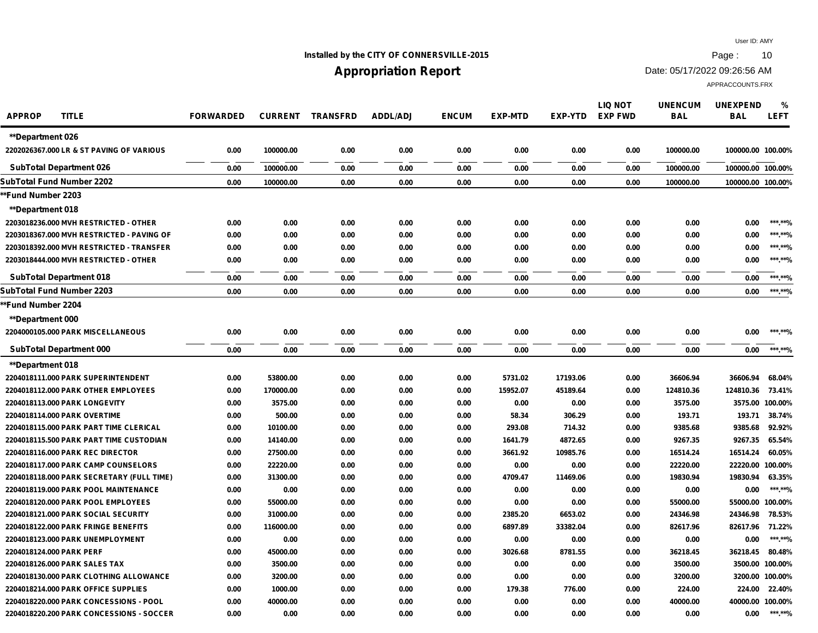## **Installed by the CITY OF CONNERSVILLE-2015 Page : 10**

# **Appropriation Report**

Date: 05/17/2022 09:26:56 AM

| <b>APPROP</b><br><b>TITLE</b>             | <b>FORWARDED</b> | <b>CURRENT</b> | <b>TRANSFRD</b> | <b>ADDL/ADJ</b> | <b>ENCUM</b> | <b>EXP-MTD</b> | <b>EXP-YTD</b> | <b>LIQ NOT</b><br><b>EXP FWD</b> | <b>UNENCUM</b><br><b>BAL</b> | <b>UNEXPEND</b><br><b>BAL</b> | $\%$<br><b>LEFT</b> |
|-------------------------------------------|------------------|----------------|-----------------|-----------------|--------------|----------------|----------------|----------------------------------|------------------------------|-------------------------------|---------------------|
| <b>**Department 026</b>                   |                  |                |                 |                 |              |                |                |                                  |                              |                               |                     |
| 2202026367.000 LR & ST PAVING OF VARIOUS  | 0.00             | 100000.00      | 0.00            | 0.00            | 0.00         | 0.00           | 0.00           | 0.00                             | 100000.00                    | 100000.00 100.00%             |                     |
| <b>SubTotal Department 026</b>            | 0.00             | 100000.00      | 0.00            | 0.00            | 0.00         | 0.00           | 0.00           | 0.00                             | 100000.00                    | 100000.00 100.00%             |                     |
| SubTotal Fund Number 2202                 | 0.00             | 100000.00      | 0.00            | 0.00            | 0.00         | 0.00           | 0.00           | 0.00                             | 100000.00                    | 100000.00 100.00%             |                     |
| **Fund Number 2203                        |                  |                |                 |                 |              |                |                |                                  |                              |                               |                     |
| <b>**Department 018</b>                   |                  |                |                 |                 |              |                |                |                                  |                              |                               |                     |
| 2203018236.000 MVH RESTRICTED - OTHER     | 0.00             | 0.00           | 0.00            | 0.00            | 0.00         | 0.00           | 0.00           | 0.00                             | 0.00                         | 0.00                          | ***.**%             |
| 2203018367.000 MVH RESTRICTED - PAVING OF | 0.00             | 0.00           | 0.00            | 0.00            | 0.00         | 0.00           | 0.00           | 0.00                             | 0.00                         | 0.00                          | ***.**%             |
| 2203018392.000 MVH RESTRICTED - TRANSFER  | 0.00             | 0.00           | 0.00            | 0.00            | 0.00         | 0.00           | 0.00           | 0.00                             | 0.00                         | 0.00                          | ***.**%             |
| 2203018444.000 MVH RESTRICTED - OTHER     | 0.00             | 0.00           | 0.00            | 0.00            | 0.00         | 0.00           | 0.00           | 0.00                             | 0.00                         | 0.00                          | *** **%             |
| <b>SubTotal Department 018</b>            | 0.00             | 0.00           | 0.00            | 0.00            | 0.00         | 0.00           | 0.00           | 0.00                             | 0.00                         | 0.00                          | ***.**%             |
| SubTotal Fund Number 2203                 | 0.00             | 0.00           | 0.00            | 0.00            | 0.00         | 0.00           | 0.00           | 0.00                             | 0.00                         | 0.00                          | ***.**%             |
| *Fund Number 2204                         |                  |                |                 |                 |              |                |                |                                  |                              |                               |                     |
| <b>**Department 000</b>                   |                  |                |                 |                 |              |                |                |                                  |                              |                               |                     |
| 2204000105.000 PARK MISCELLANEOUS         | 0.00             | 0.00           | 0.00            | 0.00            | 0.00         | 0.00           | 0.00           | 0.00                             | 0.00                         | 0.00                          | ***.**%             |
| <b>SubTotal Department 000</b>            | 0.00             | 0.00           | 0.00            | 0.00            | 0.00         | 0.00           | 0.00           | 0.00                             | 0.00                         | 0.00                          | ***.**%             |
| **Department 018                          |                  |                |                 |                 |              |                |                |                                  |                              |                               |                     |
| 2204018111.000 PARK SUPERINTENDENT        | 0.00             | 53800.00       | 0.00            | 0.00            | 0.00         | 5731.02        | 17193.06       | 0.00                             | 36606.94                     | 36606.94                      | 68.04%              |
| 2204018112.000 PARK OTHER EMPLOYEES       | 0.00             | 170000.00      | 0.00            | 0.00            | 0.00         | 15952.07       | 45189.64       | 0.00                             | 124810.36                    | 124810.36                     | 73.41%              |
| 2204018113.000 PARK LONGEVITY             | 0.00             | 3575.00        | 0.00            | 0.00            | 0.00         | 0.00           | 0.00           | 0.00                             | 3575.00                      |                               | 3575.00 100.00%     |
| 2204018114.000 PARK OVERTIME              | 0.00             | 500.00         | 0.00            | 0.00            | 0.00         | 58.34          | 306.29         | 0.00                             | 193.71                       | 193.71                        | 38.74%              |
| 2204018115.000 PARK PART TIME CLERICAL    | 0.00             | 10100.00       | 0.00            | 0.00            | 0.00         | 293.08         | 714.32         | 0.00                             | 9385.68                      | 9385.68                       | 92.92%              |
| 2204018115.500 PARK PART TIME CUSTODIAN   | 0.00             | 14140.00       | 0.00            | 0.00            | 0.00         | 1641.79        | 4872.65        | 0.00                             | 9267.35                      | 9267.35                       | 65.54%              |
| 2204018116.000 PARK REC DIRECTOR          | 0.00             | 27500.00       | 0.00            | 0.00            | 0.00         | 3661.92        | 10985.76       | 0.00                             | 16514.24                     | 16514.24                      | 60.05%              |
| 2204018117.000 PARK CAMP COUNSELORS       | 0.00             | 22220.00       | 0.00            | 0.00            | 0.00         | 0.00           | 0.00           | 0.00                             | 22220.00                     | 22220.00                      | 100.00%             |
| 2204018118.000 PARK SECRETARY (FULL TIME) | 0.00             | 31300.00       | 0.00            | 0.00            | 0.00         | 4709.47        | 11469.06       | 0.00                             | 19830.94                     | 19830.94                      | 63.35%              |
| 2204018119.000 PARK POOL MAINTENANCE      | 0.00             | 0.00           | 0.00            | 0.00            | 0.00         | 0.00           | 0.00           | 0.00                             | 0.00                         | 0.00                          | ***.**%             |
| 2204018120.000 PARK POOL EMPLOYEES        | 0.00             | 55000.00       | 0.00            | 0.00            | 0.00         | 0.00           | 0.00           | 0.00                             | 55000.00                     | 55000.00 100.00%              |                     |
| 2204018121.000 PARK SOCIAL SECURITY       | 0.00             | 31000.00       | 0.00            | 0.00            | 0.00         | 2385.20        | 6653.02        | 0.00                             | 24346.98                     | 24346.98                      | 78.53%              |
| 2204018122.000 PARK FRINGE BENEFITS       | 0.00             | 116000.00      | 0.00            | 0.00            | 0.00         | 6897.89        | 33382.04       | 0.00                             | 82617.96                     | 82617.96                      | 71.22%              |
| 2204018123.000 PARK UNEMPLOYMENT          | 0.00             | 0.00           | 0.00            | 0.00            | 0.00         | 0.00           | 0.00           | 0.00                             | 0.00                         | 0.00                          | ***.**%             |
| 2204018124.000 PARK PERF                  | 0.00             | 45000.00       | 0.00            | 0.00            | 0.00         | 3026.68        | 8781.55        | 0.00                             | 36218.45                     | 36218.45                      | 80.48%              |
| 2204018126.000 PARK SALES TAX             | 0.00             | 3500.00        | 0.00            | 0.00            | 0.00         | 0.00           | 0.00           | 0.00                             | 3500.00                      |                               | 3500.00 100.00%     |
| 2204018130.000 PARK CLOTHING ALLOWANCE    | 0.00             | 3200.00        | 0.00            | 0.00            | 0.00         | 0.00           | 0.00           | 0.00                             | 3200.00                      |                               | 3200.00 100.00%     |
| 2204018214.000 PARK OFFICE SUPPLIES       | 0.00             | 1000.00        | 0.00            | 0.00            | 0.00         | 179.38         | 776.00         | 0.00                             | 224.00                       | 224.00                        | 22.40%              |
| 2204018220.000 PARK CONCESSIONS - POOL    | 0.00             | 40000.00       | 0.00            | 0.00            | 0.00         | 0.00           | 0.00           | 0.00                             | 40000.00                     | 40000.00 100.00%              |                     |
| 2204018220.200 PARK CONCESSIONS - SOCCER  | 0.00             | 0.00           | 0.00            | 0.00            | 0.00         | 0.00           | 0.00           | 0.00                             | 0.00                         | 0.00                          | ***.**%             |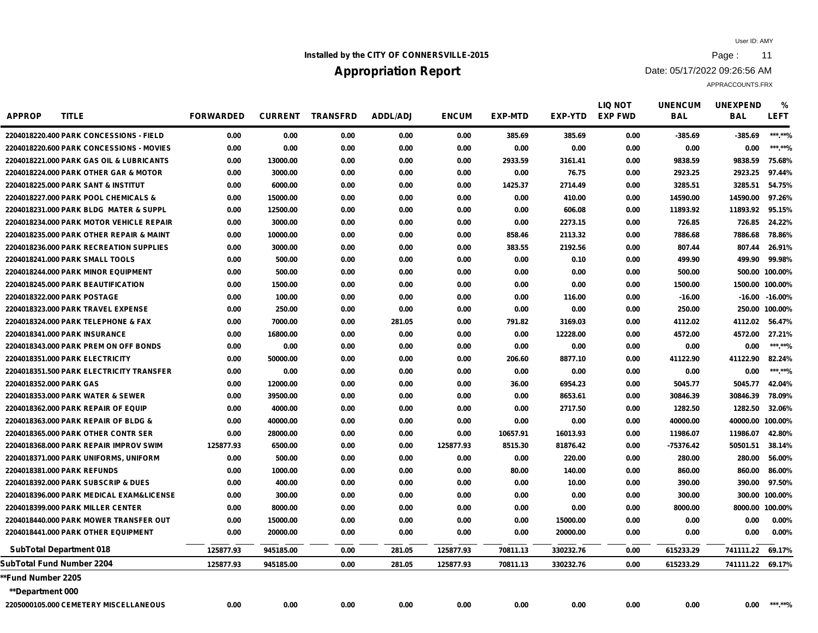## **Installed by the CITY OF CONNERSVILLE-2015 Page : 11**

# **Appropriation Report**

Date: 05/17/2022 09:26:56 AM

| <b>APPROP</b><br><b>TITLE</b>                       | <b>FORWARDED</b> | <b>CURRENT</b> | <b>TRANSFRD</b> | <b>ADDL/ADJ</b> | <b>ENCUM</b> | <b>EXP-MTD</b> | EXP-YTD   | <b>LIQ NOT</b><br><b>EXP FWD</b> | <b>UNENCUM</b><br><b>BAL</b> | <b>UNEXPEND</b><br><b>BAL</b> | %<br><b>LEFT</b> |
|-----------------------------------------------------|------------------|----------------|-----------------|-----------------|--------------|----------------|-----------|----------------------------------|------------------------------|-------------------------------|------------------|
| 2204018220.400 PARK CONCESSIONS - FIELD             | 0.00             | 0.00           | 0.00            | 0.00            | 0.00         | 385.69         | 385.69    | 0.00                             | $-385.69$                    | $-385.69$                     | ***.**%          |
| 2204018220.600 PARK CONCESSIONS - MOVIES            | 0.00             | 0.00           | 0.00            | 0.00            | 0.00         | 0.00           | 0.00      | 0.00                             | 0.00                         | 0.00                          | ***.**%          |
| <b>2204018221,000 PARK GAS OIL &amp; LUBRICANTS</b> | 0.00             | 13000.00       | 0.00            | 0.00            | 0.00         | 2933.59        | 3161.41   | 0.00                             | 9838.59                      | 9838.59                       | 75.68%           |
| 2204018224.000 PARK OTHER GAR & MOTOR               | 0.00             | 3000.00        | 0.00            | 0.00            | 0.00         | 0.00           | 76.75     | 0.00                             | 2923.25                      | 2923.25                       | 97.44%           |
| 2204018225.000 PARK SANT & INSTITUT                 | 0.00             | 6000.00        | 0.00            | 0.00            | 0.00         | 1425.37        | 2714.49   | 0.00                             | 3285.51                      | 3285.51                       | 54.75%           |
| 2204018227.000 PARK POOL CHEMICALS &                | 0.00             | 15000.00       | 0.00            | 0.00            | 0.00         | 0.00           | 410.00    | 0.00                             | 14590.00                     | 14590.00                      | 97.26%           |
| 2204018231.000 PARK BLDG MATER & SUPPL              | 0.00             | 12500.00       | 0.00            | 0.00            | 0.00         | 0.00           | 606.08    | 0.00                             | 11893.92                     | 11893.92                      | 95.15%           |
| 2204018234.000 PARK MOTOR VEHICLE REPAIR            | 0.00             | 3000.00        | 0.00            | 0.00            | 0.00         | 0.00           | 2273.15   | 0.00                             | 726.85                       | 726.85                        | 24.22%           |
| 2204018235.000 PARK OTHER REPAIR & MAINT            | 0.00             | 10000.00       | 0.00            | 0.00            | 0.00         | 858.46         | 2113.32   | 0.00                             | 7886.68                      | 7886.68                       | 78.86%           |
| 2204018236.000 PARK RECREATION SUPPLIES             | 0.00             | 3000.00        | 0.00            | 0.00            | 0.00         | 383.55         | 2192.56   | 0.00                             | 807.44                       | 807.44                        | 26.91%           |
| 2204018241.000 PARK SMALL TOOLS                     | 0.00             | 500.00         | 0.00            | 0.00            | 0.00         | 0.00           | 0.10      | 0.00                             | 499.90                       | 499.90                        | 99.98%           |
| 2204018244.000 PARK MINOR EQUIPMENT                 | 0.00             | 500.00         | 0.00            | 0.00            | 0.00         | 0.00           | 0.00      | 0.00                             | 500.00                       |                               | 500.00 100.00%   |
| 2204018245.000 PARK BEAUTIFICATION                  | 0.00             | 1500.00        | 0.00            | 0.00            | 0.00         | 0.00           | 0.00      | 0.00                             | 1500.00                      | 1500.00 100.00%               |                  |
| 2204018322.000 PARK POSTAGE                         | 0.00             | 100.00         | 0.00            | 0.00            | 0.00         | 0.00           | 116.00    | 0.00                             | $-16.00$                     | -16.00                        | $-16.00\%$       |
| 2204018323.000 PARK TRAVEL EXPENSE                  | 0.00             | 250.00         | 0.00            | 0.00            | 0.00         | 0.00           | 0.00      | 0.00                             | 250.00                       |                               | 250.00 100.00%   |
| 2204018324.000 PARK TELEPHONE & FAX                 | 0.00             | 7000.00        | 0.00            | 281.05          | 0.00         | 791.82         | 3169.03   | 0.00                             | 4112.02                      | 4112.02                       | 56.47%           |
| 2204018341.000 PARK INSURANCE                       | 0.00             | 16800.00       | 0.00            | 0.00            | 0.00         | 0.00           | 12228.00  | 0.00                             | 4572.00                      | 4572.00                       | 27.21%           |
| 2204018343.000 PARK PREM ON OFF BONDS               | 0.00             | 0.00           | 0.00            | 0.00            | 0.00         | 0.00           | 0.00      | 0.00                             | 0.00                         | 0.00                          | ***.**%          |
| 2204018351.000 PARK ELECTRICITY                     | 0.00             | 50000.00       | 0.00            | 0.00            | 0.00         | 206.60         | 8877.10   | 0.00                             | 41122.90                     | 41122.90                      | 82.24%           |
| 2204018351.500 PARK ELECTRICITY TRANSFER            | 0.00             | 0.00           | 0.00            | 0.00            | 0.00         | 0.00           | 0.00      | 0.00                             | 0.00                         | 0.00                          | ***.**%          |
| 2204018352,000 PARK GAS                             | 0.00             | 12000.00       | 0.00            | 0.00            | 0.00         | 36.00          | 6954.23   | 0.00                             | 5045.77                      | 5045.77                       | 42.04%           |
| 2204018353.000 PARK WATER & SEWER                   | 0.00             | 39500.00       | 0.00            | 0.00            | 0.00         | 0.00           | 8653.61   | 0.00                             | 30846.39                     | 30846.39                      | 78.09%           |
| 2204018362.000 PARK REPAIR OF EQUIP                 | 0.00             | 4000.00        | 0.00            | 0.00            | 0.00         | 0.00           | 2717.50   | 0.00                             | 1282.50                      | 1282.50                       | 32.06%           |
| 2204018363.000 PARK REPAIR OF BLDG &                | 0.00             | 40000.00       | 0.00            | 0.00            | 0.00         | 0.00           | 0.00      | 0.00                             | 40000.00                     | 40000.00 100.00%              |                  |
| 2204018365,000 PARK OTHER CONTR SER                 | 0.00             | 28000.00       | 0.00            | 0.00            | 0.00         | 10657.91       | 16013.93  | 0.00                             | 11986.07                     | 11986.07                      | 42.80%           |
| 2204018368,000 PARK REPAIR IMPROV SWIM              | 125877.93        | 6500.00        | 0.00            | 0.00            | 125877.93    | 8515.30        | 81876.42  | 0.00                             | -75376.42                    | 50501.51                      | 38.14%           |
| 2204018371.000 PARK UNIFORMS, UNIFORM               | 0.00             | 500.00         | 0.00            | 0.00            | 0.00         | 0.00           | 220.00    | 0.00                             | 280.00                       | 280.00                        | 56.00%           |
| 2204018381.000 PARK REFUNDS                         | 0.00             | 1000.00        | 0.00            | 0.00            | 0.00         | 80.00          | 140.00    | 0.00                             | 860.00                       | 860.00                        | 86.00%           |
| 2204018392.000 PARK SUBSCRIP & DUES                 | 0.00             | 400.00         | 0.00            | 0.00            | 0.00         | 0.00           | 10.00     | 0.00                             | 390.00                       | 390.00                        | 97.50%           |
| 2204018396.000 PARK MEDICAL EXAM&LICENSE            | 0.00             | 300.00         | 0.00            | 0.00            | 0.00         | 0.00           | 0.00      | 0.00                             | 300.00                       |                               | 300.00 100.00%   |
| 2204018399.000 PARK MILLER CENTER                   | 0.00             | 8000.00        | 0.00            | 0.00            | 0.00         | 0.00           | 0.00      | 0.00                             | 8000.00                      | 8000.00 100.00%               |                  |
| 2204018440.000 PARK MOWER TRANSFER OUT              | 0.00             | 15000.00       | 0.00            | 0.00            | 0.00         | 0.00           | 15000.00  | 0.00                             | 0.00                         | 0.00                          | $0.00\%$         |
| 2204018441.000 PARK OTHER EQUIPMENT                 | 0.00             | 20000.00       | 0.00            | 0.00            | 0.00         | 0.00           | 20000.00  | 0.00                             | 0.00                         | 0.00                          | 0.00%            |
| <b>SubTotal Department 018</b>                      | 125877.93        | 945185.00      | 0.00            | 281.05          | 125877.93    | 70811.13       | 330232.76 | 0.00                             | 615233.29                    | 741111.22 69.17%              |                  |
| SubTotal Fund Number 2204                           | 125877.93        | 945185.00      | 0.00            | 281.05          | 125877.93    | 70811.13       | 330232.76 | 0.00                             | 615233.29                    | 741111.22 69.17%              |                  |
| *Fund Number 2205                                   |                  |                |                 |                 |              |                |           |                                  |                              |                               |                  |
| <b>**Department 000</b>                             |                  |                |                 |                 |              |                |           |                                  |                              |                               |                  |
| 2205000105.000 CEMETERY MISCELLANEOUS               | 0.00             | 0.00           | 0.00            | 0.00            | 0.00         | 0.00           | 0.00      | 0.00                             | 0.00                         | 0.00                          | ***.**%          |
|                                                     |                  |                |                 |                 |              |                |           |                                  |                              |                               |                  |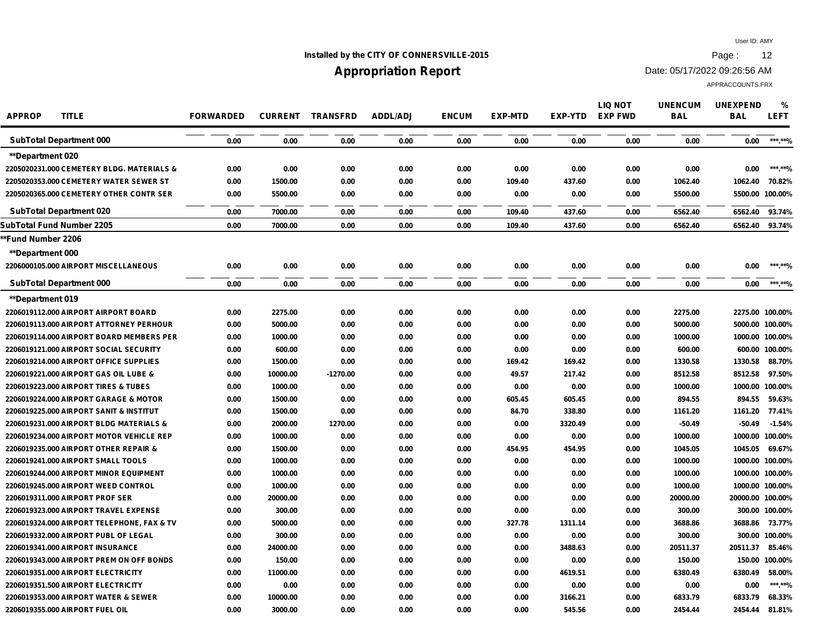## **Installed by the CITY OF CONNERSVILLE-2015 Page : 12**

# **Appropriation Report**

Date: 05/17/2022 09:26:56 AM

| <b>APPROP</b><br><b>TITLE</b>              | <b>FORWARDED</b> |          | <b>CURRENT TRANSFRD</b> | <b>ADDL/ADJ</b> | <b>ENCUM</b> | <b>EXP-MTD</b> | <b>EXP-YTD</b> | <b>LIQ NOT</b><br><b>EXP FWD</b> | <b>UNENCUM</b><br><b>BAL</b> | <b>UNEXPEND</b><br><b>BAL</b> | %<br><b>LEFT</b> |
|--------------------------------------------|------------------|----------|-------------------------|-----------------|--------------|----------------|----------------|----------------------------------|------------------------------|-------------------------------|------------------|
| <b>SubTotal Department 000</b>             | 0.00             | 0.00     | 0.00                    | 0.00            | 0.00         | 0.00           | 0.00           | 0.00                             | 0.00                         | 0.00                          | ***.**%          |
| <b>**Department 020</b>                    |                  |          |                         |                 |              |                |                |                                  |                              |                               |                  |
| 2205020231.000 CEMETERY BLDG. MATERIALS &  | 0.00             | 0.00     | 0.00                    | 0.00            | 0.00         | 0.00           | 0.00           | 0.00                             | 0.00                         | 0.00                          | ***.**%          |
| 2205020353.000 CEMETERY WATER SEWER ST     | 0.00             | 1500.00  | 0.00                    | 0.00            | 0.00         | 109.40         | 437.60         | 0.00                             | 1062.40                      | 1062.40                       | 70.82%           |
| 2205020365.000 CEMETERY OTHER CONTR SER    | 0.00             | 5500.00  | 0.00                    | 0.00            | 0.00         | 0.00           | 0.00           | 0.00                             | 5500.00                      |                               | 5500.00 100.00%  |
| <b>SubTotal Department 020</b>             | 0.00             | 7000.00  | 0.00                    | 0.00            | 0.00         | 109.40         | 437.60         | 0.00                             | 6562.40                      | 6562.40                       | 93.74%           |
| SubTotal Fund Number 2205                  | 0.00             | 7000.00  | 0.00                    | 0.00            | 0.00         | 109.40         | 437.60         | 0.00                             | 6562.40                      | 6562.40                       | 93.74%           |
| *Fund Number 2206                          |                  |          |                         |                 |              |                |                |                                  |                              |                               |                  |
| **Department 000                           |                  |          |                         |                 |              |                |                |                                  |                              |                               |                  |
| 2206000105.000 AIRPORT MISCELLANEOUS       | 0.00             | 0.00     | 0.00                    | 0.00            | 0.00         | 0.00           | 0.00           | 0.00                             | 0.00                         | 0.00                          | ***.**%          |
| <b>SubTotal Department 000</b>             | 0.00             | 0.00     | 0.00                    | 0.00            | 0.00         | 0.00           | 0.00           | 0.00                             | 0.00                         | 0.00                          | ***.**%          |
| <b>**Department 019</b>                    |                  |          |                         |                 |              |                |                |                                  |                              |                               |                  |
| 2206019112.000 AIRPORT AIRPORT BOARD       | 0.00             | 2275.00  | 0.00                    | 0.00            | 0.00         | 0.00           | 0.00           | 0.00                             | 2275.00                      |                               | 2275.00 100.00%  |
| 2206019113.000 AIRPORT ATTORNEY PERHOUR    | 0.00             | 5000.00  | 0.00                    | 0.00            | 0.00         | 0.00           | 0.00           | 0.00                             | 5000.00                      |                               | 5000.00 100.00%  |
| 2206019114.000 AIRPORT BOARD MEMBERS PER   | 0.00             | 1000.00  | 0.00                    | 0.00            | 0.00         | 0.00           | 0.00           | 0.00                             | 1000.00                      |                               | 1000.00 100.00%  |
| 2206019121.000 AIRPORT SOCIAL SECURITY     | 0.00             | 600.00   | 0.00                    | 0.00            | 0.00         | 0.00           | 0.00           | 0.00                             | 600.00                       |                               | 600.00 100.00%   |
| 2206019214.000 AIRPORT OFFICE SUPPLIES     | 0.00             | 1500.00  | 0.00                    | 0.00            | 0.00         | 169.42         | 169.42         | 0.00                             | 1330.58                      | 1330.58                       | 88.70%           |
| 2206019221.000 AIRPORT GAS OIL LUBE &      | 0.00             | 10000.00 | $-1270.00$              | 0.00            | 0.00         | 49.57          | 217.42         | 0.00                             | 8512.58                      | 8512.58                       | 97.50%           |
| 2206019223.000 AIRPORT TIRES & TUBES       | 0.00             | 1000.00  | 0.00                    | 0.00            | 0.00         | 0.00           | 0.00           | 0.00                             | 1000.00                      |                               | 1000.00 100.00%  |
| 2206019224.000 AIRPORT GARAGE & MOTOR      | 0.00             | 1500.00  | 0.00                    | 0.00            | 0.00         | 605.45         | 605.45         | 0.00                             | 894.55                       | 894.55                        | 59.63%           |
| 2206019225.000 AIRPORT SANIT & INSTITUT    | 0.00             | 1500.00  | 0.00                    | 0.00            | 0.00         | 84.70          | 338.80         | 0.00                             | 1161.20                      | 1161.20                       | 77.41%           |
| 2206019231.000 AIRPORT BLDG MATERIALS &    | 0.00             | 2000.00  | 1270.00                 | 0.00            | 0.00         | 0.00           | 3320.49        | 0.00                             | $-50.49$                     | $-50.49$                      | $-1.54%$         |
| 2206019234.000 AIRPORT MOTOR VEHICLE REP   | 0.00             | 1000.00  | 0.00                    | 0.00            | 0.00         | 0.00           | 0.00           | 0.00                             | 1000.00                      |                               | 1000.00 100.00%  |
| 2206019235.000 AIRPORT OTHER REPAIR &      | 0.00             | 1500.00  | 0.00                    | 0.00            | 0.00         | 454.95         | 454.95         | 0.00                             | 1045.05                      | 1045.05                       | 69.67%           |
| 2206019241.000 AIRPORT SMALL TOOLS         | 0.00             | 1000.00  | 0.00                    | 0.00            | 0.00         | 0.00           | 0.00           | 0.00                             | 1000.00                      |                               | 1000.00 100.00%  |
| 2206019244.000 AIRPORT MINOR EQUIPMENT     | 0.00             | 1000.00  | 0.00                    | 0.00            | 0.00         | 0.00           | 0.00           | 0.00                             | 1000.00                      |                               | 1000.00 100.00%  |
| 2206019245.000 AIRPORT WEED CONTROL        | 0.00             | 1000.00  | 0.00                    | 0.00            | 0.00         | 0.00           | 0.00           | 0.00                             | 1000.00                      |                               | 1000.00 100.00%  |
| 2206019311.000 AIRPORT PROF SER            | 0.00             | 20000.00 | 0.00                    | 0.00            | 0.00         | 0.00           | 0.00           | 0.00                             | 20000.00                     | 20000.00 100.00%              |                  |
| 2206019323.000 AIRPORT TRAVEL EXPENSE      | 0.00             | 300.00   | 0.00                    | 0.00            | 0.00         | 0.00           | 0.00           | 0.00                             | 300.00                       |                               | 300.00 100.00%   |
| 2206019324.000 AIRPORT TELEPHONE, FAX & TV | 0.00             | 5000.00  | 0.00                    | 0.00            | 0.00         | 327.78         | 1311.14        | 0.00                             | 3688.86                      |                               | 3688.86 73.77%   |
| 2206019332.000 AIRPORT PUBL OF LEGAL       | 0.00             | 300.00   | 0.00                    | 0.00            | 0.00         | 0.00           | 0.00           | 0.00                             | 300.00                       |                               | 300.00 100.00%   |
| 2206019341.000 AIRPORT INSURANCE           | 0.00             | 24000.00 | 0.00                    | 0.00            | 0.00         | 0.00           | 3488.63        | 0.00                             | 20511.37                     | 20511.37                      | 85.46%           |
| 2206019343.000 AIRPORT PREM ON OFF BONDS   | 0.00             | 150.00   | 0.00                    | 0.00            | 0.00         | 0.00           | 0.00           | 0.00                             | 150.00                       |                               | 150.00 100.00%   |
| 2206019351.000 AIRPORT ELECTRICITY         | 0.00             | 11000.00 | 0.00                    | 0.00            | 0.00         | 0.00           | 4619.51        | 0.00                             | 6380.49                      | 6380.49                       | 58.00%           |
| 2206019351.500 AIRPORT ELECTRICITY         | 0.00             | 0.00     | 0.00                    | 0.00            | 0.00         | 0.00           | 0.00           | 0.00                             | 0.00                         | 0.00                          | ***.**%          |
| 2206019353.000 AIRPORT WATER & SEWER       | 0.00             | 10000.00 | 0.00                    | 0.00            | 0.00         | 0.00           | 3166.21        | 0.00                             | 6833.79                      | 6833.79                       | 68.33%           |
| 2206019355.000 AIRPORT FUEL OIL            | 0.00             | 3000.00  | 0.00                    | 0.00            | 0.00         | 0.00           | 545.56         | 0.00                             | 2454.44                      | 2454.44                       | 81.81%           |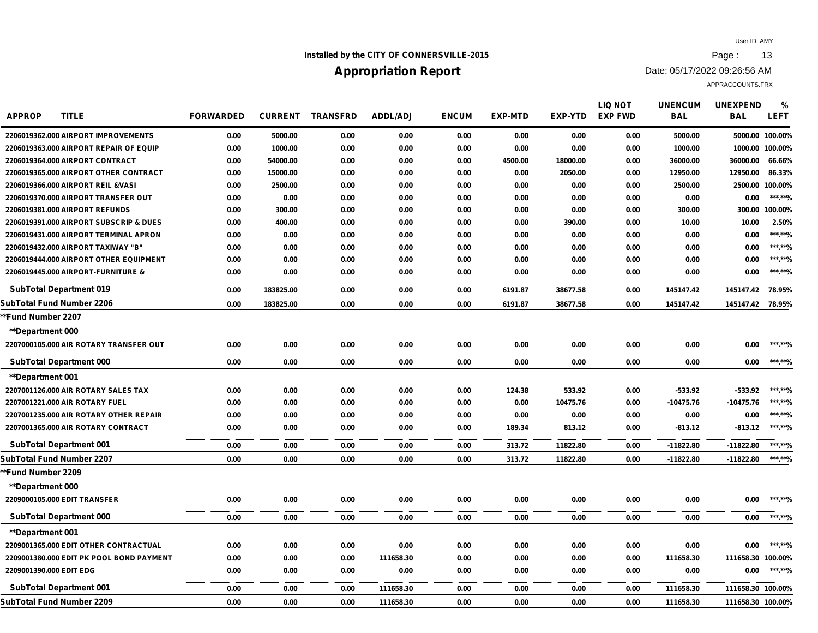## **Installed by the CITY OF CONNERSVILLE-2015 Page : 13**

# **Appropriation Report**

Date: 05/17/2022 09:26:56 AM

| <b>APPROP</b><br><b>TITLE</b>            | <b>FORWARDED</b> | <b>CURRENT</b> | <b>TRANSFRD</b> | <b>ADDL/ADJ</b> | <b>ENCUM</b> | <b>EXP-MTD</b> | EXP-YTD  | <b>LIQ NOT</b><br><b>EXP FWD</b> | <b>UNENCUM</b><br><b>BAL</b> | <b>UNEXPEND</b><br><b>BAL</b> | %<br><b>LEFT</b> |
|------------------------------------------|------------------|----------------|-----------------|-----------------|--------------|----------------|----------|----------------------------------|------------------------------|-------------------------------|------------------|
| 2206019362.000 AIRPORT IMPROVEMENTS      | 0.00             | 5000.00        | 0.00            | 0.00            | 0.00         | 0.00           | 0.00     | 0.00                             | 5000.00                      |                               | 5000.00 100.00%  |
| 2206019363.000 AIRPORT REPAIR OF EQUIP   | 0.00             | 1000.00        | 0.00            | 0.00            | 0.00         | 0.00           | 0.00     | 0.00                             | 1000.00                      |                               | 1000.00 100.00%  |
| 2206019364.000 AIRPORT CONTRACT          | 0.00             | 54000.00       | 0.00            | 0.00            | 0.00         | 4500.00        | 18000.00 | 0.00                             | 36000.00                     | 36000.00                      | 66.66%           |
| 2206019365.000 AIRPORT OTHER CONTRACT    | 0.00             | 15000.00       | 0.00            | 0.00            | 0.00         | 0.00           | 2050.00  | 0.00                             | 12950.00                     | 12950.00                      | 86.33%           |
| 2206019366.000 AIRPORT REIL & VASI       | 0.00             | 2500.00        | 0.00            | 0.00            | 0.00         | 0.00           | 0.00     | 0.00                             | 2500.00                      |                               | 2500.00 100.00%  |
| 2206019370.000 AIRPORT TRANSFER OUT      | 0.00             | 0.00           | 0.00            | 0.00            | 0.00         | 0.00           | 0.00     | 0.00                             | 0.00                         | 0.00                          | ***.**%          |
| 2206019381.000 AIRPORT REFUNDS           | 0.00             | 300.00         | 0.00            | 0.00            | 0.00         | 0.00           | 0.00     | 0.00                             | 300.00                       |                               | 300.00 100.00%   |
| 2206019391.000 AIRPORT SUBSCRIP & DUES   | 0.00             | 400.00         | 0.00            | 0.00            | 0.00         | 0.00           | 390.00   | 0.00                             | 10.00                        | 10.00                         | 2.50%            |
| 2206019431.000 AIRPORT TERMINAL APRON    | 0.00             | 0.00           | 0.00            | 0.00            | 0.00         | 0.00           | 0.00     | 0.00                             | 0.00                         | 0.00                          | ***.**%          |
| 2206019432.000 AIRPORT TAXIWAY "B"       | 0.00             | 0.00           | 0.00            | 0.00            | 0.00         | 0.00           | 0.00     | 0.00                             | 0.00                         | 0.00                          | ***.**%          |
| 2206019444.000 AIRPORT OTHER EQUIPMENT   | 0.00             | 0.00           | 0.00            | 0.00            | 0.00         | 0.00           | 0.00     | 0.00                             | 0.00                         | 0.00                          | ***.**%          |
| 2206019445.000 AIRPORT-FURNITURE &       | 0.00             | 0.00           | 0.00            | 0.00            | 0.00         | 0.00           | 0.00     | 0.00                             | 0.00                         | 0.00                          | ***.**%          |
| <b>SubTotal Department 019</b>           | 0.00             | 183825.00      | 0.00            | 0.00            | 0.00         | 6191.87        | 38677.58 | 0.00                             | 145147.42                    | 145147.42                     | 78.95%           |
| SubTotal Fund Number 2206                | 0.00             | 183825.00      | 0.00            | 0.00            | 0.00         | 6191.87        | 38677.58 | 0.00                             | 145147.42                    | 145147.42 78.95%              |                  |
| *Fund Number 2207                        |                  |                |                 |                 |              |                |          |                                  |                              |                               |                  |
| <b>**Department 000</b>                  |                  |                |                 |                 |              |                |          |                                  |                              |                               |                  |
| 2207000105.000 AIR ROTARY TRANSFER OUT   | 0.00             | 0.00           | 0.00            | 0.00            | 0.00         | 0.00           | 0.00     | 0.00                             | 0.00                         | 0.00                          | ***.**%          |
| <b>SubTotal Department 000</b>           | 0.00             | 0.00           | 0.00            | 0.00            | 0.00         | 0.00           | 0.00     | 0.00                             | 0.00                         | 0.00                          | ***.**%          |
| <b>**Department 001</b>                  |                  |                |                 |                 |              |                |          |                                  |                              |                               |                  |
| 2207001126.000 AIR ROTARY SALES TAX      | 0.00             | 0.00           | 0.00            | 0.00            | 0.00         | 124.38         | 533.92   | 0.00                             | $-533.92$                    | -533.92                       | ***.**%          |
| 2207001221.000 AIR ROTARY FUEL           | 0.00             | 0.00           | 0.00            | 0.00            | 0.00         | 0.00           | 10475.76 | 0.00                             | $-10475.76$                  | $-10475.76$                   | ***.**%          |
| 2207001235.000 AIR ROTARY OTHER REPAIR   | 0.00             | 0.00           | 0.00            | 0.00            | 0.00         | 0.00           | 0.00     | 0.00                             | 0.00                         | 0.00                          | ***.**%          |
| 2207001365.000 AIR ROTARY CONTRACT       | 0.00             | 0.00           | 0.00            | 0.00            | 0.00         | 189.34         | 813.12   | 0.00                             | $-813.12$                    | $-813.12$                     | ***.**%          |
| <b>SubTotal Department 001</b>           | 0.00             | 0.00           | 0.00            | 0.00            | 0.00         | 313.72         | 11822.80 | 0.00                             | $-11822.80$                  | $-11822.80$                   | ******%          |
| SubTotal Fund Number 2207                | 0.00             | 0.00           | 0.00            | 0.00            | 0.00         | 313.72         | 11822.80 | 0.00                             | $-11822.80$                  | -11822.80                     | ***.**%          |
| **Fund Number 2209                       |                  |                |                 |                 |              |                |          |                                  |                              |                               |                  |
| <b>**Department 000</b>                  |                  |                |                 |                 |              |                |          |                                  |                              |                               |                  |
| 2209000105.000 EDIT TRANSFER             | 0.00             | 0.00           | 0.00            | 0.00            | 0.00         | 0.00           | 0.00     | 0.00                             | 0.00                         | 0.00                          | ***.**%          |
| <b>SubTotal Department 000</b>           | 0.00             | 0.00           | 0.00            | 0.00            | 0.00         | 0.00           | 0.00     | 0.00                             | 0.00                         | 0.00                          | ***.**%          |
| <b>**Department 001</b>                  |                  |                |                 |                 |              |                |          |                                  |                              |                               |                  |
| 2209001365.000 EDIT OTHER CONTRACTUAL    | 0.00             | 0.00           | 0.00            | 0.00            | 0.00         | 0.00           | 0.00     | 0.00                             | 0.00                         | 0.00                          | ***.**%          |
| 2209001380.000 EDIT PK POOL BOND PAYMENT | 0.00             | 0.00           | 0.00            | 111658.30       | 0.00         | 0.00           | 0.00     | 0.00                             | 111658.30                    | 111658.30 100.00%             |                  |
| 2209001390.000 EDIT EDG                  | 0.00             | 0.00           | 0.00            | 0.00            | 0.00         | 0.00           | 0.00     | 0.00                             | 0.00                         | 0.00                          | ***.**%          |
| <b>SubTotal Department 001</b>           | 0.00             | 0.00           | 0.00            | 111658.30       | 0.00         | 0.00           | 0.00     | 0.00                             | 111658.30                    | 111658.30 100.00%             |                  |
| SubTotal Fund Number 2209                | 0.00             | 0.00           | 0.00            | 111658.30       | 0.00         | 0.00           | 0.00     | 0.00                             | 111658.30                    | 111658.30 100.00%             |                  |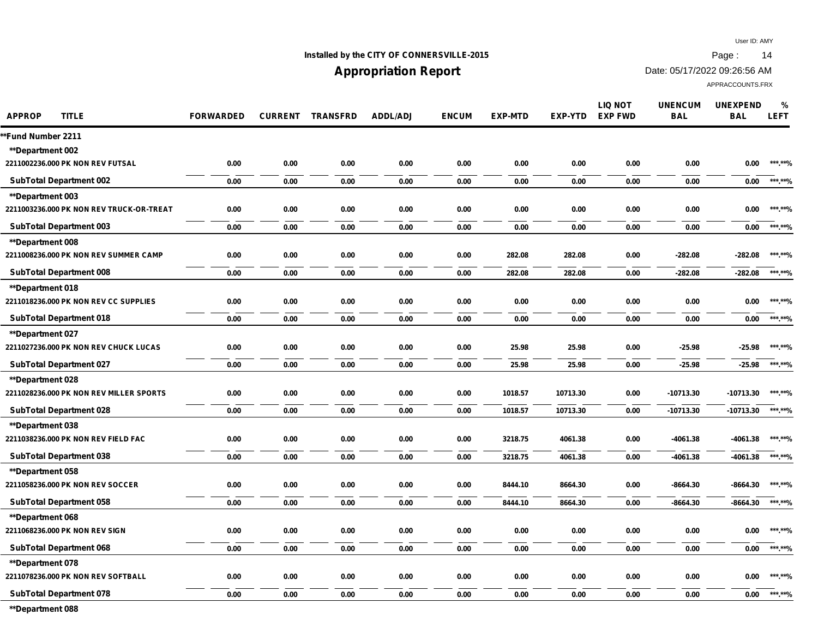## **Installed by the CITY OF CONNERSVILLE-2015 Page : 14**

## **Appropriation Report**

Date: 05/17/2022 09:26:56 AM

APPRACCOUNTS.FRX

| <b>APPROP</b><br><b>TITLE</b>            | <b>FORWARDED</b> | <b>CURRENT</b> | <b>TRANSFRD</b> | <b>ADDL/ADJ</b> | <b>ENCUM</b> | <b>EXP-MTD</b> | EXP-YTD  | <b>LIQ NOT</b><br><b>EXP FWD</b> | <b>UNENCUM</b><br><b>BAL</b> | <b>UNEXPEND</b><br><b>BAL</b> | $\%$<br><b>LEFT</b> |
|------------------------------------------|------------------|----------------|-----------------|-----------------|--------------|----------------|----------|----------------------------------|------------------------------|-------------------------------|---------------------|
| *Fund Number 2211                        |                  |                |                 |                 |              |                |          |                                  |                              |                               |                     |
| **Department 002                         |                  |                |                 |                 |              |                |          |                                  |                              |                               |                     |
| 2211002236.000 PK NON REV FUTSAL         | 0.00             | 0.00           | 0.00            | 0.00            | 0.00         | 0.00           | 0.00     | 0.00                             | 0.00                         | 0.00                          | ***.**%             |
| <b>SubTotal Department 002</b>           | 0.00             | 0.00           | 0.00            | 0.00            | 0.00         | 0.00           | 0.00     | 0.00                             | 0.00                         | 0.00                          | ******%             |
| <b>**Department 003</b>                  |                  |                |                 |                 |              |                |          |                                  |                              |                               |                     |
| 2211003236.000 PK NON REV TRUCK-OR-TREAT | 0.00             | 0.00           | 0.00            | 0.00            | 0.00         | 0.00           | 0.00     | 0.00                             | 0.00                         | 0.00                          | ***.**%             |
| <b>SubTotal Department 003</b>           | 0.00             | 0.00           | 0.00            | 0.00            | 0.00         | 0.00           | 0.00     | 0.00                             | 0.00                         | 0.00                          | ***.**%             |
| <b>**Department 008</b>                  |                  |                |                 |                 |              |                |          |                                  |                              |                               |                     |
| 2211008236.000 PK NON REV SUMMER CAMP    | 0.00             | 0.00           | 0.00            | 0.00            | 0.00         | 282.08         | 282.08   | 0.00                             | $-282.08$                    | $-282.08$                     | ***.**%             |
| <b>SubTotal Department 008</b>           | 0.00             | 0.00           | 0.00            | 0.00            | 0.00         | 282.08         | 282.08   | 0.00                             | $-282.08$                    | $-282.08$                     | ***.**%             |
| <b>**Department 018</b>                  |                  |                |                 |                 |              |                |          |                                  |                              |                               |                     |
| 2211018236.000 PK NON REV CC SUPPLIES    | 0.00             | 0.00           | 0.00            | 0.00            | 0.00         | 0.00           | 0.00     | 0.00                             | 0.00                         | 0.00                          | ***.**%             |
| <b>SubTotal Department 018</b>           | 0.00             | 0.00           | 0.00            | 0.00            | 0.00         | 0.00           | 0.00     | 0.00                             | 0.00                         | 0.00                          | ***.**%             |
| <b>**Department 027</b>                  |                  |                |                 |                 |              |                |          |                                  |                              |                               |                     |
| 2211027236.000 PK NON REV CHUCK LUCAS    | 0.00             | 0.00           | 0.00            | 0.00            | 0.00         | 25.98          | 25.98    | 0.00                             | $-25.98$                     | $-25.98$                      | ***.**%             |
| <b>SubTotal Department 027</b>           | 0.00             | 0.00           | 0.00            | 0.00            | 0.00         | 25.98          | 25.98    | 0.00                             | $-25.98$                     | $-25.98$                      | ***.**%             |
| <b>**Department 028</b>                  |                  |                |                 |                 |              |                |          |                                  |                              |                               |                     |
| 2211028236.000 PK NON REV MILLER SPORTS  | 0.00             | 0.00           | 0.00            | 0.00            | 0.00         | 1018.57        | 10713.30 | 0.00                             | $-10713.30$                  | $-10713.30$                   | ***.**%             |
| <b>SubTotal Department 028</b>           | 0.00             | 0.00           | 0.00            | 0.00            | 0.00         | 1018.57        | 10713.30 | 0.00                             | $-10713.30$                  | -10713.30                     | ***.**%             |
| <b>**Department 038</b>                  |                  |                |                 |                 |              |                |          |                                  |                              |                               |                     |
| 2211038236.000 PK NON REV FIELD FAC      | 0.00             | 0.00           | 0.00            | 0.00            | 0.00         | 3218.75        | 4061.38  | 0.00                             | $-4061.38$                   | $-4061.38$                    | ***.**%             |
| <b>SubTotal Department 038</b>           | 0.00             | 0.00           | 0.00            | 0.00            | 0.00         | 3218.75        | 4061.38  | 0.00                             | $-4061.38$                   | $-4061.38$                    | ***.**%             |
| <b>**Department 058</b>                  |                  |                |                 |                 |              |                |          |                                  |                              |                               |                     |
| 2211058236.000 PK NON REV SOCCER         | 0.00             | 0.00           | 0.00            | 0.00            | 0.00         | 8444.10        | 8664.30  | 0.00                             | $-8664.30$                   | $-8664.30$                    | ***.**%             |
| <b>SubTotal Department 058</b>           | 0.00             | 0.00           | 0.00            | 0.00            | 0.00         | 8444.10        | 8664.30  | 0.00                             | $-8664.30$                   | $-8664.30$                    | ******%             |
| **Department 068                         |                  |                |                 |                 |              |                |          |                                  |                              |                               |                     |
| 2211068236.000 PK NON REV SIGN           | 0.00             | 0.00           | 0.00            | 0.00            | 0.00         | 0.00           | 0.00     | 0.00                             | 0.00                         | 0.00                          | ***.**%             |
| <b>SubTotal Department 068</b>           | 0.00             | 0.00           | 0.00            | 0.00            | 0.00         | 0.00           | 0.00     | 0.00                             | 0.00                         | 0.00                          | ***.**%             |
| <b>**Department 078</b>                  |                  |                |                 |                 |              |                |          |                                  |                              |                               |                     |
| 2211078236.000 PK NON REV SOFTBALL       | 0.00             | 0.00           | 0.00            | 0.00            | 0.00         | 0.00           | 0.00     | 0.00                             | 0.00                         | 0.00                          | ***.**%             |
| <b>SubTotal Department 078</b>           | 0.00             | 0.00           | 0.00            | 0.00            | 0.00         | 0.00           | 0.00     | 0.00                             | 0.00                         | 0.00                          | ***.**%             |
|                                          |                  |                |                 |                 |              |                |          |                                  |                              |                               |                     |

**\*\*Department 088**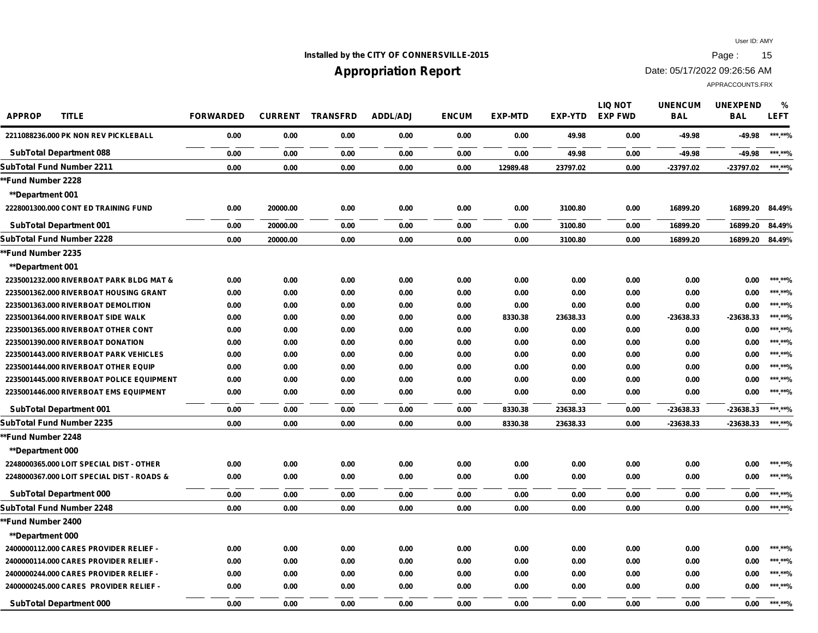## **Installed by the CITY OF CONNERSVILLE-2015 Page : 15**

## **Appropriation Report**

Date: 05/17/2022 09:26:56 AM

| <b>APPROP</b><br><b>TITLE</b>              | <b>FORWARDED</b> | <b>CURRENT</b> | <b>TRANSFRD</b> | <b>ADDL/ADJ</b> | <b>ENCUM</b> | <b>EXP-MTD</b> | EXP-YTD  | <b>LIQ NOT</b><br><b>EXP FWD</b> | <b>UNENCUM</b><br><b>BAL</b> | <b>UNEXPEND</b><br><b>BAL</b> | %<br><b>LEFT</b> |
|--------------------------------------------|------------------|----------------|-----------------|-----------------|--------------|----------------|----------|----------------------------------|------------------------------|-------------------------------|------------------|
| 2211088236,000 PK NON REV PICKLEBALL       | 0.00             | 0.00           | 0.00            | 0.00            | 0.00         | 0.00           | 49.98    | 0.00                             | $-49.98$                     | $-49.98$                      | ***.**%          |
| <b>SubTotal Department 088</b>             | 0.00             | 0.00           | 0.00            | 0.00            | 0.00         | 0.00           | 49.98    | 0.00                             | $-49.98$                     | -49.98                        | ***.**%          |
| SubTotal Fund Number 2211                  | 0.00             | 0.00           | 0.00            | 0.00            | 0.00         | 12989.48       | 23797.02 | 0.00                             | -23797.02                    | -23797.02                     | ***.**%          |
| *Fund Number 2228                          |                  |                |                 |                 |              |                |          |                                  |                              |                               |                  |
| <b>**Department 001</b>                    |                  |                |                 |                 |              |                |          |                                  |                              |                               |                  |
| 2228001300.000 CONT ED TRAINING FUND       | 0.00             | 20000.00       | 0.00            | 0.00            | 0.00         | 0.00           | 3100.80  | 0.00                             | 16899.20                     | 16899.20                      | 84.49%           |
| <b>SubTotal Department 001</b>             | 0.00             | 20000.00       | 0.00            | 0.00            | 0.00         | 0.00           | 3100.80  | 0.00                             | 16899.20                     | 16899.20                      | 84.49%           |
| SubTotal Fund Number 2228                  | 0.00             | 20000.00       | 0.00            | 0.00            | 0.00         | 0.00           | 3100.80  | 0.00                             | 16899.20                     | 16899.20                      | 84.49%           |
| *Fund Number 2235                          |                  |                |                 |                 |              |                |          |                                  |                              |                               |                  |
| <b>**Department 001</b>                    |                  |                |                 |                 |              |                |          |                                  |                              |                               |                  |
| 2235001232.000 RIVERBOAT PARK BLDG MAT &   | 0.00             | 0.00           | 0.00            | 0.00            | 0.00         | 0.00           | 0.00     | 0.00                             | 0.00                         | 0.00                          | ***.**%          |
| 2235001362.000 RIVERBOAT HOUSING GRANT     | 0.00             | 0.00           | 0.00            | 0.00            | 0.00         | 0.00           | 0.00     | 0.00                             | 0.00                         | 0.00                          | ***.**%          |
| 2235001363.000 RIVERBOAT DEMOLITION        | 0.00             | 0.00           | 0.00            | 0.00            | 0.00         | 0.00           | 0.00     | 0.00                             | 0.00                         | 0.00                          | ***.**%          |
| 2235001364.000 RIVERBOAT SIDE WALK         | 0.00             | 0.00           | 0.00            | 0.00            | 0.00         | 8330.38        | 23638.33 | 0.00                             | -23638.33                    | -23638.33                     | ***.**%          |
| 2235001365.000 RIVERBOAT OTHER CONT        | 0.00             | 0.00           | 0.00            | 0.00            | 0.00         | 0.00           | 0.00     | 0.00                             | 0.00                         | 0.00                          | ***.**%          |
| 2235001390.000 RIVERBOAT DONATION          | 0.00             | 0.00           | 0.00            | 0.00            | 0.00         | 0.00           | 0.00     | 0.00                             | 0.00                         | 0.00                          | ***.**%          |
| 2235001443.000 RIVERBOAT PARK VEHICLES     | 0.00             | 0.00           | 0.00            | 0.00            | 0.00         | 0.00           | 0.00     | 0.00                             | 0.00                         | 0.00                          | ***.**%          |
| 2235001444.000 RIVERBOAT OTHER EQUIP       | 0.00             | 0.00           | 0.00            | 0.00            | 0.00         | 0.00           | 0.00     | 0.00                             | 0.00                         | 0.00                          | ***.**%          |
| 2235001445.000 RIVERBOAT POLICE EQUIPMENT  | 0.00             | 0.00           | 0.00            | 0.00            | 0.00         | 0.00           | 0.00     | 0.00                             | 0.00                         | 0.00                          | ***.**%          |
| 2235001446.000 RIVERBOAT EMS EQUIPMENT     | 0.00             | 0.00           | 0.00            | 0.00            | 0.00         | 0.00           | 0.00     | 0.00                             | 0.00                         | 0.00                          | ***.**%          |
| <b>SubTotal Department 001</b>             | 0.00             | 0.00           | 0.00            | 0.00            | 0.00         | 8330.38        | 23638.33 | 0.00                             | -23638.33                    | -23638.33                     | ***.**%          |
| SubTotal Fund Number 2235                  | 0.00             | 0.00           | 0.00            | 0.00            | 0.00         | 8330.38        | 23638.33 | 0.00                             | -23638.33                    | -23638.33                     | ***.**%          |
| *Fund Number 2248                          |                  |                |                 |                 |              |                |          |                                  |                              |                               |                  |
| <b>**Department 000</b>                    |                  |                |                 |                 |              |                |          |                                  |                              |                               |                  |
| 2248000365.000 LOIT SPECIAL DIST - OTHER   | 0.00             | 0.00           | 0.00            | 0.00            | 0.00         | 0.00           | 0.00     | 0.00                             | 0.00                         | 0.00                          | ***.**%          |
| 2248000367.000 LOIT SPECIAL DIST - ROADS & | 0.00             | 0.00           | 0.00            | 0.00            | 0.00         | 0.00           | 0.00     | 0.00                             | 0.00                         | 0.00                          | ***.**%          |
| <b>SubTotal Department 000</b>             | 0.00             | 0.00           | 0.00            | 0.00            | 0.00         | 0.00           | 0.00     | 0.00                             | 0.00                         | 0.00                          | ***.**%          |
| SubTotal Fund Number 2248                  | 0.00             | 0.00           | 0.00            | 0.00            | 0.00         | 0.00           | 0.00     | 0.00                             | 0.00                         | 0.00                          | ***.**%          |
| *Fund Number 2400                          |                  |                |                 |                 |              |                |          |                                  |                              |                               |                  |
| <b>**Department 000</b>                    |                  |                |                 |                 |              |                |          |                                  |                              |                               |                  |
| 2400000112.000 CARES PROVIDER RELIEF -     | 0.00             | 0.00           | 0.00            | 0.00            | 0.00         | 0.00           | 0.00     | 0.00                             | 0.00                         | 0.00                          | ***.**%          |
| 2400000114.000 CARES PROVIDER RELIEF -     | 0.00             | 0.00           | 0.00            | 0.00            | 0.00         | 0.00           | 0.00     | 0.00                             | 0.00                         | 0.00                          | ***.**%          |
| 2400000244.000 CARES PROVIDER RELIEF -     | 0.00             | 0.00           | 0.00            | 0.00            | 0.00         | 0.00           | 0.00     | 0.00                             | 0.00                         | 0.00                          | ***.**%          |
| 2400000245.000 CARES PROVIDER RELIEF -     | 0.00             | 0.00           | 0.00            | 0.00            | 0.00         | 0.00           | 0.00     | 0.00                             | 0.00                         | 0.00                          | ***.**%          |
| <b>SubTotal Department 000</b>             | 0.00             | 0.00           | 0.00            | 0.00            | 0.00         | 0.00           | 0.00     | 0.00                             | 0.00                         | 0.00                          | *** **0/         |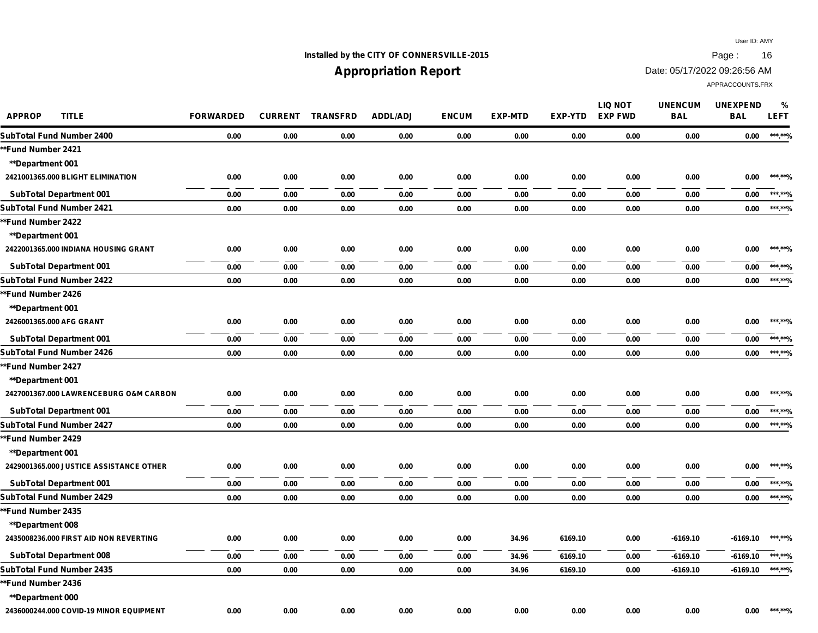## **Installed by the CITY OF CONNERSVILLE-2015 Page : 16**

# **Appropriation Report**

Date: 05/17/2022 09:26:56 AM

| <b>APPROP</b><br><b>TITLE</b>           | <b>FORWARDED</b> | <b>CURRENT</b> | <b>TRANSFRD</b> | <b>ADDL/ADJ</b> | <b>ENCUM</b> | <b>EXP-MTD</b> | <b>EXP-YTD</b> | LIQ NOT<br><b>EXP FWD</b> | <b>UNENCUM</b><br><b>BAL</b> | <b>UNEXPEND</b><br><b>BAL</b> | %<br><b>LEFT</b> |
|-----------------------------------------|------------------|----------------|-----------------|-----------------|--------------|----------------|----------------|---------------------------|------------------------------|-------------------------------|------------------|
| SubTotal Fund Number 2400               | 0.00             | 0.00           | 0.00            | 0.00            | 0.00         | 0.00           | 0.00           | 0.00                      | 0.00                         | 0.00                          | ***.**%          |
| <b>**Fund Number 2421</b>               |                  |                |                 |                 |              |                |                |                           |                              |                               |                  |
| <b>**Department 001</b>                 |                  |                |                 |                 |              |                |                |                           |                              |                               |                  |
| 2421001365.000 BLIGHT ELIMINATION       | 0.00             | 0.00           | 0.00            | 0.00            | 0.00         | 0.00           | 0.00           | 0.00                      | 0.00                         | 0.00                          | ***.**%          |
| <b>SubTotal Department 001</b>          | 0.00             | 0.00           | 0.00            | 0.00            | 0.00         | 0.00           | 0.00           | 0.00                      | 0.00                         | 0.00                          | ***.**%          |
| SubTotal Fund Number 2421               | 0.00             | 0.00           | 0.00            | 0.00            | 0.00         | 0.00           | 0.00           | 0.00                      | 0.00                         | 0.00                          | ***.**%          |
| **Fund Number 2422                      |                  |                |                 |                 |              |                |                |                           |                              |                               |                  |
| <b>**Department 001</b>                 |                  |                |                 |                 |              |                |                |                           |                              |                               |                  |
| 2422001365.000 INDIANA HOUSING GRANT    | 0.00             | 0.00           | 0.00            | 0.00            | 0.00         | 0.00           | 0.00           | 0.00                      | 0.00                         | 0.00                          | ***.**%          |
| <b>SubTotal Department 001</b>          | 0.00             | 0.00           | 0.00            | 0.00            | 0.00         | 0.00           | 0.00           | 0.00                      | 0.00                         | 0.00                          | ***.**%          |
| SubTotal Fund Number 2422               | 0.00             | 0.00           | 0.00            | 0.00            | 0.00         | 0.00           | 0.00           | 0.00                      | 0.00                         | 0.00                          | ******%          |
| **Fund Number 2426                      |                  |                |                 |                 |              |                |                |                           |                              |                               |                  |
| <b>**Department 001</b>                 |                  |                |                 |                 |              |                |                |                           |                              |                               |                  |
| 2426001365.000 AFG GRANT                | 0.00             | 0.00           | 0.00            | 0.00            | 0.00         | 0.00           | 0.00           | 0.00                      | 0.00                         | 0.00                          | ***.**%          |
| <b>SubTotal Department 001</b>          | 0.00             | 0.00           | 0.00            | 0.00            | 0.00         | 0.00           | 0.00           | 0.00                      | 0.00                         | 0.00                          | ***.**%          |
| SubTotal Fund Number 2426               | 0.00             | 0.00           | 0.00            | 0.00            | 0.00         | 0.00           | 0.00           | 0.00                      | 0.00                         | 0.00                          | ***.**%          |
| *Fund Number 2427                       |                  |                |                 |                 |              |                |                |                           |                              |                               |                  |
| <b>**Department 001</b>                 |                  |                |                 |                 |              |                |                |                           |                              |                               |                  |
| 2427001367.000 LAWRENCEBURG O&M CARBON  | 0.00             | 0.00           | 0.00            | 0.00            | 0.00         | 0.00           | 0.00           | 0.00                      | 0.00                         | 0.00                          | *** **%          |
| <b>SubTotal Department 001</b>          | 0.00             | 0.00           | 0.00            | 0.00            | 0.00         | 0.00           | 0.00           | 0.00                      | 0.00                         | 0.00                          | ***.**%          |
| SubTotal Fund Number 2427               | 0.00             | 0.00           | 0.00            | 0.00            | 0.00         | 0.00           | 0.00           | 0.00                      | 0.00                         | 0.00                          | ***.**%          |
| *Fund Number 2429                       |                  |                |                 |                 |              |                |                |                           |                              |                               |                  |
| <b>**Department 001</b>                 |                  |                |                 |                 |              |                |                |                           |                              |                               |                  |
| 2429001365.000 JUSTICE ASSISTANCE OTHER | 0.00             | 0.00           | 0.00            | 0.00            | 0.00         | 0.00           | 0.00           | 0.00                      | 0.00                         | 0.00                          | ***.**%          |
| <b>SubTotal Department 001</b>          | 0.00             | 0.00           | 0.00            | 0.00            | 0.00         | 0.00           | 0.00           | 0.00                      | 0.00                         | 0.00                          | ***.**%          |
| SubTotal Fund Number 2429               | 0.00             | 0.00           | 0.00            | 0.00            | 0.00         | 0.00           | 0.00           | 0.00                      | 0.00                         | 0.00                          | ***.**%          |
| *Fund Number 2435                       |                  |                |                 |                 |              |                |                |                           |                              |                               |                  |
| <b>**Department 008</b>                 |                  |                |                 |                 |              |                |                |                           |                              |                               |                  |
| 2435008236.000 FIRST AID NON REVERTING  | 0.00             | 0.00           | 0.00            | 0.00            | 0.00         | 34.96          | 6169.10        | 0.00                      | $-6169.10$                   | $-6169.10$                    | ***.**%          |
| <b>SubTotal Department 008</b>          | 0.00             | 0.00           | 0.00            | 0.00            | 0.00         | 34.96          | 6169.10        | 0.00                      | $-6169.10$                   | $-6169.10$                    | ***.**%          |
| SubTotal Fund Number 2435               | 0.00             | 0.00           | 0.00            | 0.00            | 0.00         | 34.96          | 6169.10        | 0.00                      | $-6169.10$                   | $-6169.10$                    | ***.**%          |
| *Fund Number 2436                       |                  |                |                 |                 |              |                |                |                           |                              |                               |                  |
| <b>**Department 000</b>                 |                  |                |                 |                 |              |                |                |                           |                              |                               |                  |
| 2436000244.000 COVID-19 MINOR EQUIPMENT | 0.00             | 0.00           | 0.00            | 0.00            | 0.00         | 0.00           | 0.00           | 0.00                      | 0.00                         | 0.00                          | ***.**%          |
|                                         |                  |                |                 |                 |              |                |                |                           |                              |                               |                  |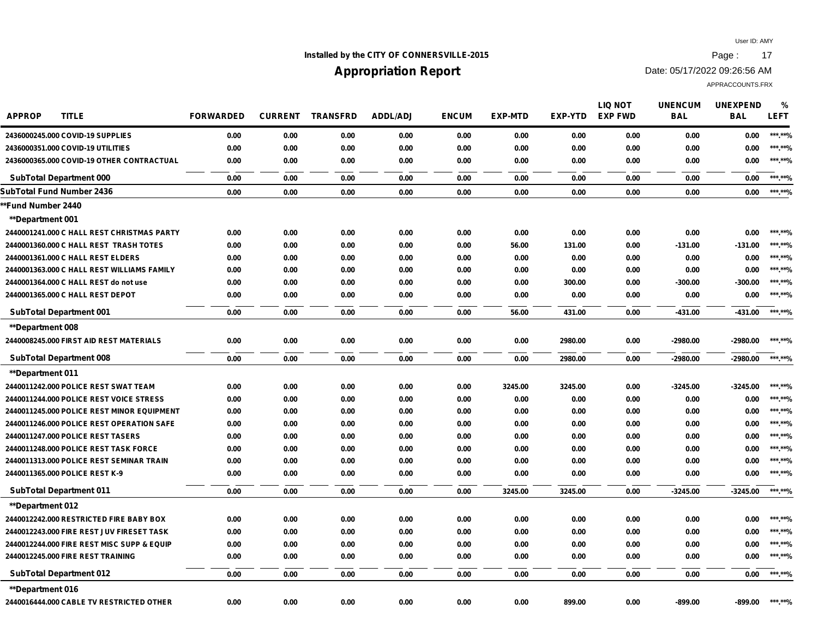## **Installed by the CITY OF CONNERSVILLE-2015 Page : 17**

# **Appropriation Report**

Date: 05/17/2022 09:26:56 AM

| <b>APPROP</b><br><b>TITLE</b>              | <b>FORWARDED</b> | <b>CURRENT</b> | <b>TRANSFRD</b> | <b>ADDL/ADJ</b> | <b>ENCUM</b> | <b>EXP-MTD</b> | <b>EXP-YTD</b> | <b>LIQ NOT</b><br><b>EXP FWD</b> | <b>UNENCUM</b><br><b>BAL</b> | <b>UNEXPEND</b><br><b>BAL</b> | $\frac{0}{0}$<br><b>LEFT</b> |
|--------------------------------------------|------------------|----------------|-----------------|-----------------|--------------|----------------|----------------|----------------------------------|------------------------------|-------------------------------|------------------------------|
| 2436000245.000 COVID-19 SUPPLIES           | 0.00             | 0.00           | 0.00            | 0.00            | 0.00         | 0.00           | 0.00           | 0.00                             | 0.00                         | 0.00                          | ***.**%                      |
| 2436000351.000 COVID-19 UTILITIES          | 0.00             | 0.00           | 0.00            | 0.00            | 0.00         | 0.00           | 0.00           | 0.00                             | 0.00                         | 0.00                          | ***.**%                      |
| 2436000365.000 COVID-19 OTHER CONTRACTUAL  | 0.00             | 0.00           | 0.00            | 0.00            | 0.00         | 0.00           | 0.00           | 0.00                             | 0.00                         | 0.00                          | ***.**%                      |
| <b>SubTotal Department 000</b>             | 0.00             | 0.00           | 0.00            | 0.00            | 0.00         | 0.00           | 0.00           | 0.00                             | 0.00                         | 0.00                          | ***.**%                      |
| SubTotal Fund Number 2436                  | 0.00             | 0.00           | 0.00            | 0.00            | 0.00         | 0.00           | 0.00           | 0.00                             | 0.00                         | 0.00                          | ***.**%                      |
| *Fund Number 2440                          |                  |                |                 |                 |              |                |                |                                  |                              |                               |                              |
| **Department 001                           |                  |                |                 |                 |              |                |                |                                  |                              |                               |                              |
| 2440001241.000 C HALL REST CHRISTMAS PARTY | 0.00             | 0.00           | 0.00            | 0.00            | 0.00         | 0.00           | 0.00           | 0.00                             | 0.00                         | 0.00                          | ***.**%                      |
| 2440001360.000 C HALL REST TRASH TOTES     | 0.00             | 0.00           | 0.00            | 0.00            | 0.00         | 56.00          | 131.00         | 0.00                             | $-131.00$                    | $-131.00$                     | ***.**%                      |
| 2440001361.000 C HALL REST ELDERS          | 0.00             | 0.00           | 0.00            | 0.00            | 0.00         | 0.00           | 0.00           | 0.00                             | 0.00                         | 0.00                          | ***.**%                      |
| 2440001363.000 C HALL REST WILLIAMS FAMILY | 0.00             | 0.00           | 0.00            | 0.00            | 0.00         | 0.00           | 0.00           | 0.00                             | 0.00                         | 0.00                          | ***.**%                      |
| 2440001364.000 C HALL REST do not use      | 0.00             | 0.00           | 0.00            | 0.00            | 0.00         | 0.00           | 300.00         | 0.00                             | $-300.00$                    | $-300.00$                     | ***.**%                      |
| 2440001365.000 C HALL REST DEPOT           | 0.00             | 0.00           | 0.00            | 0.00            | 0.00         | 0.00           | 0.00           | 0.00                             | 0.00                         | 0.00                          | ***.**%                      |
| <b>SubTotal Department 001</b>             | 0.00             | 0.00           | 0.00            | 0.00            | 0.00         | 56.00          | 431.00         | 0.00                             | $-431.00$                    | -431.00                       | ***.**%                      |
| <b>**Department 008</b>                    |                  |                |                 |                 |              |                |                |                                  |                              |                               |                              |
| 2440008245.000 FIRST AID REST MATERIALS    | 0.00             | 0.00           | 0.00            | 0.00            | 0.00         | 0.00           | 2980.00        | 0.00                             | $-2980.00$                   | $-2980.00$                    | ***.**%                      |
| <b>SubTotal Department 008</b>             | 0.00             | 0.00           | 0.00            | 0.00            | 0.00         | 0.00           | 2980.00        | 0.00                             | $-2980.00$                   | $-2980.00$                    | ***.**%                      |
| <b>**Department 011</b>                    |                  |                |                 |                 |              |                |                |                                  |                              |                               |                              |
| 2440011242.000 POLICE REST SWAT TEAM       | 0.00             | 0.00           | 0.00            | 0.00            | 0.00         | 3245.00        | 3245.00        | 0.00                             | $-3245.00$                   | $-3245.00$                    | ***.**%                      |
| 2440011244.000 POLICE REST VOICE STRESS    | 0.00             | 0.00           | 0.00            | 0.00            | 0.00         | 0.00           | 0.00           | 0.00                             | 0.00                         | 0.00                          | ***.**%                      |
| 2440011245.000 POLICE REST MINOR EQUIPMENT | 0.00             | 0.00           | 0.00            | 0.00            | 0.00         | 0.00           | 0.00           | 0.00                             | 0.00                         | 0.00                          | ***.**%                      |
| 2440011246.000 POLICE REST OPERATION SAFE  | 0.00             | 0.00           | 0.00            | 0.00            | 0.00         | 0.00           | 0.00           | 0.00                             | 0.00                         | 0.00                          | ***.**%                      |
| 2440011247.000 POLICE REST TASERS          | 0.00             | 0.00           | 0.00            | 0.00            | 0.00         | 0.00           | 0.00           | 0.00                             | 0.00                         | 0.00                          | ***.**%                      |
| 2440011248.000 POLICE REST TASK FORCE      | 0.00             | 0.00           | 0.00            | 0.00            | 0.00         | 0.00           | 0.00           | 0.00                             | 0.00                         | 0.00                          | ***.**%                      |
| 2440011313.000 POLICE REST SEMINAR TRAIN   | 0.00             | 0.00           | 0.00            | 0.00            | 0.00         | 0.00           | 0.00           | 0.00                             | 0.00                         | 0.00                          | ***.**%                      |
| 2440011365.000 POLICE REST K-9             | 0.00             | 0.00           | 0.00            | 0.00            | 0.00         | 0.00           | 0.00           | 0.00                             | 0.00                         | 0.00                          | ***.**%                      |
| <b>SubTotal Department 011</b>             | 0.00             | 0.00           | 0.00            | 0.00            | 0.00         | 3245.00        | 3245.00        | 0.00                             | $-3245.00$                   | $-3245.00$                    | ******%                      |
| <b>**Department 012</b>                    |                  |                |                 |                 |              |                |                |                                  |                              |                               |                              |
| 2440012242.000 RESTRICTED FIRE BABY BOX    | 0.00             | 0.00           | 0.00            | 0.00            | 0.00         | 0.00           | 0.00           | 0.00                             | 0.00                         | 0.00                          | ***.**%                      |
| 2440012243.000 FIRE REST JUV FIRESET TASK  | 0.00             | 0.00           | 0.00            | 0.00            | 0.00         | 0.00           | 0.00           | 0.00                             | 0.00                         | 0.00                          | ***.**%                      |
| 2440012244.000 FIRE REST MISC SUPP & EQUIP | 0.00             | 0.00           | 0.00            | 0.00            | 0.00         | 0.00           | 0.00           | 0.00                             | 0.00                         | 0.00                          | ***.**%                      |
| 2440012245.000 FIRE REST TRAINING          | 0.00             | 0.00           | 0.00            | 0.00            | 0.00         | 0.00           | 0.00           | 0.00                             | 0.00                         | 0.00                          | ***.**%                      |
| <b>SubTotal Department 012</b>             | 0.00             | 0.00           | 0.00            | 0.00            | 0.00         | 0.00           | 0.00           | 0.00                             | 0.00                         | 0.00                          | ***.**%                      |
| <b>**Department 016</b>                    |                  |                |                 |                 |              |                |                |                                  |                              |                               |                              |
| 2440016444.000 CABLE TV RESTRICTED OTHER   | 0.00             | 0.00           | 0.00            | 0.00            | 0.00         | 0.00           | 899.00         | 0.00                             | $-899.00$                    | -899.00                       | ***.**%                      |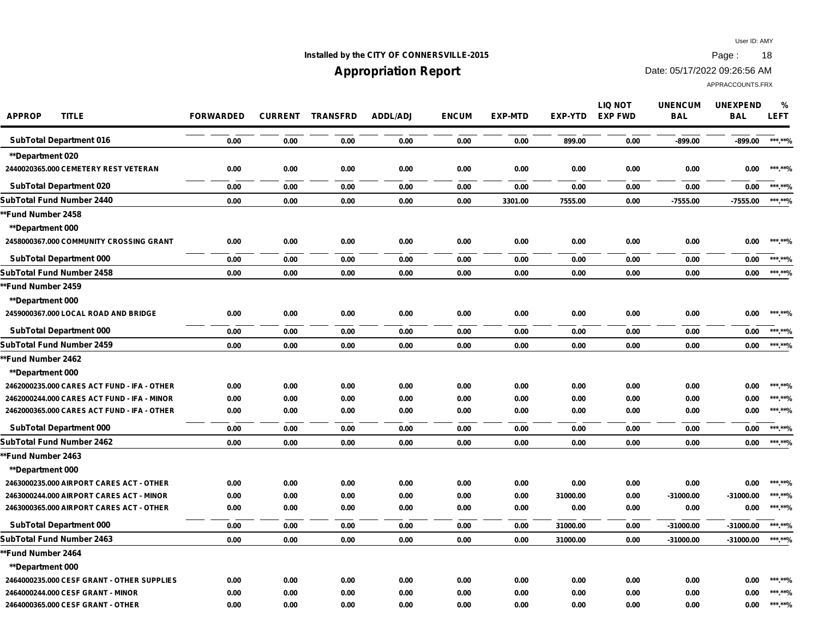## **Installed by the CITY OF CONNERSVILLE-2015 Page : 18**

# **Appropriation Report**

Date: 05/17/2022 09:26:56 AM

| <b>APPROP</b><br><b>TITLE</b>               | <b>FORWARDED</b> |      | <b>CURRENT TRANSFRD</b> | <b>ADDL/ADJ</b> | <b>ENCUM</b> | <b>EXP-MTD</b> | EXP-YTD  | <b>LIQ NOT</b><br><b>EXP FWD</b> | <b>UNENCUM</b><br><b>BAL</b> | <b>UNEXPEND</b><br><b>BAL</b> | %<br><b>LEFT</b> |
|---------------------------------------------|------------------|------|-------------------------|-----------------|--------------|----------------|----------|----------------------------------|------------------------------|-------------------------------|------------------|
| <b>SubTotal Department 016</b>              | 0.00             | 0.00 | 0.00                    | 0.00            | 0.00         | 0.00           | 899.00   | 0.00                             | $-899.00$                    | -899.00                       | ***.**%          |
| <b>**Department 020</b>                     |                  |      |                         |                 |              |                |          |                                  |                              |                               |                  |
| 2440020365.000 CEMETERY REST VETERAN        | 0.00             | 0.00 | 0.00                    | 0.00            | 0.00         | 0.00           | 0.00     | 0.00                             | 0.00                         | 0.00                          | ***.**%          |
| <b>SubTotal Department 020</b>              | 0.00             | 0.00 | 0.00                    | 0.00            | 0.00         | 0.00           | 0.00     | 0.00                             | 0.00                         | 0.00                          | ***.**%          |
| SubTotal Fund Number 2440                   | 0.00             | 0.00 | 0.00                    | 0.00            | 0.00         | 3301.00        | 7555.00  | 0.00                             | $-7555.00$                   | $-7555.00$                    | ******%          |
| *Fund Number 2458                           |                  |      |                         |                 |              |                |          |                                  |                              |                               |                  |
| **Department 000                            |                  |      |                         |                 |              |                |          |                                  |                              |                               |                  |
| 2458000367.000 COMMUNITY CROSSING GRANT     | 0.00             | 0.00 | 0.00                    | 0.00            | 0.00         | 0.00           | 0.00     | 0.00                             | 0.00                         | 0.00                          | *** **%          |
| <b>SubTotal Department 000</b>              | 0.00             | 0.00 | 0.00                    | 0.00            | 0.00         | 0.00           | 0.00     | 0.00                             | 0.00                         | 0.00                          | ***.**%          |
| SubTotal Fund Number 2458                   | 0.00             | 0.00 | 0.00                    | 0.00            | 0.00         | 0.00           | 0.00     | 0.00                             | 0.00                         | 0.00                          | ***.**%          |
| *Fund Number 2459                           |                  |      |                         |                 |              |                |          |                                  |                              |                               |                  |
| **Department 000                            |                  |      |                         |                 |              |                |          |                                  |                              |                               |                  |
| 2459000367.000 LOCAL ROAD AND BRIDGE        | 0.00             | 0.00 | 0.00                    | 0.00            | 0.00         | 0.00           | 0.00     | 0.00                             | 0.00                         | 0.00                          | ***.**%          |
| <b>SubTotal Department 000</b>              | 0.00             | 0.00 | 0.00                    | 0.00            | 0.00         | 0.00           | 0.00     | 0.00                             | 0.00                         | 0.00                          | ***.**%          |
| SubTotal Fund Number 2459                   | 0.00             | 0.00 | 0.00                    | 0.00            | 0.00         | 0.00           | 0.00     | 0.00                             | 0.00                         | 0.00                          | ***.**%          |
| *Fund Number 2462                           |                  |      |                         |                 |              |                |          |                                  |                              |                               |                  |
| **Department 000                            |                  |      |                         |                 |              |                |          |                                  |                              |                               |                  |
| 2462000235.000 CARES ACT FUND - IFA - OTHER | 0.00             | 0.00 | 0.00                    | 0.00            | 0.00         | 0.00           | 0.00     | 0.00                             | 0.00                         | 0.00                          | ***.**%          |
| 2462000244.000 CARES ACT FUND - IFA - MINOR | 0.00             | 0.00 | 0.00                    | 0.00            | 0.00         | 0.00           | 0.00     | 0.00                             | 0.00                         | 0.00                          | ***.**%          |
| 2462000365.000 CARES ACT FUND - IFA - OTHER | 0.00             | 0.00 | 0.00                    | 0.00            | 0.00         | 0.00           | 0.00     | 0.00                             | 0.00                         | 0.00                          | ***.**%          |
| <b>SubTotal Department 000</b>              | 0.00             | 0.00 | 0.00                    | 0.00            | 0.00         | 0.00           | 0.00     | 0.00                             | 0.00                         | 0.00                          | ***.**%          |
| SubTotal Fund Number 2462                   | 0.00             | 0.00 | 0.00                    | 0.00            | 0.00         | 0.00           | 0.00     | 0.00                             | 0.00                         | 0.00                          | ***.**%          |
| *Fund Number 2463                           |                  |      |                         |                 |              |                |          |                                  |                              |                               |                  |
| **Department 000                            |                  |      |                         |                 |              |                |          |                                  |                              |                               |                  |
| 2463000235.000 AIRPORT CARES ACT - OTHER    | 0.00             | 0.00 | 0.00                    | 0.00            | 0.00         | 0.00           | 0.00     | 0.00                             | 0.00                         | 0.00                          | ***.**%          |
| 2463000244.000 AIRPORT CARES ACT - MINOR    | 0.00             | 0.00 | 0.00                    | 0.00            | 0.00         | 0.00           | 31000.00 | 0.00                             | -31000.00                    | -31000.00                     | ***.**%          |
| 2463000365.000 AIRPORT CARES ACT - OTHER    | 0.00             | 0.00 | 0.00                    | 0.00            | 0.00         | 0.00           | 0.00     | 0.00                             | 0.00                         | 0.00                          | ******%          |
| <b>SubTotal Department 000</b>              | 0.00             | 0.00 | 0.00                    | 0.00            | 0.00         | 0.00           | 31000.00 | 0.00                             | $-31000.00$                  | -31000.00                     | ***.**%          |
| SubTotal Fund Number 2463                   | 0.00             | 0.00 | 0.00                    | 0.00            | 0.00         | 0.00           | 31000.00 | 0.00                             | $-31000.00$                  | $-31000.00$                   | ***.**%          |
| <b>*Fund Number 2464</b>                    |                  |      |                         |                 |              |                |          |                                  |                              |                               |                  |
| **Department 000                            |                  |      |                         |                 |              |                |          |                                  |                              |                               |                  |
| 2464000235.000 CESF GRANT - OTHER SUPPLIES  | 0.00             | 0.00 | 0.00                    | 0.00            | 0.00         | 0.00           | 0.00     | 0.00                             | 0.00                         | 0.00                          | ***.**%          |
| 2464000244.000 CESF GRANT - MINOR           | 0.00             | 0.00 | 0.00                    | 0.00            | 0.00         | 0.00           | 0.00     | 0.00                             | 0.00                         | 0.00                          | ***.**%          |
| 2464000365.000 CESF GRANT - OTHER           | 0.00             | 0.00 | 0.00                    | 0.00            | 0.00         | 0.00           | 0.00     | 0.00                             | 0.00                         | 0.00                          | ***.**%          |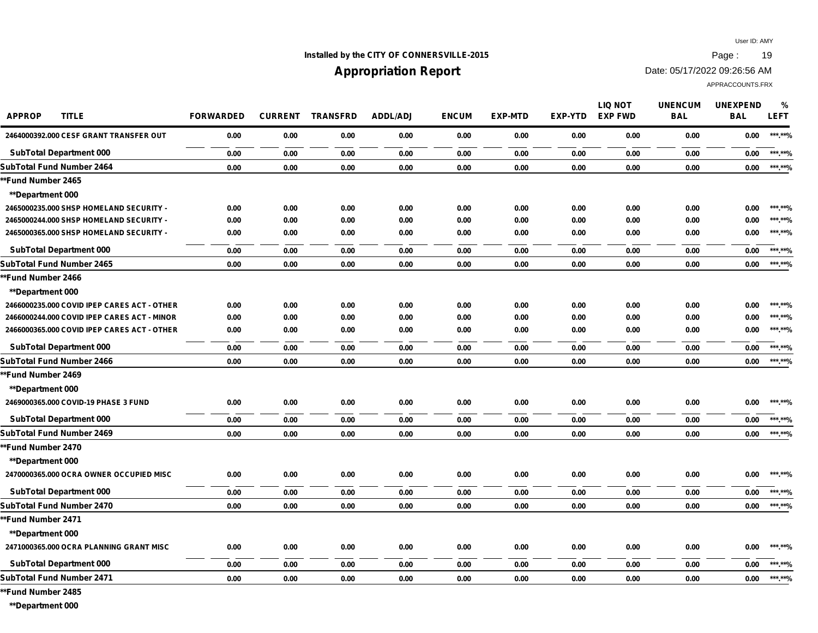## **Installed by the CITY OF CONNERSVILLE-2015 Page : 19**

## **Appropriation Report**

Date: 05/17/2022 09:26:56 AM

APPRACCOUNTS.FRX

| <b>APPROP</b><br><b>TITLE</b>               | <b>FORWARDED</b> | <b>CURRENT</b> | <b>TRANSFRD</b> | <b>ADDL/ADJ</b> | <b>ENCUM</b> | <b>EXP-MTD</b> | <b>EXP-YTD</b> | <b>LIQ NOT</b><br><b>EXP FWD</b> | <b>UNENCUM</b><br><b>BAL</b> | <b>UNEXPEND</b><br><b>BAL</b> | %<br><b>LEFT</b> |
|---------------------------------------------|------------------|----------------|-----------------|-----------------|--------------|----------------|----------------|----------------------------------|------------------------------|-------------------------------|------------------|
| 2464000392.000 CESF GRANT TRANSFER OUT      | 0.00             | 0.00           | 0.00            | 0.00            | 0.00         | 0.00           | 0.00           | 0.00                             | 0.00                         | 0.00                          | ***.**%          |
| <b>SubTotal Department 000</b>              | 0.00             | 0.00           | 0.00            | 0.00            | 0.00         | 0.00           | 0.00           | 0.00                             | 0.00                         | 0.00                          | ***.**%          |
| SubTotal Fund Number 2464                   | 0.00             | 0.00           | 0.00            | 0.00            | 0.00         | 0.00           | 0.00           | 0.00                             | 0.00                         | 0.00                          | ***.**%          |
| **Fund Number 2465                          |                  |                |                 |                 |              |                |                |                                  |                              |                               |                  |
| **Department 000                            |                  |                |                 |                 |              |                |                |                                  |                              |                               |                  |
| 2465000235.000 SHSP HOMELAND SECURITY -     | 0.00             | 0.00           | 0.00            | 0.00            | 0.00         | 0.00           | 0.00           | 0.00                             | 0.00                         | 0.00                          | *** **%          |
| 2465000244.000 SHSP HOMELAND SECURITY -     | 0.00             | 0.00           | 0.00            | 0.00            | 0.00         | 0.00           | 0.00           | 0.00                             | 0.00                         | 0.00                          | ***.**%          |
| 2465000365.000 SHSP HOMELAND SECURITY -     | 0.00             | 0.00           | 0.00            | 0.00            | 0.00         | 0.00           | 0.00           | 0.00                             | 0.00                         | 0.00                          | ***.**%          |
| <b>SubTotal Department 000</b>              | 0.00             | 0.00           | 0.00            | 0.00            | 0.00         | 0.00           | 0.00           | 0.00                             | 0.00                         | 0.00                          | ***.**%          |
| SubTotal Fund Number 2465                   | 0.00             | 0.00           | 0.00            | 0.00            | 0.00         | 0.00           | 0.00           | 0.00                             | 0.00                         | 0.00                          | ***.**%          |
| **Fund Number 2466                          |                  |                |                 |                 |              |                |                |                                  |                              |                               |                  |
| <b>**Department 000</b>                     |                  |                |                 |                 |              |                |                |                                  |                              |                               |                  |
| 2466000235.000 COVID IPEP CARES ACT - OTHER | 0.00             | 0.00           | 0.00            | 0.00            | 0.00         | 0.00           | 0.00           | 0.00                             | 0.00                         | 0.00                          | *** **%          |
| 2466000244.000 COVID IPEP CARES ACT - MINOR | 0.00             | 0.00           | 0.00            | 0.00            | 0.00         | 0.00           | 0.00           | 0.00                             | 0.00                         | 0.00                          | ***.**%          |
| 2466000365.000 COVID IPEP CARES ACT - OTHER | 0.00             | 0.00           | 0.00            | 0.00            | 0.00         | 0.00           | 0.00           | 0.00                             | 0.00                         | 0.00                          | *** **%          |
| <b>SubTotal Department 000</b>              | 0.00             | 0.00           | 0.00            | 0.00            | 0.00         | 0.00           | 0.00           | 0.00                             | 0.00                         | 0.00                          | ***.**%          |
| SubTotal Fund Number 2466                   | 0.00             | 0.00           | 0.00            | 0.00            | 0.00         | 0.00           | 0.00           | 0.00                             | 0.00                         | 0.00                          | ***.**%          |
| **Fund Number 2469                          |                  |                |                 |                 |              |                |                |                                  |                              |                               |                  |
| **Department 000                            |                  |                |                 |                 |              |                |                |                                  |                              |                               |                  |
| 2469000365.000 COVID-19 PHASE 3 FUND        | 0.00             | 0.00           | 0.00            | 0.00            | 0.00         | 0.00           | 0.00           | 0.00                             | 0.00                         | 0.00                          | *** **%          |
| <b>SubTotal Department 000</b>              | 0.00             | 0.00           | 0.00            | 0.00            | 0.00         | 0.00           | 0.00           | 0.00                             | 0.00                         | 0.00                          | ***.**%          |
| SubTotal Fund Number 2469                   | 0.00             | 0.00           | 0.00            | 0.00            | 0.00         | 0.00           | 0.00           | 0.00                             | 0.00                         | 0.00                          | ***.**%          |
| **Fund Number 2470                          |                  |                |                 |                 |              |                |                |                                  |                              |                               |                  |
| <b>**Department 000</b>                     |                  |                |                 |                 |              |                |                |                                  |                              |                               |                  |
| 2470000365.000 OCRA OWNER OCCUPIED MISC     | 0.00             | 0.00           | 0.00            | 0.00            | 0.00         | 0.00           | 0.00           | 0.00                             | 0.00                         | 0.00                          | ***.**%          |
| <b>SubTotal Department 000</b>              | 0.00             | 0.00           | 0.00            | 0.00            | 0.00         | 0.00           | 0.00           | 0.00                             | 0.00                         | 0.00                          | ***.**%          |
| SubTotal Fund Number 2470                   | 0.00             | 0.00           | 0.00            | 0.00            | 0.00         | 0.00           | 0.00           | 0.00                             | 0.00                         | 0.00                          | ***.**%          |
| **Fund Number 2471                          |                  |                |                 |                 |              |                |                |                                  |                              |                               |                  |
| <b>**Department 000</b>                     |                  |                |                 |                 |              |                |                |                                  |                              |                               |                  |
| 2471000365.000 OCRA PLANNING GRANT MISC     | 0.00             | 0.00           | 0.00            | 0.00            | 0.00         | 0.00           | 0.00           | 0.00                             | 0.00                         | 0.00                          | ***.**%          |
| <b>SubTotal Department 000</b>              | 0.00             | 0.00           | 0.00            | 0.00            | 0.00         | 0.00           | 0.00           | 0.00                             | 0.00                         | 0.00                          | ***.**%          |
| SubTotal Fund Number 2471                   | 0.00             | 0.00           | 0.00            | 0.00            | 0.00         | 0.00           | 0.00           | 0.00                             | 0.00                         | 0.00                          | ***.**%          |
|                                             |                  |                |                 |                 |              |                |                |                                  |                              |                               |                  |

**\*\*Fund Number 2485**

**\*\*Department 000**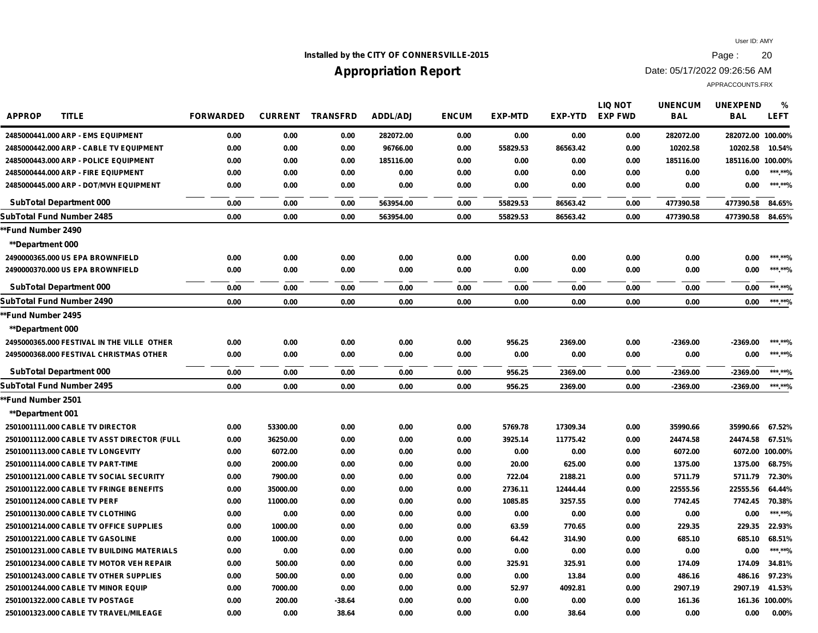## **Installed by the CITY OF CONNERSVILLE-2015 Page : 20**

# **Appropriation Report**

Date: 05/17/2022 09:26:56 AM

| <b>APPROP</b><br><b>TITLE</b>               | <b>FORWARDED</b> | <b>CURRENT</b> | <b>TRANSFRD</b> | <b>ADDL/ADJ</b> | <b>ENCUM</b> | <b>EXP-MTD</b> | <b>EXP-YTD</b> | <b>LIQ NOT</b><br><b>EXP FWD</b> | <b>UNENCUM</b><br><b>BAL</b> | <b>UNEXPEND</b><br><b>BAL</b> | $\frac{0}{0}$<br><b>LEFT</b> |
|---------------------------------------------|------------------|----------------|-----------------|-----------------|--------------|----------------|----------------|----------------------------------|------------------------------|-------------------------------|------------------------------|
| 2485000441.000 ARP - EMS EQUIPMENT          | 0.00             | 0.00           | 0.00            | 282072.00       | 0.00         | 0.00           | 0.00           | 0.00                             | 282072.00                    | 282072.00 100.00%             |                              |
| 2485000442.000 ARP - CABLE TV EQUIPMENT     | 0.00             | 0.00           | 0.00            | 96766.00        | 0.00         | 55829.53       | 86563.42       | 0.00                             | 10202.58                     | 10202.58                      | 10.54%                       |
| 2485000443.000 ARP - POLICE EQUIPMENT       | 0.00             | 0.00           | 0.00            | 185116.00       | 0.00         | 0.00           | 0.00           | 0.00                             | 185116.00                    | 185116.00 100.00%             |                              |
| 2485000444.000 ARP - FIRE EQIUPMENT         | 0.00             | 0.00           | 0.00            | 0.00            | 0.00         | 0.00           | 0.00           | 0.00                             | 0.00                         | 0.00                          | ***.**%                      |
| 2485000445.000 ARP - DOT/MVH EQUIPMENT      | 0.00             | 0.00           | 0.00            | 0.00            | 0.00         | 0.00           | 0.00           | 0.00                             | 0.00                         | 0.00                          | ******%                      |
| <b>SubTotal Department 000</b>              | 0.00             | 0.00           | 0.00            | 563954.00       | 0.00         | 55829.53       | 86563.42       | 0.00                             | 477390.58                    | 477390.58                     | 84.65%                       |
| SubTotal Fund Number 2485                   | 0.00             | 0.00           | 0.00            | 563954.00       | 0.00         | 55829.53       | 86563.42       | 0.00                             | 477390.58                    | 477390.58                     | 84.65%                       |
| *Fund Number 2490                           |                  |                |                 |                 |              |                |                |                                  |                              |                               |                              |
| **Department 000                            |                  |                |                 |                 |              |                |                |                                  |                              |                               |                              |
| 2490000365,000 US EPA BROWNFIELD            | 0.00             | 0.00           | 0.00            | 0.00            | 0.00         | 0.00           | 0.00           | 0.00                             | 0.00                         | 0.00                          | ***.**%                      |
| 2490000370.000 US EPA BROWNFIELD            | 0.00             | 0.00           | 0.00            | 0.00            | 0.00         | 0.00           | 0.00           | 0.00                             | 0.00                         | 0.00                          | ******%                      |
| <b>SubTotal Department 000</b>              | 0.00             | 0.00           | 0.00            | 0.00            | 0.00         | 0.00           | 0.00           | 0.00                             | 0.00                         | 0.00                          | ***.**%                      |
| SubTotal Fund Number 2490                   | 0.00             | 0.00           | 0.00            | 0.00            | 0.00         | 0.00           | 0.00           | 0.00                             | 0.00                         | 0.00                          | ***.**%                      |
| *Fund Number 2495                           |                  |                |                 |                 |              |                |                |                                  |                              |                               |                              |
| **Department 000                            |                  |                |                 |                 |              |                |                |                                  |                              |                               |                              |
| 2495000365.000 FESTIVAL IN THE VILLE OTHER  | 0.00             | 0.00           | 0.00            | 0.00            | 0.00         | 956.25         | 2369.00        | 0.00                             | $-2369.00$                   | $-2369.00$                    | ***.**%                      |
| 2495000368.000 FESTIVAL CHRISTMAS OTHER     | 0.00             | 0.00           | 0.00            | 0.00            | 0.00         | 0.00           | 0.00           | 0.00                             | 0.00                         | 0.00                          | ***.**%                      |
| <b>SubTotal Department 000</b>              | 0.00             | 0.00           | 0.00            | 0.00            | 0.00         | 956.25         | 2369.00        | 0.00                             | $-2369.00$                   | $-2369.00$                    | ***.**%                      |
| SubTotal Fund Number 2495                   | 0.00             | 0.00           | 0.00            | 0.00            | 0.00         | 956.25         | 2369.00        | 0.00                             | $-2369.00$                   | $-2369.00$                    | ***.**%                      |
| *Fund Number 2501                           |                  |                |                 |                 |              |                |                |                                  |                              |                               |                              |
| **Department 001                            |                  |                |                 |                 |              |                |                |                                  |                              |                               |                              |
| 2501001111.000 CABLE TV DIRECTOR            | 0.00             | 53300.00       | 0.00            | 0.00            | 0.00         | 5769.78        | 17309.34       | 0.00                             | 35990.66                     | 35990.66                      | 67.52%                       |
| 2501001112.000 CABLE TV ASST DIRECTOR (FULL | 0.00             | 36250.00       | 0.00            | 0.00            | 0.00         | 3925.14        | 11775.42       | 0.00                             | 24474.58                     | 24474.58                      | 67.51%                       |
| 2501001113.000 CABLE TV LONGEVITY           | 0.00             | 6072.00        | 0.00            | 0.00            | 0.00         | 0.00           | 0.00           | 0.00                             | 6072.00                      | 6072.00 100.00%               |                              |
| 2501001114.000 CABLE TV PART-TIME           | 0.00             | 2000.00        | 0.00            | 0.00            | 0.00         | 20.00          | 625.00         | 0.00                             | 1375.00                      | 1375.00                       | 68.75%                       |
| 2501001121.000 CABLE TV SOCIAL SECURITY     | 0.00             | 7900.00        | 0.00            | 0.00            | 0.00         | 722.04         | 2188.21        | 0.00                             | 5711.79                      | 5711.79                       | 72.30%                       |
| 2501001122.000 CABLE TV FRINGE BENEFITS     | 0.00             | 35000.00       | 0.00            | 0.00            | 0.00         | 2736.11        | 12444.44       | 0.00                             | 22555.56                     | 22555.56                      | 64.44%                       |
| 2501001124.000 CABLE TV PERF                | 0.00             | 11000.00       | 0.00            | 0.00            | 0.00         | 1085.85        | 3257.55        | 0.00                             | 7742.45                      | 7742.45                       | 70.38%                       |
| 2501001130,000 CABLE TV CLOTHING            | 0.00             | 0.00           | 0.00            | 0.00            | 0.00         | 0.00           | 0.00           | 0.00                             | 0.00                         | 0.00                          | ******%                      |
| 2501001214.000 CABLE TV OFFICE SUPPLIES     | 0.00             | 1000.00        | 0.00            | 0.00            | 0.00         | 63.59          | 770.65         | 0.00                             | 229.35                       | 229.35                        | 22.93%                       |
| 2501001221.000 CABLE TV GASOLINE            | 0.00             | 1000.00        | 0.00            | 0.00            | 0.00         | 64.42          | 314.90         | 0.00                             | 685.10                       | 685.10                        | 68.51%                       |
| 2501001231.000 CABLE TV BUILDING MATERIALS  | 0.00             | 0.00           | 0.00            | 0.00            | 0.00         | 0.00           | 0.00           | 0.00                             | 0.00                         | 0.00                          | ***.**%                      |
| 2501001234.000 CABLE TV MOTOR VEH REPAIR    | 0.00             | 500.00         | 0.00            | 0.00            | 0.00         | 325.91         | 325.91         | 0.00                             | 174.09                       | 174.09                        | 34.81%                       |
| 2501001243.000 CABLE TV OTHER SUPPLIES      | 0.00             | 500.00         | 0.00            | 0.00            | 0.00         | 0.00           | 13.84          | 0.00                             | 486.16                       | 486.16                        | 97.23%                       |
| 2501001244.000 CABLE TV MINOR EQUIP         | 0.00             | 7000.00        | 0.00            | 0.00            | 0.00         | 52.97          | 4092.81        | 0.00                             | 2907.19                      | 2907.19                       | 41.53%                       |
| 2501001322.000 CABLE TV POSTAGE             | 0.00             | 200.00         | $-38.64$        | 0.00            | 0.00         | 0.00           | 0.00           | 0.00                             | 161.36                       |                               | 161.36 100.00%               |
| 2501001323.000 CABLE TV TRAVEL/MILEAGE      | 0.00             | 0.00           | 38.64           | 0.00            | 0.00         | 0.00           | 38.64          | 0.00                             | 0.00                         | 0.00                          | 0.00%                        |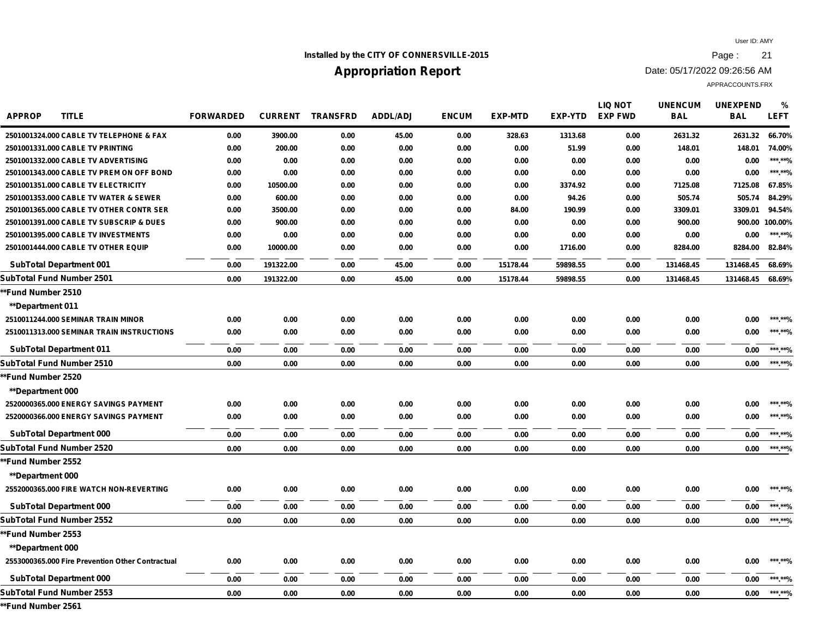## **Installed by the CITY OF CONNERSVILLE-2015 Page : 21**

## **Appropriation Report**

Date: 05/17/2022 09:26:56 AM

APPRACCOUNTS.FRX

| <b>APPROP</b><br><b>TITLE</b>                    | <b>FORWARDED</b> | <b>CURRENT</b> | <b>TRANSFRD</b> | <b>ADDL/ADJ</b> | <b>ENCUM</b> | <b>EXP-MTD</b> | EXP-YTD  | <b>LIQ NOT</b><br><b>EXP FWD</b> | <b>UNENCUM</b><br><b>BAL</b> | <b>UNEXPEND</b><br><b>BAL</b> | %<br><b>LEFT</b> |
|--------------------------------------------------|------------------|----------------|-----------------|-----------------|--------------|----------------|----------|----------------------------------|------------------------------|-------------------------------|------------------|
| 2501001324,000 CABLE TV TELEPHONE & FAX          | 0.00             | 3900.00        | 0.00            | 45.00           | 0.00         | 328.63         | 1313.68  | 0.00                             | 2631.32                      | 2631.32                       | 66.70%           |
| 2501001331.000 CABLE TV PRINTING                 | 0.00             | 200.00         | 0.00            | 0.00            | 0.00         | 0.00           | 51.99    | 0.00                             | 148.01                       | 148.01                        | 74.00%           |
| 2501001332.000 CABLE TV ADVERTISING              | 0.00             | 0.00           | 0.00            | 0.00            | 0.00         | 0.00           | 0.00     | 0.00                             | 0.00                         | 0.00                          | ***.**%          |
| 2501001343.000 CABLE TV PREM ON OFF BOND         | 0.00             | 0.00           | 0.00            | 0.00            | 0.00         | 0.00           | 0.00     | 0.00                             | 0.00                         | 0.00                          | ***.**%          |
| 2501001351.000 CABLE TV ELECTRICITY              | 0.00             | 10500.00       | 0.00            | 0.00            | 0.00         | 0.00           | 3374.92  | 0.00                             | 7125.08                      | 7125.08                       | 67.85%           |
| 2501001353.000 CABLE TV WATER & SEWER            | 0.00             | 600.00         | 0.00            | 0.00            | 0.00         | 0.00           | 94.26    | 0.00                             | 505.74                       | 505.74                        | 84.29%           |
| 2501001365.000 CABLE TV OTHER CONTR SER          | 0.00             | 3500.00        | 0.00            | 0.00            | 0.00         | 84.00          | 190.99   | 0.00                             | 3309.01                      | 3309.01                       | 94.54%           |
| 2501001391.000 CABLE TV SUBSCRIP & DUES          | 0.00             | 900.00         | 0.00            | 0.00            | 0.00         | 0.00           | 0.00     | 0.00                             | 900.00                       |                               | 900.00 100.00%   |
| 2501001395.000 CABLE TV INVESTMENTS              | 0.00             | 0.00           | 0.00            | 0.00            | 0.00         | 0.00           | 0.00     | 0.00                             | 0.00                         | 0.00                          | ***.**%          |
| 2501001444.000 CABLE TV OTHER EQUIP              | 0.00             | 10000.00       | 0.00            | 0.00            | 0.00         | 0.00           | 1716.00  | 0.00                             | 8284.00                      | 8284.00                       | 82.84%           |
| <b>SubTotal Department 001</b>                   | 0.00             | 191322.00      | 0.00            | 45.00           | 0.00         | 15178.44       | 59898.55 | 0.00                             | 131468.45                    | 131468.45                     | 68.69%           |
| SubTotal Fund Number 2501                        | 0.00             | 191322.00      | 0.00            | 45.00           | 0.00         | 15178.44       | 59898.55 | 0.00                             | 131468.45                    | 131468.45                     | 68.69%           |
| **Fund Number 2510                               |                  |                |                 |                 |              |                |          |                                  |                              |                               |                  |
| **Department 011                                 |                  |                |                 |                 |              |                |          |                                  |                              |                               |                  |
| 2510011244.000 SEMINAR TRAIN MINOR               | 0.00             | 0.00           | 0.00            | 0.00            | 0.00         | 0.00           | 0.00     | 0.00                             | 0.00                         | 0.00                          | ***.**%          |
| 2510011313.000 SEMINAR TRAIN INSTRUCTIONS        | 0.00             | 0.00           | 0.00            | 0.00            | 0.00         | 0.00           | 0.00     | 0.00                             | 0.00                         | 0.00                          | ***.**%          |
| <b>SubTotal Department 011</b>                   | 0.00             | 0.00           | 0.00            | 0.00            | 0.00         | 0.00           | 0.00     | 0.00                             | 0.00                         | 0.00                          | ***.**%          |
| <b>SubTotal Fund Number 2510</b>                 | 0.00             | 0.00           | 0.00            | 0.00            | 0.00         | 0.00           | 0.00     | 0.00                             | 0.00                         | 0.00                          | ******%          |
| *Fund Number 2520                                |                  |                |                 |                 |              |                |          |                                  |                              |                               |                  |
| <b>**Department 000</b>                          |                  |                |                 |                 |              |                |          |                                  |                              |                               |                  |
| 2520000365.000 ENERGY SAVINGS PAYMENT            | 0.00             | 0.00           | 0.00            | 0.00            | 0.00         | 0.00           | 0.00     | 0.00                             | 0.00                         | 0.00                          | ***.**%          |
| 2520000366.000 ENERGY SAVINGS PAYMENT            | 0.00             | 0.00           | 0.00            | 0.00            | 0.00         | 0.00           | 0.00     | 0.00                             | 0.00                         | 0.00                          | ***.**%          |
| <b>SubTotal Department 000</b>                   | 0.00             | 0.00           | 0.00            | 0.00            | 0.00         | 0.00           | 0.00     | 0.00                             | 0.00                         | 0.00                          | ***.**%          |
| SubTotal Fund Number 2520                        | 0.00             | 0.00           | 0.00            | 0.00            | 0.00         | 0.00           | 0.00     | 0.00                             | 0.00                         | 0.00                          | ***.**%          |
| *Fund Number 2552                                |                  |                |                 |                 |              |                |          |                                  |                              |                               |                  |
| <b>**Department 000</b>                          |                  |                |                 |                 |              |                |          |                                  |                              |                               |                  |
| 2552000365.000 FIRE WATCH NON-REVERTING          | 0.00             | 0.00           | 0.00            | 0.00            | 0.00         | 0.00           | 0.00     | 0.00                             | 0.00                         | 0.00                          | ***.**%          |
| <b>SubTotal Department 000</b>                   | 0.00             | 0.00           | 0.00            | 0.00            | 0.00         | 0.00           | 0.00     | 0.00                             | 0.00                         | 0.00                          | ***.**%          |
| SubTotal Fund Number 2552                        | 0.00             | 0.00           | 0.00            | 0.00            | 0.00         | 0.00           | 0.00     | 0.00                             | 0.00                         | 0.00                          | ******%          |
| *Fund Number 2553                                |                  |                |                 |                 |              |                |          |                                  |                              |                               |                  |
| <b>**Department 000</b>                          |                  |                |                 |                 |              |                |          |                                  |                              |                               |                  |
| 2553000365.000 Fire Prevention Other Contractual | 0.00             | 0.00           | 0.00            | 0.00            | 0.00         | 0.00           | 0.00     | 0.00                             | 0.00                         | 0.00                          | ***.**%          |
| <b>SubTotal Department 000</b>                   | 0.00             | 0.00           | 0.00            | 0.00            | 0.00         | 0.00           | 0.00     | 0.00                             | 0.00                         | 0.00                          | ***.**%          |
| <b>SubTotal Fund Number 2553</b>                 | 0.00             | 0.00           | 0.00            | 0.00            | 0.00         | 0.00           | 0.00     | 0.00                             | 0.00                         | 0.00                          | ***.**%          |
|                                                  |                  |                |                 |                 |              |                |          |                                  |                              |                               |                  |

**\*\*Fund Number 2561**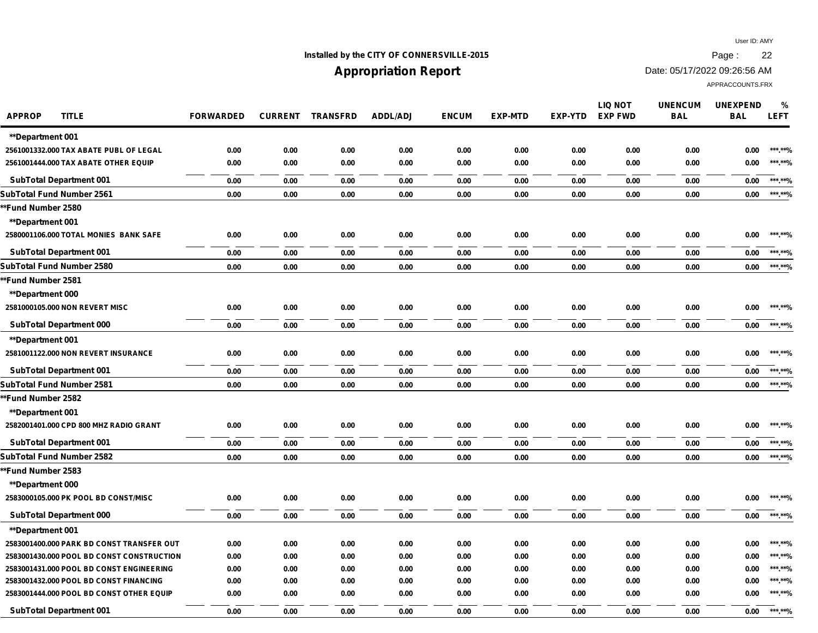## **Installed by the CITY OF CONNERSVILLE-2015 Page : 22**

# **Appropriation Report**

Date: 05/17/2022 09:26:56 AM

| <b>APPROP</b><br><b>TITLE</b>             | <b>FORWARDED</b> |      | <b>CURRENT TRANSFRD</b> | <b>ADDL/ADJ</b> | <b>ENCUM</b> | <b>EXP-MTD</b> | <b>EXP-YTD</b> | <b>LIQ NOT</b><br><b>EXP FWD</b> | <b>UNENCUM</b><br><b>BAL</b> | <b>UNEXPEND</b><br><b>BAL</b> | %<br><b>LEFT</b> |
|-------------------------------------------|------------------|------|-------------------------|-----------------|--------------|----------------|----------------|----------------------------------|------------------------------|-------------------------------|------------------|
| <b>**Department 001</b>                   |                  |      |                         |                 |              |                |                |                                  |                              |                               |                  |
| 2561001332.000 TAX ABATE PUBL OF LEGAL    | 0.00             | 0.00 | 0.00                    | 0.00            | 0.00         | 0.00           | 0.00           | 0.00                             | 0.00                         | 0.00                          | ***.**%          |
| 2561001444.000 TAX ABATE OTHER EQUIP      | 0.00             | 0.00 | 0.00                    | 0.00            | 0.00         | 0.00           | 0.00           | 0.00                             | 0.00                         | 0.00                          | ******%          |
| <b>SubTotal Department 001</b>            | 0.00             | 0.00 | 0.00                    | 0.00            | 0.00         | 0.00           | 0.00           | 0.00                             | 0.00                         | 0.00                          | ***.**%          |
| <b>SubTotal Fund Number 2561</b>          | 0.00             | 0.00 | 0.00                    | 0.00            | 0.00         | 0.00           | 0.00           | 0.00                             | 0.00                         | 0.00                          | ******%          |
| *Fund Number 2580                         |                  |      |                         |                 |              |                |                |                                  |                              |                               |                  |
| <b>**Department 001</b>                   |                  |      |                         |                 |              |                |                |                                  |                              |                               |                  |
| 2580001106.000 TOTAL MONIES BANK SAFE     | 0.00             | 0.00 | 0.00                    | 0.00            | 0.00         | 0.00           | 0.00           | 0.00                             | 0.00                         | 0.00                          | ***.**%          |
| <b>SubTotal Department 001</b>            | 0.00             | 0.00 | 0.00                    | 0.00            | 0.00         | 0.00           | 0.00           | 0.00                             | 0.00                         | 0.00                          | ***.**%          |
| SubTotal Fund Number 2580                 | 0.00             | 0.00 | 0.00                    | 0.00            | 0.00         | 0.00           | 0.00           | 0.00                             | 0.00                         | 0.00                          | ***.**%          |
| *Fund Number 2581                         |                  |      |                         |                 |              |                |                |                                  |                              |                               |                  |
| <b>**Department 000</b>                   |                  |      |                         |                 |              |                |                |                                  |                              |                               |                  |
| 2581000105.000 NON REVERT MISC            | 0.00             | 0.00 | 0.00                    | 0.00            | 0.00         | 0.00           | 0.00           | 0.00                             | 0.00                         | 0.00                          | ***.**%          |
| <b>SubTotal Department 000</b>            | 0.00             | 0.00 | 0.00                    | 0.00            | 0.00         | 0.00           | 0.00           | 0.00                             | 0.00                         | 0.00                          | ***.**%          |
| <b>**Department 001</b>                   |                  |      |                         |                 |              |                |                |                                  |                              |                               |                  |
| 2581001122.000 NON REVERT INSURANCE       | 0.00             | 0.00 | 0.00                    | 0.00            | 0.00         | 0.00           | 0.00           | 0.00                             | 0.00                         | 0.00                          | ***.**%          |
| <b>SubTotal Department 001</b>            | 0.00             | 0.00 | 0.00                    | 0.00            | 0.00         | 0.00           | 0.00           | 0.00                             | 0.00                         | 0.00                          | ***.**%          |
| SubTotal Fund Number 2581                 | 0.00             | 0.00 | 0.00                    | 0.00            | 0.00         | 0.00           | 0.00           | 0.00                             | 0.00                         | 0.00                          | ***.**%          |
| **Fund Number 2582                        |                  |      |                         |                 |              |                |                |                                  |                              |                               |                  |
| <b>**Department 001</b>                   |                  |      |                         |                 |              |                |                |                                  |                              |                               |                  |
| 2582001401.000 CPD 800 MHZ RADIO GRANT    | 0.00             | 0.00 | 0.00                    | 0.00            | 0.00         | 0.00           | 0.00           | 0.00                             | 0.00                         | 0.00                          | ***.**%          |
| <b>SubTotal Department 001</b>            | 0.00             | 0.00 | 0.00                    | 0.00            | 0.00         | 0.00           | 0.00           | 0.00                             | 0.00                         | 0.00                          | ***.**%          |
| <b>SubTotal Fund Number 2582</b>          | 0.00             | 0.00 | 0.00                    | 0.00            | 0.00         | 0.00           | 0.00           | 0.00                             | $0.00\,$                     | 0.00                          | ***.**%          |
| *Fund Number 2583                         |                  |      |                         |                 |              |                |                |                                  |                              |                               |                  |
| <b>**Department 000</b>                   |                  |      |                         |                 |              |                |                |                                  |                              |                               |                  |
| 2583000105.000 PK POOL BD CONST/MISC      | 0.00             | 0.00 | 0.00                    | 0.00            | 0.00         | 0.00           | 0.00           | 0.00                             | 0.00                         | 0.00                          | ***.**%          |
| <b>SubTotal Department 000</b>            | 0.00             | 0.00 | 0.00                    | 0.00            | 0.00         | 0.00           | 0.00           | 0.00                             | 0.00                         | 0.00                          | ***.**%          |
| <b>**Department 001</b>                   |                  |      |                         |                 |              |                |                |                                  |                              |                               |                  |
| 2583001400.000 PARK BD CONST TRANSFER OUT | 0.00             | 0.00 | 0.00                    | 0.00            | 0.00         | 0.00           | 0.00           | 0.00                             | 0.00                         | 0.00                          | ***.**%          |
| 2583001430.000 POOL BD CONST CONSTRUCTION | 0.00             | 0.00 | 0.00                    | 0.00            | 0.00         | 0.00           | 0.00           | 0.00                             | 0.00                         | 0.00                          | ***.**%          |
| 2583001431.000 POOL BD CONST ENGINEERING  | 0.00             | 0.00 | 0.00                    | 0.00            | 0.00         | 0.00           | 0.00           | 0.00                             | 0.00                         | 0.00                          | ***.**%          |
| 2583001432.000 POOL BD CONST FINANCING    | 0.00             | 0.00 | 0.00                    | 0.00            | 0.00         | 0.00           | 0.00           | 0.00                             | 0.00                         | 0.00                          | ***.**%          |
| 2583001444.000 POOL BD CONST OTHER EQUIP  | 0.00             | 0.00 | 0.00                    | 0.00            | 0.00         | 0.00           | 0.00           | 0.00                             | 0.00                         | 0.00                          | ***.**%          |
| <b>SubTotal Department 001</b>            | 0.00             | 0.00 | 0.00                    | 0.00            | 0.00         | 0.00           | 0.00           | 0.00                             | 0.00                         | 0.00                          | ******%          |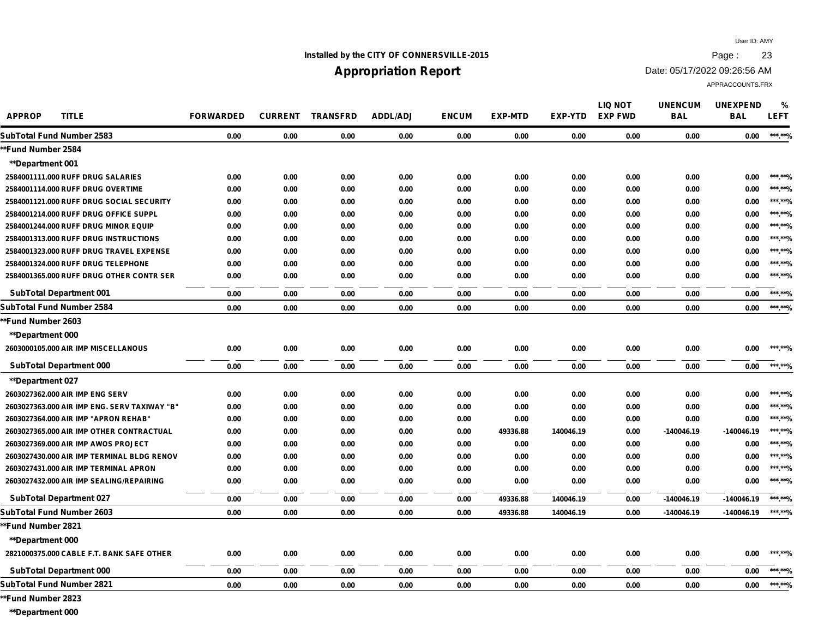### **Installed by the CITY OF CONNERSVILLE-2015 Page : 23**

## **Appropriation Report**

Date: 05/17/2022 09:26:56 AM

APPRACCOUNTS.FRX

**APPROP TITLE FORWARDED CURRENT TRANSFRD ADDL/ADJ ENCUM EXP-MTD EXP-YTD UNENCUM BAL UNEXPEND BAL LEFT % LIQ NOT EXP FWD SubTotal Fund Number 2583 0.00 0.00 0.00 0.00 0.00 0.00 0.00 0.00 0.00 0.00 \*\*\*.\*\*% \*\*Fund Number 2584 \*\*Department 001 2584001111.000 RUFF DRUG SALARIES 0.00 0.00 0.00 0.00 0.00 0.00 0.00 0.00 0.00 0.00 \*\*\*.\*\*% 2584001114.000 RUFF DRUG OVERTIME 0.00 0.00 0.00 0.00 0.00 0.00 0.00 0.00 0.00 0.00 \*\*\*.\*\*% 2584001121.000 RUFF DRUG SOCIAL SECURITY 0.00 0.00 0.00 0.00 0.00 0.00 0.00 0.00 0.00 0.00 \*\*\*.\*\*% 2584001214.000 RUFF DRUG OFFICE SUPPL 0.00 0.00 0.00 0.00 0.00 0.00 0.00 0.00 0.00 0.00 \*\*\*.\*\*% 2584001244.000 RUFF DRUG MINOR EQUIP 0.00 0.00 0.00 0.00 0.00 0.00 0.00 0.00 0.00 0.00 \*\*\*.\*\*% 2584001313.000 RUFF DRUG INSTRUCTIONS 0.00 0.00 0.00 0.00 0.00 0.00 0.00 0.00 0.00 0.00 \*\*\*.\*\*% 2584001323.000 RUFF DRUG TRAVEL EXPENSE 0.00 0.00 0.00 0.00 0.00 0.00 0.00 0.00 0.00 0.00 \*\*\*.\*\*% 2584001324.000 RUFF DRUG TELEPHONE 0.00 0.00 0.00 0.00 0.00 0.00 0.00 0.00 0.00 0.00 \*\*\*.\*\*% 2584001365.000 RUFF DRUG OTHER CONTR SER 0.00 0.00 0.00 0.00 0.00 0.00 0.00 0.00 0.00 0.00 \*\*\*.\*\*% SubTotal Department 001 0.00 0.00 0.00 0.00 0.00 0.00 0.00 0.00 0.00 0.00 \*\*\*.\*\*% SubTotal Fund Number 2584 0.00 0.00 0.00 0.00 0.00 0.00 0.00 0.00 0.00 0.00 \*\*\*.\*\*% \*\*Fund Number 2603 \*\*Department 000 2603000105.000 AIR IMP MISCELLANOUS 0.00 0.00 0.00 0.00 0.00 0.00 0.00 0.00 0.00 0.00 \*\*\*.\*\*% SubTotal Department 000 0.00 0.00 0.00 0.00 0.00 0.00 0.00 0.00 0.00 0.00 \*\*\*.\*\*% \*\*Department 027 2603027362.000 AIR IMP ENG SERV 0.00 0.00 0.00 0.00 0.00 0.00 0.00 0.00 0.00 0.00 \*\*\*.\*\*% 2603027363.000 AIR IMP ENG. SERV TAXIWAY "B" 0.00 0.00 0.00 0.00 0.00 0.00 0.00 0.00 0.00 0.00 \*\*\*.\*\*% 2603027364.000 AIR IMP "APRON REHAB" 0.00 0.00 0.00 0.00 0.00 0.00 0.00 0.00 0.00 0.00 \*\*\*.\*\*% 2603027365.000 AIR IMP OTHER CONTRACTUAL 0.00 0.00 0.00 0.00 0.00 49336.88 140046.19 0.00 -140046.19 -140046.19 \*\*\*.\*\*% 2603027369.000 AIR IMP AWOS PROJECT 0.00 0.00 0.00 0.00 0.00 0.00 0.00 0.00 0.00 0.00 \*\*\*.\*\*% 2603027430.000 AIR IMP TERMINAL BLDG RENOV 0.00 0.00 0.00 0.00 0.00 0.00 0.00 0.00 0.00 0.00 \*\*\*.\*\*% 2603027431.000 AIR IMP TERMINAL APRON 0.00 0.00 0.00 0.00 0.00 0.00 0.00 0.00 0.00 0.00 \*\*\*.\*\*% 2603027432.000 AIR IMP SEALING/REPAIRING 0.00 0.00 0.00 0.00 0.00 0.00 0.00 0.00 0.00 0.00 \*\*\*.\*\*% SubTotal Department 027 0.00 0.00 0.00 0.00 0.00 49336.88 140046.19 0.00 -140046.19 -140046.19 \*\*\*.\*\*% SubTotal Fund Number 2603 0.00 0.00 0.00 0.00 0.00 49336.88 140046.19 0.00 -140046.19 -140046.19 \*\*\*.\*\*% \*\*Fund Number 2821 \*\*Department 000 2821000375.000 CABLE F.T. BANK SAFE OTHER 0.00 0.00 0.00 0.00 0.00 0.00 0.00 0.00 0.00 0.00 \*\*\*.\*\*% SubTotal Department 000 0.00 0.00 0.00 0.00 0.00 0.00 0.00 0.00 0.00 0.00 \*\*\*.\*\*% SubTotal Fund Number 2821 0.00 0.00 0.00 0.00 0.00 0.00 0.00 0.00 0.00 0.00 \*\*\*.\*\*%**

**\*\*Fund Number 2823**

**\*\*Department 000**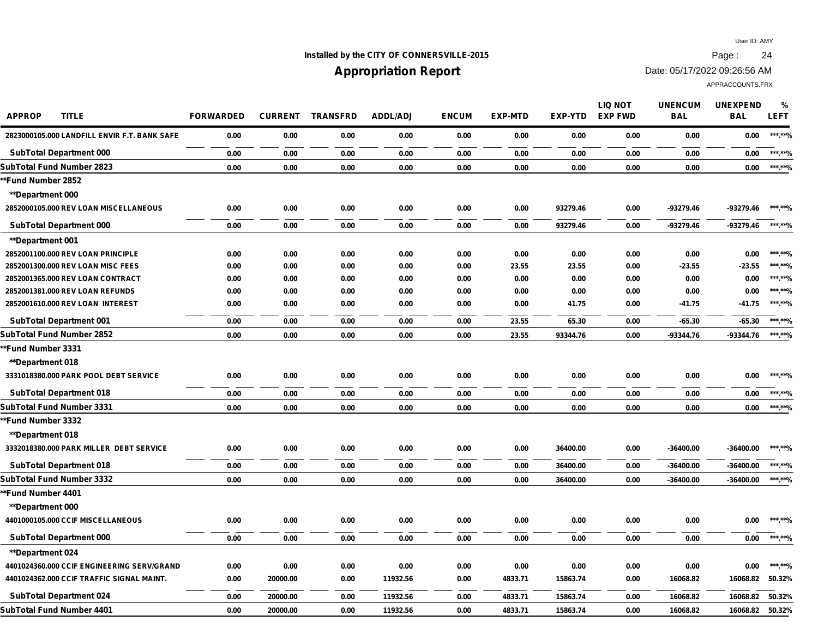## **Installed by the CITY OF CONNERSVILLE-2015 Page : 24**

# **Appropriation Report**

Date: 05/17/2022 09:26:56 AM

| <b>APPROP</b><br><b>TITLE</b>                | <b>FORWARDED</b> | <b>CURRENT</b> | <b>TRANSFRD</b> | <b>ADDL/ADJ</b> | <b>ENCUM</b> | <b>EXP-MTD</b> | EXP-YTD  | <b>LIQ NOT</b><br><b>EXP FWD</b> | <b>UNENCUM</b><br><b>BAL</b> | <b>UNEXPEND</b><br><b>BAL</b> | %<br><b>LEFT</b> |
|----------------------------------------------|------------------|----------------|-----------------|-----------------|--------------|----------------|----------|----------------------------------|------------------------------|-------------------------------|------------------|
| 2823000105.000 LANDFILL ENVIR F.T. BANK SAFE | 0.00             | 0.00           | 0.00            | 0.00            | 0.00         | 0.00           | 0.00     | 0.00                             | 0.00                         | 0.00                          | ***.**%          |
| <b>SubTotal Department 000</b>               | 0.00             | 0.00           | 0.00            | 0.00            | 0.00         | 0.00           | 0.00     | 0.00                             | 0.00                         | 0.00                          | ******%          |
| SubTotal Fund Number 2823                    | 0.00             | 0.00           | 0.00            | 0.00            | 0.00         | 0.00           | 0.00     | 0.00                             | 0.00                         | 0.00                          | ******%          |
| *Fund Number 2852                            |                  |                |                 |                 |              |                |          |                                  |                              |                               |                  |
| **Department 000                             |                  |                |                 |                 |              |                |          |                                  |                              |                               |                  |
| 2852000105.000 REV LOAN MISCELLANEOUS        | 0.00             | 0.00           | 0.00            | 0.00            | 0.00         | 0.00           | 93279.46 | 0.00                             | -93279.46                    | -93279.46                     | ***.**%          |
| <b>SubTotal Department 000</b>               | 0.00             | 0.00           | 0.00            | 0.00            | 0.00         | 0.00           | 93279.46 | 0.00                             | -93279.46                    | -93279.46                     | ***.**%          |
| **Department 001                             |                  |                |                 |                 |              |                |          |                                  |                              |                               |                  |
| 2852001100.000 REV LOAN PRINCIPLE            | 0.00             | 0.00           | 0.00            | 0.00            | 0.00         | 0.00           | 0.00     | 0.00                             | 0.00                         | 0.00                          | ***.**%          |
| 2852001300.000 REV LOAN MISC FEES            | 0.00             | 0.00           | 0.00            | 0.00            | 0.00         | 23.55          | 23.55    | 0.00                             | $-23.55$                     | $-23.55$                      | ***.**%          |
| 2852001365.000 REV LOAN CONTRACT             | 0.00             | 0.00           | 0.00            | 0.00            | 0.00         | 0.00           | 0.00     | 0.00                             | 0.00                         | 0.00                          | ***.**%          |
| 2852001381.000 REV LOAN REFUNDS              | 0.00             | 0.00           | 0.00            | 0.00            | 0.00         | 0.00           | 0.00     | 0.00                             | 0.00                         | 0.00                          | ***.**%          |
| 2852001610.000 REV LOAN INTEREST             | 0.00             | 0.00           | 0.00            | 0.00            | 0.00         | 0.00           | 41.75    | 0.00                             | $-41.75$                     | $-41.75$                      | ***.**%          |
| <b>SubTotal Department 001</b>               | 0.00             | 0.00           | 0.00            | 0.00            | 0.00         | 23.55          | 65.30    | 0.00                             | $-65.30$                     | $-65.30$                      | ***.**%          |
| SubTotal Fund Number 2852                    | 0.00             | 0.00           | 0.00            | 0.00            | 0.00         | 23.55          | 93344.76 | 0.00                             | -93344.76                    | -93344.76                     | ***.**%          |
| *Fund Number 3331                            |                  |                |                 |                 |              |                |          |                                  |                              |                               |                  |
| **Department 018                             |                  |                |                 |                 |              |                |          |                                  |                              |                               |                  |
| 3331018380.000 PARK POOL DEBT SERVICE        | 0.00             | 0.00           | 0.00            | 0.00            | 0.00         | 0.00           | 0.00     | 0.00                             | 0.00                         | 0.00                          | ***.**%          |
| <b>SubTotal Department 018</b>               | 0.00             | 0.00           | 0.00            | 0.00            | 0.00         | 0.00           | 0.00     | 0.00                             | 0.00                         | 0.00                          | ***.**%          |
| SubTotal Fund Number 3331                    | 0.00             | 0.00           | 0.00            | 0.00            | 0.00         | 0.00           | 0.00     | 0.00                             | 0.00                         | 0.00                          | ***.**%          |
| *Fund Number 3332                            |                  |                |                 |                 |              |                |          |                                  |                              |                               |                  |
| <b>**Department 018</b>                      |                  |                |                 |                 |              |                |          |                                  |                              |                               |                  |
| 3332018380.000 PARK MILLER DEBT SERVICE      | 0.00             | 0.00           | 0.00            | 0.00            | 0.00         | 0.00           | 36400.00 | 0.00                             | $-36400.00$                  | $-36400.00$                   | ***.**%          |
| <b>SubTotal Department 018</b>               | 0.00             | 0.00           | 0.00            | 0.00            | 0.00         | 0.00           | 36400.00 | 0.00                             | $-36400.00$                  | $-36400.00$                   | ***.**%          |
| SubTotal Fund Number 3332                    | 0.00             | 0.00           | 0.00            | 0.00            | 0.00         | 0.00           | 36400.00 | 0.00                             | $-36400.00$                  | $-36400.00$                   | ***.**%          |
| *Fund Number 4401                            |                  |                |                 |                 |              |                |          |                                  |                              |                               |                  |
| <b>**Department 000</b>                      |                  |                |                 |                 |              |                |          |                                  |                              |                               |                  |
| 4401000105.000 CCIF MISCELLANEOUS            | 0.00             | 0.00           | 0.00            | 0.00            | 0.00         | 0.00           | 0.00     | 0.00                             | 0.00                         | 0.00                          | ***.**%          |
| <b>SubTotal Department 000</b>               | 0.00             | 0.00           | 0.00            | 0.00            | 0.00         | 0.00           | 0.00     | 0.00                             | 0.00                         | 0.00                          | ***.**%          |
| **Department 024                             |                  |                |                 |                 |              |                |          |                                  |                              |                               |                  |
| 4401024360.000 CCIF ENGINEERING SERV/GRAND   | 0.00             | 0.00           | 0.00            | 0.00            | 0.00         | 0.00           | 0.00     | 0.00                             | 0.00                         | 0.00                          | ***.**%          |
| 4401024362.000 CCIF TRAFFIC SIGNAL MAINT.    | 0.00             | 20000.00       | 0.00            | 11932.56        | 0.00         | 4833.71        | 15863.74 | 0.00                             | 16068.82                     | 16068.82                      | 50.32%           |
| <b>SubTotal Department 024</b>               | 0.00             | 20000.00       | 0.00            | 11932.56        | 0.00         | 4833.71        | 15863.74 | 0.00                             | 16068.82                     | 16068.82                      | 50.32%           |
| SubTotal Fund Number 4401                    | 0.00             | 20000.00       | 0.00            | 11932.56        | 0.00         | 4833.71        | 15863.74 | 0.00                             | 16068.82                     | 16068.82                      | 50.32%           |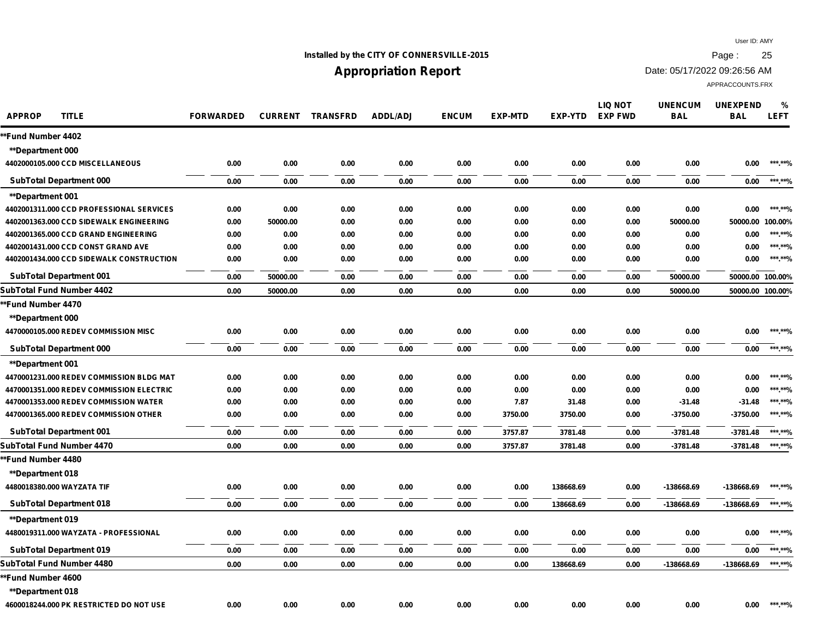## **Installed by the CITY OF CONNERSVILLE-2015 Page : 25**

# **Appropriation Report**

Date: 05/17/2022 09:26:56 AM

| <b>APPROP</b><br><b>TITLE</b>            | <b>FORWARDED</b> | <b>CURRENT</b> | <b>TRANSFRD</b> | <b>ADDL/ADJ</b> | <b>ENCUM</b> | <b>EXP-MTD</b> | <b>EXP-YTD</b> | <b>LIQ NOT</b><br><b>EXP FWD</b> | <b>UNENCUM</b><br><b>BAL</b> | <b>UNEXPEND</b><br><b>BAL</b> | $\frac{0}{0}$<br><b>LEFT</b> |
|------------------------------------------|------------------|----------------|-----------------|-----------------|--------------|----------------|----------------|----------------------------------|------------------------------|-------------------------------|------------------------------|
| *Fund Number 4402                        |                  |                |                 |                 |              |                |                |                                  |                              |                               |                              |
| <b>**Department 000</b>                  |                  |                |                 |                 |              |                |                |                                  |                              |                               |                              |
| 4402000105.000 CCD MISCELLANEOUS         | 0.00             | 0.00           | 0.00            | 0.00            | 0.00         | 0.00           | 0.00           | 0.00                             | 0.00                         | 0.00                          | ***.**%                      |
| <b>SubTotal Department 000</b>           | 0.00             | 0.00           | 0.00            | 0.00            | 0.00         | 0.00           | 0.00           | 0.00                             | 0.00                         | 0.00                          | ***.**%                      |
| <b>**Department 001</b>                  |                  |                |                 |                 |              |                |                |                                  |                              |                               |                              |
| 4402001311.000 CCD PROFESSIONAL SERVICES | 0.00             | 0.00           | 0.00            | 0.00            | 0.00         | 0.00           | 0.00           | 0.00                             | 0.00                         | 0.00                          | ***.**%                      |
| 4402001363.000 CCD SIDEWALK ENGINEERING  | 0.00             | 50000.00       | 0.00            | 0.00            | 0.00         | 0.00           | 0.00           | 0.00                             | 50000.00                     | 50000.00                      | 100.00%                      |
| 4402001365.000 CCD GRAND ENGINEERING     | 0.00             | 0.00           | 0.00            | 0.00            | 0.00         | 0.00           | 0.00           | 0.00                             | 0.00                         | 0.00                          | ***.**%                      |
| 4402001431.000 CCD CONST GRAND AVE       | 0.00             | 0.00           | 0.00            | 0.00            | 0.00         | 0.00           | 0.00           | 0.00                             | 0.00                         | 0.00                          | ***.**%                      |
| 4402001434.000 CCD SIDEWALK CONSTRUCTION | 0.00             | 0.00           | 0.00            | 0.00            | 0.00         | 0.00           | 0.00           | 0.00                             | 0.00                         | 0.00                          | ***.**%                      |
| <b>SubTotal Department 001</b>           | 0.00             | 50000.00       | 0.00            | 0.00            | 0.00         | 0.00           | 0.00           | 0.00                             | 50000.00                     | 50000.00 100.00%              |                              |
| SubTotal Fund Number 4402                | 0.00             | 50000.00       | 0.00            | 0.00            | 0.00         | 0.00           | 0.00           | 0.00                             | 50000.00                     | 50000.00 100.00%              |                              |
| **Fund Number 4470                       |                  |                |                 |                 |              |                |                |                                  |                              |                               |                              |
| <b>**Department 000</b>                  |                  |                |                 |                 |              |                |                |                                  |                              |                               |                              |
| 4470000105.000 REDEV COMMISSION MISC     | 0.00             | 0.00           | 0.00            | 0.00            | 0.00         | 0.00           | 0.00           | 0.00                             | 0.00                         | 0.00                          | ***.**%                      |
| <b>SubTotal Department 000</b>           | 0.00             | 0.00           | 0.00            | 0.00            | 0.00         | 0.00           | 0.00           | 0.00                             | 0.00                         | 0.00                          | ***.**%                      |
| **Department 001                         |                  |                |                 |                 |              |                |                |                                  |                              |                               |                              |
| 4470001231.000 REDEV COMMISSION BLDG MAT | 0.00             | 0.00           | 0.00            | 0.00            | 0.00         | 0.00           | 0.00           | 0.00                             | 0.00                         | 0.00                          | ***.**%                      |
| 4470001351.000 REDEV COMMISSION ELECTRIC | 0.00             | 0.00           | 0.00            | 0.00            | 0.00         | 0.00           | 0.00           | 0.00                             | 0.00                         | 0.00                          | *** **%                      |
| 4470001353.000 REDEV COMMISSION WATER    | 0.00             | 0.00           | 0.00            | 0.00            | 0.00         | 7.87           | 31.48          | 0.00                             | $-31.48$                     | $-31.48$                      | ***.**%                      |
| 4470001365.000 REDEV COMMISSION OTHER    | 0.00             | 0.00           | 0.00            | 0.00            | 0.00         | 3750.00        | 3750.00        | 0.00                             | $-3750.00$                   | $-3750.00$                    | *** **%                      |
| <b>SubTotal Department 001</b>           | 0.00             | 0.00           | 0.00            | 0.00            | 0.00         | 3757.87        | 3781.48        | 0.00                             | $-3781.48$                   | $-3781.48$                    | ***.**%                      |
| SubTotal Fund Number 4470                | 0.00             | 0.00           | 0.00            | 0.00            | 0.00         | 3757.87        | 3781.48        | 0.00                             | $-3781.48$                   | $-3781.48$                    | ***.**%                      |
| *Fund Number 4480                        |                  |                |                 |                 |              |                |                |                                  |                              |                               |                              |
| <b>**Department 018</b>                  |                  |                |                 |                 |              |                |                |                                  |                              |                               |                              |
| 4480018380.000 WAYZATA TIF               | 0.00             | 0.00           | 0.00            | 0.00            | 0.00         | 0.00           | 138668.69      | 0.00                             | -138668.69                   | -138668.69                    | ***.**%                      |
| <b>SubTotal Department 018</b>           | 0.00             | 0.00           | 0.00            | 0.00            | 0.00         | 0.00           | 138668.69      | 0.00                             | -138668.69                   | -138668.69                    | ******%                      |
| <b>**Department 019</b>                  |                  |                |                 |                 |              |                |                |                                  |                              |                               |                              |
| 4480019311.000 WAYZATA - PROFESSIONAL    | 0.00             | 0.00           | 0.00            | 0.00            | 0.00         | 0.00           | 0.00           | 0.00                             | 0.00                         | 0.00                          | *** **%                      |
| <b>SubTotal Department 019</b>           | 0.00             | 0.00           | 0.00            | 0.00            | 0.00         | 0.00           | 0.00           | 0.00                             | 0.00                         | 0.00                          | ***.**%                      |
| SubTotal Fund Number 4480                | 0.00             | 0.00           | 0.00            | 0.00            | 0.00         | 0.00           | 138668.69      | 0.00                             | -138668.69                   | -138668.69                    | ***.**%                      |
| <b>**Fund Number 4600</b> *              |                  |                |                 |                 |              |                |                |                                  |                              |                               |                              |
| <b>**Department 018</b>                  |                  |                |                 |                 |              |                |                |                                  |                              |                               |                              |
| 4600018244.000 PK RESTRICTED DO NOT USE  | 0.00             | 0.00           | 0.00            | 0.00            | 0.00         | 0.00           | 0.00           | 0.00                             | 0.00                         | 0.00                          | ***.**%                      |
|                                          |                  |                |                 |                 |              |                |                |                                  |                              |                               |                              |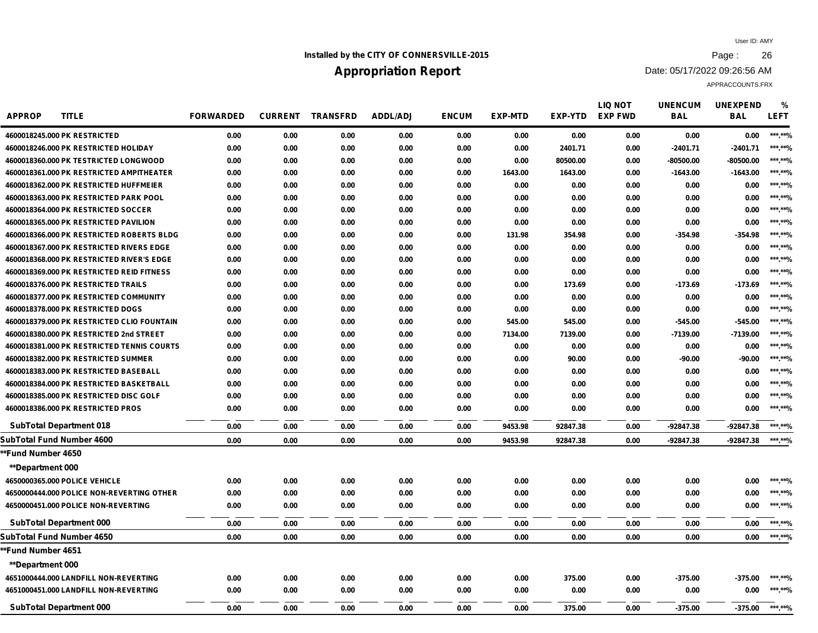## **Installed by the CITY OF CONNERSVILLE-2015 Page : 26**

# **Appropriation Report**

Date: 05/17/2022 09:26:56 AM

| <b>APPROP</b>           | <b>TITLE</b>                               | <b>FORWARDED</b> | <b>CURRENT</b> | <b>TRANSFRD</b> | ADDL/ADJ | <b>ENCUM</b> | <b>EXP-MTD</b> | <b>EXP-YTD</b> | LIQ NOT<br><b>EXP FWD</b> | <b>UNENCUM</b><br><b>BAL</b> | <b>UNEXPEND</b><br><b>BAL</b> | %<br><b>LEFT</b> |
|-------------------------|--------------------------------------------|------------------|----------------|-----------------|----------|--------------|----------------|----------------|---------------------------|------------------------------|-------------------------------|------------------|
|                         | 4600018245.000 PK RESTRICTED               | 0.00             | 0.00           | 0.00            | 0.00     | 0.00         | 0.00           | 0.00           | 0.00                      | 0.00                         | 0.00                          | ***.**%          |
|                         | 4600018246.000 PK RESTRICTED HOLIDAY       | 0.00             | 0.00           | 0.00            | 0.00     | 0.00         | 0.00           | 2401.71        | 0.00                      | $-2401.71$                   | $-2401.71$                    | ***.**%          |
|                         | 4600018360.000 PK TESTRICTED LONGWOOD      | 0.00             | 0.00           | 0.00            | 0.00     | 0.00         | 0.00           | 80500.00       | 0.00                      | -80500.00                    | -80500.00                     | ***.**%          |
|                         | 4600018361.000 PK RESTRICTED AMPITHEATER   | 0.00             | 0.00           | 0.00            | 0.00     | 0.00         | 1643.00        | 1643.00        | 0.00                      | $-1643.00$                   | $-1643.00$                    | ***.**%          |
|                         | 4600018362.000 PK RESTRICTED HUFFMEIER     | 0.00             | 0.00           | 0.00            | 0.00     | 0.00         | 0.00           | 0.00           | 0.00                      | 0.00                         | 0.00                          | ***.**%          |
|                         | 4600018363.000 PK RESTRICTED PARK POOL     | 0.00             | 0.00           | 0.00            | 0.00     | 0.00         | 0.00           | 0.00           | 0.00                      | 0.00                         | 0.00                          | ***.**%          |
|                         | 4600018364.000 PK RESTRICTED SOCCER        | 0.00             | 0.00           | 0.00            | 0.00     | 0.00         | 0.00           | 0.00           | 0.00                      | 0.00                         | 0.00                          | ***.**%          |
|                         | 4600018365.000 PK RESTRICTED PAVILION      | 0.00             | 0.00           | 0.00            | 0.00     | 0.00         | 0.00           | 0.00           | 0.00                      | 0.00                         | 0.00                          | ***.**%          |
|                         | 4600018366.000 PK RESTRICTED ROBERTS BLDG  | 0.00             | 0.00           | 0.00            | 0.00     | 0.00         | 131.98         | 354.98         | 0.00                      | $-354.98$                    | -354.98                       | ***.**%          |
|                         | 4600018367.000 PK RESTRICTED RIVERS EDGE   | 0.00             | 0.00           | 0.00            | 0.00     | 0.00         | 0.00           | 0.00           | 0.00                      | 0.00                         | 0.00                          | ***.**%          |
|                         | 4600018368.000 PK RESTRICTED RIVER'S EDGE  | 0.00             | 0.00           | 0.00            | 0.00     | 0.00         | 0.00           | 0.00           | 0.00                      | 0.00                         | 0.00                          | ***.**%          |
|                         | 4600018369.000 PK RESTRICTED REID FITNESS  | 0.00             | 0.00           | 0.00            | 0.00     | 0.00         | 0.00           | 0.00           | 0.00                      | 0.00                         | 0.00                          | ***.**%          |
|                         | 4600018376.000 PK RESTRICTED TRAILS        | 0.00             | 0.00           | 0.00            | 0.00     | 0.00         | 0.00           | 173.69         | 0.00                      | $-173.69$                    | $-173.69$                     | ***.**%          |
|                         | 4600018377.000 PK RESTRICTED COMMUNITY     | 0.00             | 0.00           | 0.00            | 0.00     | 0.00         | 0.00           | 0.00           | 0.00                      | 0.00                         | 0.00                          | ***.**%          |
|                         | 4600018378.000 PK RESTRICTED DOGS          | 0.00             | 0.00           | 0.00            | 0.00     | 0.00         | 0.00           | 0.00           | 0.00                      | 0.00                         | 0.00                          | ***.**%          |
|                         | 4600018379.000 PK RESTRICTED CLIO FOUNTAIN | 0.00             | 0.00           | 0.00            | 0.00     | 0.00         | 545.00         | 545.00         | 0.00                      | $-545.00$                    | $-545.00$                     | ***.**%          |
|                         | 4600018380.000 PK RESTRICTED 2nd STREET    | 0.00             | 0.00           | 0.00            | 0.00     | 0.00         | 7134.00        | 7139.00        | 0.00                      | $-7139.00$                   | $-7139.00$                    | ***.**%          |
|                         | 4600018381.000 PK RESTRICTED TENNIS COURTS | 0.00             | 0.00           | 0.00            | 0.00     | 0.00         | 0.00           | 0.00           | 0.00                      | 0.00                         | 0.00                          | ***.**%          |
|                         | 4600018382.000 PK RESTRICTED SUMMER        | 0.00             | 0.00           | 0.00            | 0.00     | 0.00         | 0.00           | 90.00          | 0.00                      | -90.00                       | $-90.00$                      | ***.**%          |
|                         | 4600018383.000 PK RESTRICTED BASEBALL      | 0.00             | 0.00           | 0.00            | 0.00     | 0.00         | 0.00           | 0.00           | 0.00                      | 0.00                         | 0.00                          | ***.**%          |
|                         | 4600018384.000 PK RESTRICTED BASKETBALL    | 0.00             | 0.00           | 0.00            | 0.00     | 0.00         | 0.00           | 0.00           | 0.00                      | 0.00                         | 0.00                          | ***.**%          |
|                         | 4600018385.000 PK RESTRICTED DISC GOLF     | 0.00             | 0.00           | 0.00            | 0.00     | 0.00         | 0.00           | 0.00           | 0.00                      | 0.00                         | 0.00                          | ***.**%          |
|                         | 4600018386.000 PK RESTRICTED PROS          | 0.00             | 0.00           | 0.00            | 0.00     | 0.00         | 0.00           | 0.00           | 0.00                      | 0.00                         | 0.00                          | ***.**%          |
|                         | <b>SubTotal Department 018</b>             | 0.00             | 0.00           | 0.00            | 0.00     | 0.00         | 9453.98        | 92847.38       | 0.00                      | $-92847.38$                  | -92847.38                     | ***.**%          |
|                         | SubTotal Fund Number 4600                  | 0.00             | 0.00           | 0.00            | 0.00     | 0.00         | 9453.98        | 92847.38       | 0.00                      | -92847.38                    | $-92847.38$                   | ***.**%          |
| *Fund Number 4650       |                                            |                  |                |                 |          |              |                |                |                           |                              |                               |                  |
| <b>**Department 000</b> |                                            |                  |                |                 |          |              |                |                |                           |                              |                               |                  |
|                         | 4650000365.000 POLICE VEHICLE              | 0.00             | 0.00           | 0.00            | 0.00     | 0.00         | 0.00           | 0.00           | 0.00                      | 0.00                         | 0.00                          | ***.**%          |
|                         | 4650000444.000 POLICE NON-REVERTING OTHER  | 0.00             | 0.00           | 0.00            | 0.00     | 0.00         | 0.00           | 0.00           | 0.00                      | 0.00                         | 0.00                          | ***.**%          |
|                         | 4650000451.000 POLICE NON-REVERTING        | 0.00             | 0.00           | 0.00            | 0.00     | 0.00         | 0.00           | 0.00           | 0.00                      | 0.00                         | 0.00                          | ***.**%          |
|                         | <b>SubTotal Department 000</b>             | 0.00             | 0.00           | 0.00            | 0.00     | 0.00         | 0.00           | 0.00           | 0.00                      | 0.00                         | 0.00                          | ***.**%          |
|                         | SubTotal Fund Number 4650                  | 0.00             | 0.00           | 0.00            | 0.00     | 0.00         | 0.00           | 0.00           | 0.00                      | 0.00                         | 0.00                          | ******%          |
| *Fund Number 4651       |                                            |                  |                |                 |          |              |                |                |                           |                              |                               |                  |
| <b>**Department 000</b> |                                            |                  |                |                 |          |              |                |                |                           |                              |                               |                  |
|                         | 4651000444.000 LANDFILL NON-REVERTING      | 0.00             | 0.00           | 0.00            | 0.00     | 0.00         | 0.00           | 375.00         | 0.00                      | $-375.00$                    | $-375.00$                     | ******%          |
|                         | 4651000451.000 LANDFILL NON-REVERTING      | 0.00             | 0.00           | 0.00            | 0.00     | 0.00         | 0.00           | 0.00           | 0.00                      | 0.00                         | 0.00                          | ***.**%          |
|                         | <b>SubTotal Department 000</b>             | 0.00             | 0.00           | 0.00            | 0.00     | 0.00         | 0.00           | 375.00         | 0.00                      | $-375.00$                    | $-375.00$                     | ***.**%          |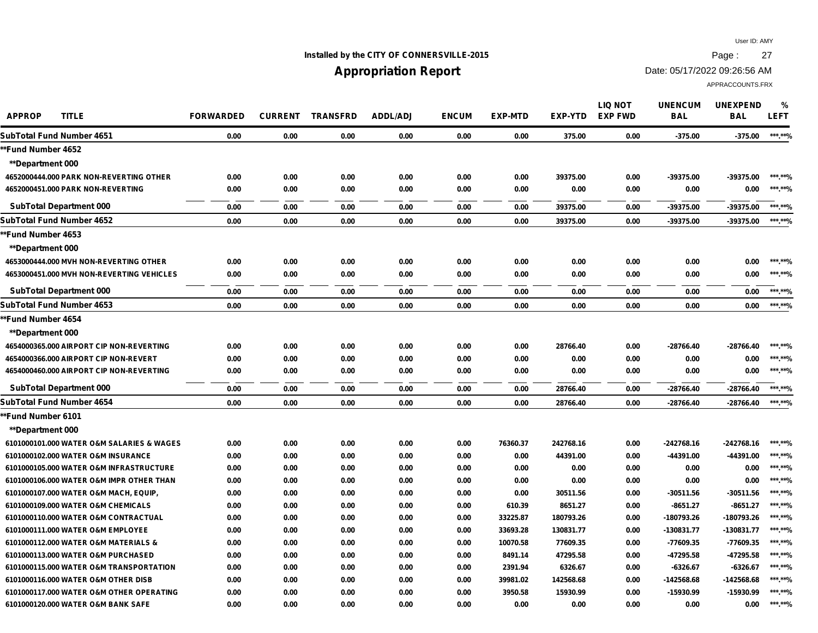## **Installed by the CITY OF CONNERSVILLE-2015 Page : 27**

# **Appropriation Report**

Date: 05/17/2022 09:26:56 AM

| <b>APPROP</b><br><b>TITLE</b>             | <b>FORWARDED</b> | <b>CURRENT</b> | <b>TRANSFRD</b> | <b>ADDL/ADJ</b> | <b>ENCUM</b> | <b>EXP-MTD</b> | <b>EXP-YTD</b> | <b>LIQ NOT</b><br><b>EXP FWD</b> | <b>UNENCUM</b><br><b>BAL</b> | <b>UNEXPEND</b><br><b>BAL</b> | %<br><b>LEFT</b> |
|-------------------------------------------|------------------|----------------|-----------------|-----------------|--------------|----------------|----------------|----------------------------------|------------------------------|-------------------------------|------------------|
| SubTotal Fund Number 4651                 | 0.00             | 0.00           | 0.00            | 0.00            | 0.00         | 0.00           | 375.00         | 0.00                             | $-375.00$                    | $-375.00$                     | ***.**%          |
| *Fund Number 4652                         |                  |                |                 |                 |              |                |                |                                  |                              |                               |                  |
| <b>**Department 000</b>                   |                  |                |                 |                 |              |                |                |                                  |                              |                               |                  |
| 4652000444.000 PARK NON-REVERTING OTHER   | 0.00             | 0.00           | 0.00            | 0.00            | 0.00         | 0.00           | 39375.00       | 0.00                             | -39375.00                    | -39375.00                     | ***.**%          |
| 4652000451.000 PARK NON-REVERTING         | 0.00             | 0.00           | 0.00            | 0.00            | 0.00         | 0.00           | 0.00           | 0.00                             | 0.00                         | 0.00                          | ******%          |
| <b>SubTotal Department 000</b>            | 0.00             | 0.00           | 0.00            | 0.00            | 0.00         | 0.00           | 39375.00       | 0.00                             | -39375.00                    | -39375.00                     | *** **%          |
| SubTotal Fund Number 4652                 | 0.00             | 0.00           | 0.00            | 0.00            | 0.00         | 0.00           | 39375.00       | 0.00                             | -39375.00                    | -39375.00                     | ******%          |
| *Fund Number 4653                         |                  |                |                 |                 |              |                |                |                                  |                              |                               |                  |
| **Department 000                          |                  |                |                 |                 |              |                |                |                                  |                              |                               |                  |
| 4653000444.000 MVH NON-REVERTING OTHER    | 0.00             | 0.00           | 0.00            | 0.00            | 0.00         | 0.00           | 0.00           | 0.00                             | 0.00                         | 0.00                          | ***.**%          |
| 4653000451.000 MVH NON-REVERTING VEHICLES | 0.00             | 0.00           | 0.00            | 0.00            | 0.00         | 0.00           | 0.00           | 0.00                             | 0.00                         | 0.00                          | *** **%          |
| <b>SubTotal Department 000</b>            | 0.00             | 0.00           | 0.00            | 0.00            | 0.00         | 0.00           | 0.00           | 0.00                             | 0.00                         | 0.00                          | ***.**%          |
| SubTotal Fund Number 4653                 | 0.00             | 0.00           | 0.00            | 0.00            | 0.00         | 0.00           | 0.00           | 0.00                             | 0.00                         | 0.00                          | ******%          |
| *Fund Number 4654                         |                  |                |                 |                 |              |                |                |                                  |                              |                               |                  |
| **Department 000                          |                  |                |                 |                 |              |                |                |                                  |                              |                               |                  |
| 4654000365.000 AIRPORT CIP NON-REVERTING  | 0.00             | 0.00           | 0.00            | 0.00            | 0.00         | 0.00           | 28766.40       | 0.00                             | -28766.40                    | -28766.40                     | ******%          |
| 4654000366.000 AIRPORT CIP NON-REVERT     | 0.00             | 0.00           | 0.00            | 0.00            | 0.00         | 0.00           | 0.00           | 0.00                             | 0.00                         | 0.00                          | *** **%          |
| 4654000460.000 AIRPORT CIP NON-REVERTING  | 0.00             | 0.00           | 0.00            | 0.00            | 0.00         | 0.00           | 0.00           | 0.00                             | 0.00                         | 0.00                          | ***.**%          |
| <b>SubTotal Department 000</b>            | 0.00             | 0.00           | 0.00            | 0.00            | 0.00         | 0.00           | 28766.40       | 0.00                             | -28766.40                    | -28766.40                     | *** **%          |
| SubTotal Fund Number 4654                 | 0.00             | 0.00           | 0.00            | 0.00            | 0.00         | 0.00           | 28766.40       | 0.00                             | -28766.40                    | -28766.40                     | ******%          |
| *Fund Number 6101                         |                  |                |                 |                 |              |                |                |                                  |                              |                               |                  |
| <b>**Department 000</b>                   |                  |                |                 |                 |              |                |                |                                  |                              |                               |                  |
| 6101000101.000 WATER O&M SALARIES & WAGES | 0.00             | 0.00           | 0.00            | 0.00            | 0.00         | 76360.37       | 242768.16      | 0.00                             | $-242768.16$                 | -242768.16                    | ***.**%          |
| 6101000102.000 WATER O&M INSURANCE        | 0.00             | 0.00           | 0.00            | 0.00            | 0.00         | 0.00           | 44391.00       | 0.00                             | -44391.00                    | -44391.00                     | ***.**%          |
| 6101000105.000 WATER O&M INFRASTRUCTURE   | 0.00             | 0.00           | 0.00            | 0.00            | 0.00         | 0.00           | 0.00           | 0.00                             | 0.00                         | 0.00                          | ***.**%          |
| 6101000106.000 WATER O&M IMPR OTHER THAN  | 0.00             | 0.00           | 0.00            | 0.00            | 0.00         | 0.00           | 0.00           | 0.00                             | 0.00                         | 0.00                          | ***.**%          |
| 6101000107.000 WATER O&M MACH, EQUIP,     | 0.00             | 0.00           | 0.00            | 0.00            | 0.00         | 0.00           | 30511.56       | 0.00                             | -30511.56                    | $-30511.56$                   | ***.**%          |
| 6101000109.000 WATER O&M CHEMICALS        | 0.00             | 0.00           | 0.00            | 0.00            | 0.00         | 610.39         | 8651.27        | 0.00                             | $-8651.27$                   | $-8651.27$                    | ******%          |
| 6101000110.000 WATER O&M CONTRACTUAL      | 0.00             | 0.00           | 0.00            | 0.00            | 0.00         | 33225.87       | 180793.26      | 0.00                             | -180793.26                   | -180793.26                    | ******%          |
| 6101000111.000 WATER O&M EMPLOYEE         | 0.00             | 0.00           | 0.00            | 0.00            | 0.00         | 33693.28       | 130831.77      | 0.00                             | -130831.77                   | -130831.77                    | ******%          |
| 6101000112.000 WATER O&M MATERIALS &      | 0.00             | 0.00           | 0.00            | 0.00            | 0.00         | 10070.58       | 77609.35       | 0.00                             | -77609.35                    | -77609.35                     | ******%          |
| 6101000113.000 WATER O&M PURCHASED        | 0.00             | 0.00           | 0.00            | 0.00            | 0.00         | 8491.14        | 47295.58       | 0.00                             | -47295.58                    | -47295.58                     | *** **%          |
| 6101000115.000 WATER O&M TRANSPORTATION   | 0.00             | 0.00           | 0.00            | 0.00            | 0.00         | 2391.94        | 6326.67        | 0.00                             | $-6326.67$                   | $-6326.67$                    | *** **%          |
| 6101000116,000 WATER O&M OTHER DISB       | 0.00             | 0.00           | 0.00            | 0.00            | 0.00         | 39981.02       | 142568.68      | 0.00                             | -142568.68                   | -142568.68                    | ***.**%          |
| 6101000117,000 WATER O&M OTHER OPERATING  | 0.00             | 0.00           | 0.00            | 0.00            | 0.00         | 3950.58        | 15930.99       | 0.00                             | -15930.99                    | -15930.99                     | ***.**%          |
| 6101000120.000 WATER O&M BANK SAFE        | 0.00             | 0.00           | 0.00            | 0.00            | 0.00         | 0.00           | 0.00           | 0.00                             | 0.00                         | 0.00                          | *** **0/         |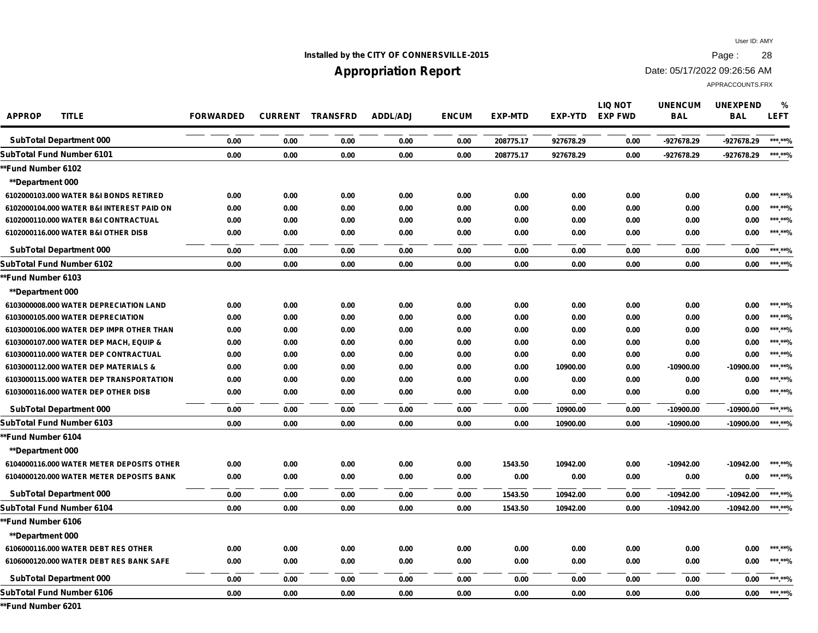## **Installed by the CITY OF CONNERSVILLE-2015 Page : 28**

## **Appropriation Report**

Date: 05/17/2022 09:26:56 AM

APPRACCOUNTS.FRX

| <b>APPROP</b>             | <b>TITLE</b>                              | <b>FORWARDED</b> | <b>CURRENT</b> | <b>TRANSFRD</b> | <b>ADDL/ADJ</b> | <b>ENCUM</b> | <b>EXP-MTD</b> | <b>EXP-YTD</b> | <b>LIQ NOT</b><br><b>EXP FWD</b> | <b>UNENCUM</b><br><b>BAL</b> | <b>UNEXPEND</b><br><b>BAL</b> | %<br><b>LEFT</b> |
|---------------------------|-------------------------------------------|------------------|----------------|-----------------|-----------------|--------------|----------------|----------------|----------------------------------|------------------------------|-------------------------------|------------------|
|                           | <b>SubTotal Department 000</b>            | 0.00             | 0.00           | 0.00            | 0.00            | 0.00         | 208775.17      | 927678.29      | 0.00                             | -927678.29                   | -927678.29                    | ***.**%          |
| SubTotal Fund Number 6101 |                                           | 0.00             | 0.00           | 0.00            | 0.00            | 0.00         | 208775.17      | 927678.29      | 0.00                             | -927678.29                   | -927678.29                    | ***.**%          |
| **Fund Number 6102        |                                           |                  |                |                 |                 |              |                |                |                                  |                              |                               |                  |
| <b>**Department 000</b>   |                                           |                  |                |                 |                 |              |                |                |                                  |                              |                               |                  |
|                           | 6102000103.000 WATER B&I BONDS RETIRED    | 0.00             | 0.00           | 0.00            | 0.00            | 0.00         | 0.00           | 0.00           | 0.00                             | 0.00                         | 0.00                          | ***.**%          |
|                           | 6102000104.000 WATER B&I INTEREST PAID ON | 0.00             | 0.00           | 0.00            | 0.00            | 0.00         | 0.00           | 0.00           | 0.00                             | 0.00                         | 0.00                          | ***.**%          |
|                           | 6102000110.000 WATER B&I CONTRACTUAL      | 0.00             | 0.00           | 0.00            | 0.00            | 0.00         | 0.00           | 0.00           | 0.00                             | 0.00                         | 0.00                          | ***.**%          |
|                           | 6102000116,000 WATER B&I OTHER DISB       | 0.00             | 0.00           | 0.00            | 0.00            | 0.00         | 0.00           | 0.00           | 0.00                             | 0.00                         | 0.00                          | ***.**%          |
|                           | <b>SubTotal Department 000</b>            | 0.00             | 0.00           | 0.00            | 0.00            | 0.00         | 0.00           | 0.00           | 0.00                             | 0.00                         | 0.00                          | ***.**%          |
| SubTotal Fund Number 6102 |                                           | 0.00             | 0.00           | 0.00            | 0.00            | 0.00         | 0.00           | 0.00           | 0.00                             | 0.00                         | 0.00                          | ***.**%          |
| **Fund Number 6103        |                                           |                  |                |                 |                 |              |                |                |                                  |                              |                               |                  |
| <b>**Department 000</b>   |                                           |                  |                |                 |                 |              |                |                |                                  |                              |                               |                  |
|                           | 6103000008.000 WATER DEPRECIATION LAND    | 0.00             | 0.00           | 0.00            | 0.00            | 0.00         | 0.00           | 0.00           | 0.00                             | 0.00                         | 0.00                          | ***.**%          |
|                           | 6103000105.000 WATER DEPRECIATION         | 0.00             | 0.00           | 0.00            | 0.00            | 0.00         | 0.00           | 0.00           | 0.00                             | 0.00                         | 0.00                          | ***.**%          |
|                           | 6103000106.000 WATER DEP IMPR OTHER THAN  | 0.00             | 0.00           | 0.00            | 0.00            | 0.00         | 0.00           | 0.00           | 0.00                             | 0.00                         | 0.00                          | ***.**%          |
|                           | 6103000107.000 WATER DEP MACH, EQUIP &    | 0.00             | 0.00           | 0.00            | 0.00            | 0.00         | 0.00           | 0.00           | 0.00                             | 0.00                         | 0.00                          | ***.**%          |
|                           | 6103000110.000 WATER DEP CONTRACTUAL      | 0.00             | 0.00           | 0.00            | 0.00            | 0.00         | 0.00           | 0.00           | 0.00                             | 0.00                         | 0.00                          | ***.**%          |
|                           | 6103000112.000 WATER DEP MATERIALS &      | 0.00             | 0.00           | 0.00            | 0.00            | 0.00         | 0.00           | 10900.00       | 0.00                             | -10900.00                    | $-10900.00$                   | ***.**%          |
|                           | 6103000115.000 WATER DEP TRANSPORTATION   | 0.00             | 0.00           | 0.00            | 0.00            | 0.00         | 0.00           | 0.00           | 0.00                             | 0.00                         | 0.00                          | ***.**%          |
|                           | 6103000116.000 WATER DEP OTHER DISB       | 0.00             | 0.00           | 0.00            | 0.00            | 0.00         | 0.00           | 0.00           | 0.00                             | 0.00                         | 0.00                          | ***.**%          |
|                           | <b>SubTotal Department 000</b>            | 0.00             | 0.00           | 0.00            | 0.00            | 0.00         | 0.00           | 10900.00       | 0.00                             | $-10900.00$                  | $-10900.00$                   | ***.**%          |
| SubTotal Fund Number 6103 |                                           | 0.00             | 0.00           | 0.00            | 0.00            | 0.00         | 0.00           | 10900.00       | 0.00                             | -10900.00                    | $-10900.00$                   | ***.**%          |
| **Fund Number 6104        |                                           |                  |                |                 |                 |              |                |                |                                  |                              |                               |                  |
| <b>**Department 000</b>   |                                           |                  |                |                 |                 |              |                |                |                                  |                              |                               |                  |
|                           | 6104000116.000 WATER METER DEPOSITS OTHER | 0.00             | 0.00           | 0.00            | 0.00            | 0.00         | 1543.50        | 10942.00       | 0.00                             | $-10942.00$                  | $-10942.00$                   | ***.**%          |
|                           | 6104000120.000 WATER METER DEPOSITS BANK  | 0.00             | 0.00           | 0.00            | 0.00            | 0.00         | 0.00           | 0.00           | 0.00                             | 0.00                         | 0.00                          | ***.**%          |
|                           | <b>SubTotal Department 000</b>            | 0.00             | 0.00           | 0.00            | 0.00            | 0.00         | 1543.50        | 10942.00       | 0.00                             | -10942.00                    | $-10942.00$                   | ***.**%          |
| SubTotal Fund Number 6104 |                                           | 0.00             | 0.00           | 0.00            | 0.00            | 0.00         | 1543.50        | 10942.00       | 0.00                             | $-10942.00$                  | -10942.00                     | ***.**%          |
| **Fund Number 6106        |                                           |                  |                |                 |                 |              |                |                |                                  |                              |                               |                  |
| <b>**Department 000</b>   |                                           |                  |                |                 |                 |              |                |                |                                  |                              |                               |                  |
|                           | 6106000116.000 WATER DEBT RES OTHER       | 0.00             | 0.00           | 0.00            | 0.00            | 0.00         | 0.00           | 0.00           | 0.00                             | 0.00                         | 0.00                          | *** **%          |
|                           | 6106000120.000 WATER DEBT RES BANK SAFE   | 0.00             | 0.00           | 0.00            | 0.00            | 0.00         | 0.00           | 0.00           | 0.00                             | 0.00                         | 0.00                          | ***.**%          |
|                           | <b>SubTotal Department 000</b>            | 0.00             | 0.00           | 0.00            | 0.00            | 0.00         | 0.00           | 0.00           | 0.00                             | 0.00                         | 0.00                          | ***.**%          |
| SubTotal Fund Number 6106 |                                           | 0.00             | 0.00           | 0.00            | 0.00            | 0.00         | 0.00           | 0.00           | 0.00                             | 0.00                         | 0.00                          | ***.**%          |

**\*\*Fund Number 6201**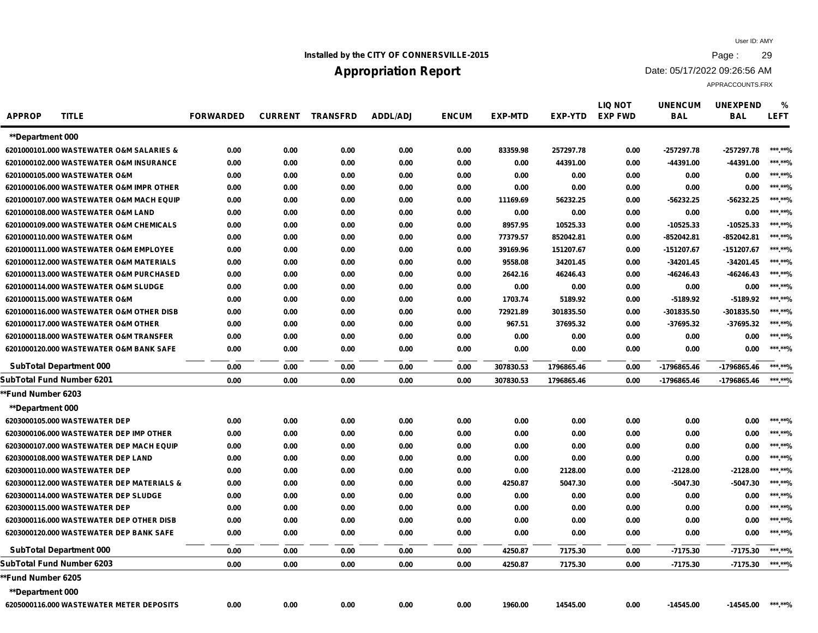## **Installed by the CITY OF CONNERSVILLE-2015 Page : 29**

## **Appropriation Report**

Date: 05/17/2022 09:26:56 AM

| <b>APPROP</b>           | <b>TITLE</b>                              | <b>FORWARDED</b> |      | <b>CURRENT TRANSFRD</b> | <b>ADDL/ADJ</b> | <b>ENCUM</b> | <b>EXP-MTD</b> | <b>EXP-YTD</b> | <b>LIQ NOT</b><br><b>EXP FWD</b> | <b>UNENCUM</b><br><b>BAL</b> | <b>UNEXPEND</b><br><b>BAL</b> | %<br><b>LEFT</b> |
|-------------------------|-------------------------------------------|------------------|------|-------------------------|-----------------|--------------|----------------|----------------|----------------------------------|------------------------------|-------------------------------|------------------|
| <b>**Department 000</b> |                                           |                  |      |                         |                 |              |                |                |                                  |                              |                               |                  |
|                         | 6201000101.000 WASTEWATER O&M SALARIES &  | 0.00             | 0.00 | 0.00                    | 0.00            | 0.00         | 83359.98       | 257297.78      | 0.00                             | $-257297.78$                 | -257297.78                    | ***.**%          |
|                         | 6201000102.000 WASTEWATER O&M INSURANCE   | 0.00             | 0.00 | 0.00                    | 0.00            | 0.00         | 0.00           | 44391.00       | 0.00                             | -44391.00                    | -44391.00                     | ***.**%          |
|                         | 6201000105.000 WASTEWATER O&M             | 0.00             | 0.00 | 0.00                    | 0.00            | 0.00         | 0.00           | 0.00           | 0.00                             | 0.00                         | 0.00                          | ***.**%          |
|                         | 6201000106.000 WASTEWATER O&M IMPR OTHER  | 0.00             | 0.00 | 0.00                    | 0.00            | 0.00         | 0.00           | 0.00           | 0.00                             | 0.00                         | 0.00                          | ***.**%          |
|                         | 6201000107.000 WASTEWATER O&M MACH EQUIP  | 0.00             | 0.00 | 0.00                    | 0.00            | 0.00         | 11169.69       | 56232.25       | 0.00                             | $-56232.25$                  | $-56232.25$                   | ***.**%          |
|                         | 6201000108.000 WASTEWATER O&M LAND        | 0.00             | 0.00 | 0.00                    | 0.00            | 0.00         | 0.00           | 0.00           | 0.00                             | 0.00                         | 0.00                          | ***.**%          |
|                         | 6201000109.000 WASTEWATER O&M CHEMICALS   | 0.00             | 0.00 | 0.00                    | 0.00            | 0.00         | 8957.95        | 10525.33       | 0.00                             | $-10525.33$                  | -10525.33                     | ***.**%          |
|                         | 6201000110.000 WASTEWATER O&M             | 0.00             | 0.00 | 0.00                    | 0.00            | 0.00         | 77379.57       | 852042.81      | 0.00                             | $-852042.81$                 | -852042.81                    | ***.**%          |
|                         | 6201000111.000 WASTEWATER O&M EMPLOYEE    | 0.00             | 0.00 | 0.00                    | 0.00            | 0.00         | 39169.96       | 151207.67      | 0.00                             | -151207.67                   | -151207.67                    | ***.**%          |
|                         | 6201000112.000 WASTEWATER O&M MATERIALS   | 0.00             | 0.00 | 0.00                    | 0.00            | 0.00         | 9558.08        | 34201.45       | 0.00                             | $-34201.45$                  | $-34201.45$                   | ***.**%          |
|                         | 6201000113,000 WASTEWATER O&M PURCHASED   | 0.00             | 0.00 | 0.00                    | 0.00            | 0.00         | 2642.16        | 46246.43       | 0.00                             | -46246.43                    | -46246.43                     | ***.**%          |
|                         | 6201000114.000 WASTEWATER O&M SLUDGE      | 0.00             | 0.00 | 0.00                    | 0.00            | 0.00         | 0.00           | 0.00           | 0.00                             | 0.00                         | 0.00                          | ***.**%          |
|                         | 6201000115.000 WASTEWATER O&M             | 0.00             | 0.00 | 0.00                    | 0.00            | 0.00         | 1703.74        | 5189.92        | 0.00                             | $-5189.92$                   | $-5189.92$                    | ***.**%          |
|                         | 6201000116.000 WASTEWATER O&M OTHER DISB  | 0.00             | 0.00 | 0.00                    | 0.00            | 0.00         | 72921.89       | 301835.50      | 0.00                             | -301835.50                   | -301835.50                    | ***.**%          |
|                         | 6201000117.000 WASTEWATER O&M OTHER       | 0.00             | 0.00 | 0.00                    | 0.00            | 0.00         | 967.51         | 37695.32       | 0.00                             | $-37695.32$                  | -37695.32                     | ***.**%          |
|                         | 6201000118,000 WASTEWATER O&M TRANSFER    | 0.00             | 0.00 | 0.00                    | 0.00            | 0.00         | 0.00           | 0.00           | 0.00                             | 0.00                         | 0.00                          | ***.**%          |
|                         | 6201000120.000 WASTEWATER O&M BANK SAFE   | 0.00             | 0.00 | 0.00                    | 0.00            | 0.00         | 0.00           | 0.00           | 0.00                             | 0.00                         | 0.00                          | ***.**%          |
|                         | <b>SubTotal Department 000</b>            | 0.00             | 0.00 | 0.00                    | 0.00            | 0.00         | 307830.53      | 1796865.46     | 0.00                             | -1796865.46                  | -1796865.46                   | ******%          |
|                         | <b>SubTotal Fund Number 6201</b>          | 0.00             | 0.00 | 0.00                    | 0.00            | 0.00         | 307830.53      | 1796865.46     | 0.00                             | -1796865.46                  | -1796865.46                   | ***.**%          |
| *Fund Number 6203       |                                           |                  |      |                         |                 |              |                |                |                                  |                              |                               |                  |
| **Department 000        |                                           |                  |      |                         |                 |              |                |                |                                  |                              |                               |                  |
|                         | 6203000105.000 WASTEWATER DEP             | 0.00             | 0.00 | 0.00                    | 0.00            | 0.00         | 0.00           | 0.00           | 0.00                             | 0.00                         | 0.00                          | ***.**%          |
|                         | 6203000106.000 WASTEWATER DEP IMP OTHER   | 0.00             | 0.00 | 0.00                    | 0.00            | 0.00         | 0.00           | 0.00           | 0.00                             | 0.00                         | 0.00                          | ***.**%          |
|                         | 6203000107.000 WASTEWATER DEP MACH EQUIP  | 0.00             | 0.00 | 0.00                    | 0.00            | 0.00         | 0.00           | 0.00           | 0.00                             | 0.00                         | 0.00                          | ***.**%          |
|                         | 6203000108.000 WASTEWATER DEP LAND        | 0.00             | 0.00 | 0.00                    | 0.00            | 0.00         | 0.00           | 0.00           | 0.00                             | 0.00                         | 0.00                          | ***.**%          |
|                         | 6203000110.000 WASTEWATER DEP             | 0.00             | 0.00 | 0.00                    | 0.00            | 0.00         | 0.00           | 2128.00        | 0.00                             | $-2128.00$                   | $-2128.00$                    | ***.**%          |
|                         | 6203000112.000 WASTEWATER DEP MATERIALS & | 0.00             | 0.00 | 0.00                    | 0.00            | 0.00         | 4250.87        | 5047.30        | 0.00                             | $-5047.30$                   | $-5047.30$                    | ***.**%          |
|                         | 6203000114.000 WASTEWATER DEP SLUDGE      | 0.00             | 0.00 | 0.00                    | 0.00            | 0.00         | 0.00           | 0.00           | 0.00                             | 0.00                         | 0.00                          | ***.**%          |
|                         | 6203000115.000 WASTEWATER DEP             | 0.00             | 0.00 | 0.00                    | 0.00            | 0.00         | 0.00           | 0.00           | 0.00                             | 0.00                         | 0.00                          | ***.**%          |
|                         | 6203000116.000 WASTEWATER DEP OTHER DISB  | 0.00             | 0.00 | 0.00                    | 0.00            | 0.00         | 0.00           | 0.00           | 0.00                             | 0.00                         | 0.00                          | ***.**%          |
|                         | 6203000120.000 WASTEWATER DEP BANK SAFE   | 0.00             | 0.00 | 0.00                    | 0.00            | 0.00         | 0.00           | 0.00           | 0.00                             | 0.00                         | 0.00                          | ***.**%          |
|                         | <b>SubTotal Department 000</b>            | 0.00             | 0.00 | 0.00                    | 0.00            | 0.00         | 4250.87        | 7175.30        | 0.00                             | $-7175.30$                   | $-7175.30$                    | ******%          |
|                         | <b>SubTotal Fund Number 6203</b>          | 0.00             | 0.00 | 0.00                    | 0.00            | 0.00         | 4250.87        | 7175.30        | 0.00                             | $-7175.30$                   | -7175.30                      | ***.**%          |
| *Fund Number 6205       |                                           |                  |      |                         |                 |              |                |                |                                  |                              |                               |                  |
| **Department 000        |                                           |                  |      |                         |                 |              |                |                |                                  |                              |                               |                  |
|                         | 6205000116.000 WASTEWATER METER DEPOSITS  | 0.00             | 0.00 | 0.00                    | 0.00            | 0.00         | 1960.00        | 14545.00       | 0.00                             | $-14545.00$                  | -14545.00                     | ***.**%          |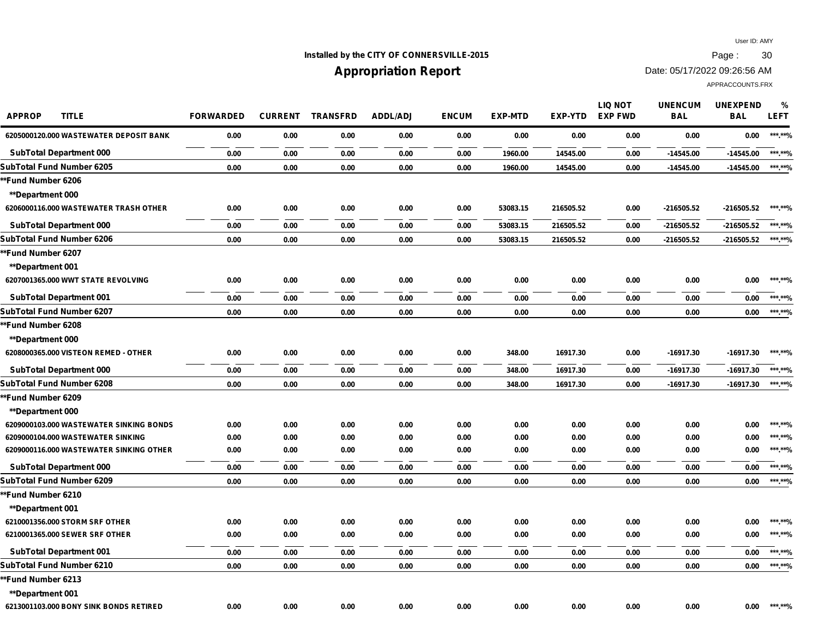## **Installed by the CITY OF CONNERSVILLE-2015 Page : 30**

# **Appropriation Report**

Date: 05/17/2022 09:26:56 AM

| <b>APPROP</b><br><b>TITLE</b>           | <b>FORWARDED</b> | <b>CURRENT</b> | <b>TRANSFRD</b> | <b>ADDL/ADJ</b> | <b>ENCUM</b> | <b>EXP-MTD</b> | <b>EXP-YTD</b> | <b>LIQ NOT</b><br><b>EXP FWD</b> | <b>UNENCUM</b><br><b>BAL</b> | <b>UNEXPEND</b><br><b>BAL</b> | %<br><b>LEFT</b> |
|-----------------------------------------|------------------|----------------|-----------------|-----------------|--------------|----------------|----------------|----------------------------------|------------------------------|-------------------------------|------------------|
| 6205000120.000 WASTEWATER DEPOSIT BANK  | 0.00             | 0.00           | 0.00            | 0.00            | 0.00         | 0.00           | 0.00           | 0.00                             | 0.00                         | 0.00                          | ***.**%          |
| <b>SubTotal Department 000</b>          | 0.00             | 0.00           | 0.00            | 0.00            | 0.00         | 1960.00        | 14545.00       | 0.00                             | $-14545.00$                  | $-14545.00$                   | ***.**%          |
| SubTotal Fund Number 6205               | 0.00             | 0.00           | 0.00            | 0.00            | 0.00         | 1960.00        | 14545.00       | 0.00                             | $-14545.00$                  | $-14545.00$                   | ***.**%          |
| *Fund Number 6206                       |                  |                |                 |                 |              |                |                |                                  |                              |                               |                  |
| <b>**Department 000</b>                 |                  |                |                 |                 |              |                |                |                                  |                              |                               |                  |
| 6206000116.000 WASTEWATER TRASH OTHER   | 0.00             | 0.00           | 0.00            | 0.00            | 0.00         | 53083.15       | 216505.52      | 0.00                             | $-216505.52$                 | $-216505.52$                  | ***.**%          |
| <b>SubTotal Department 000</b>          | 0.00             | 0.00           | 0.00            | 0.00            | 0.00         | 53083.15       | 216505.52      | 0.00                             | $-216505.52$                 | -216505.52                    | ***.**%          |
| SubTotal Fund Number 6206               | 0.00             | 0.00           | 0.00            | 0.00            | 0.00         | 53083.15       | 216505.52      | 0.00                             | $-216505.52$                 | -216505.52                    | ***.**%          |
| *Fund Number 6207                       |                  |                |                 |                 |              |                |                |                                  |                              |                               |                  |
| **Department 001                        |                  |                |                 |                 |              |                |                |                                  |                              |                               |                  |
| 6207001365.000 WWT STATE REVOLVING      | 0.00             | 0.00           | 0.00            | 0.00            | 0.00         | 0.00           | 0.00           | 0.00                             | 0.00                         | 0.00                          | ***.**%          |
| <b>SubTotal Department 001</b>          | 0.00             | 0.00           | 0.00            | 0.00            | 0.00         | 0.00           | 0.00           | 0.00                             | 0.00                         | 0.00                          | ***.**%          |
| SubTotal Fund Number 6207               | 0.00             | 0.00           | 0.00            | 0.00            | 0.00         | 0.00           | 0.00           | 0.00                             | 0.00                         | 0.00                          | ***.**%          |
| *Fund Number 6208                       |                  |                |                 |                 |              |                |                |                                  |                              |                               |                  |
| <b>**Department 000</b>                 |                  |                |                 |                 |              |                |                |                                  |                              |                               |                  |
| 6208000365.000 VISTEON REMED - OTHER    | 0.00             | 0.00           | 0.00            | 0.00            | 0.00         | 348.00         | 16917.30       | 0.00                             | -16917.30                    | -16917.30                     | ***.**%          |
| <b>SubTotal Department 000</b>          | 0.00             | 0.00           | 0.00            | 0.00            | 0.00         | 348.00         | 16917.30       | 0.00                             | -16917.30                    | -16917.30                     | ***.**%          |
| SubTotal Fund Number 6208               | 0.00             | 0.00           | 0.00            | 0.00            | 0.00         | 348.00         | 16917.30       | 0.00                             | -16917.30                    | -16917.30                     | ***.**%          |
| *Fund Number 6209                       |                  |                |                 |                 |              |                |                |                                  |                              |                               |                  |
| <b>**Department 000</b>                 |                  |                |                 |                 |              |                |                |                                  |                              |                               |                  |
| 6209000103.000 WASTEWATER SINKING BONDS | 0.00             | 0.00           | 0.00            | 0.00            | 0.00         | 0.00           | 0.00           | 0.00                             | 0.00                         | 0.00                          | ***.**%          |
| 6209000104.000 WASTEWATER SINKING       | 0.00             | 0.00           | 0.00            | 0.00            | 0.00         | 0.00           | 0.00           | 0.00                             | 0.00                         | 0.00                          | ***.**%          |
| 6209000116.000 WASTEWATER SINKING OTHER | 0.00             | 0.00           | 0.00            | 0.00            | 0.00         | 0.00           | 0.00           | 0.00                             | 0.00                         | 0.00                          | ***.**%          |
| <b>SubTotal Department 000</b>          | 0.00             | 0.00           | 0.00            | 0.00            | 0.00         | 0.00           | 0.00           | 0.00                             | 0.00                         | 0.00                          | ***.**%          |
| SubTotal Fund Number 6209               | 0.00             | 0.00           | 0.00            | 0.00            | 0.00         | 0.00           | 0.00           | 0.00                             | 0.00                         | 0.00                          | ***.**%          |
| *Fund Number 6210                       |                  |                |                 |                 |              |                |                |                                  |                              |                               |                  |
| **Department 001                        |                  |                |                 |                 |              |                |                |                                  |                              |                               |                  |
| 6210001356.000 STORM SRF OTHER          | 0.00             | 0.00           | 0.00            | 0.00            | 0.00         | 0.00           | 0.00           | 0.00                             | 0.00                         | 0.00                          | ***.**%          |
| 6210001365.000 SEWER SRF OTHER          | 0.00             | 0.00           | 0.00            | 0.00            | 0.00         | 0.00           | 0.00           | 0.00                             | 0.00                         | 0.00                          | ***.**%          |
| <b>SubTotal Department 001</b>          | 0.00             | 0.00           | 0.00            | 0.00            | 0.00         | 0.00           | 0.00           | 0.00                             | 0.00                         | 0.00                          | ***.**%          |
| SubTotal Fund Number 6210               | 0.00             | 0.00           | 0.00            | 0.00            | 0.00         | 0.00           | 0.00           | 0.00                             | 0.00                         | 0.00                          | ***.**%          |
| *Fund Number 6213                       |                  |                |                 |                 |              |                |                |                                  |                              |                               |                  |
| <b>**Department 001</b>                 |                  |                |                 |                 |              |                |                |                                  |                              |                               |                  |
| 6213001103.000 BONY SINK BONDS RETIRED  | 0.00             | 0.00           | 0.00            | 0.00            | 0.00         | 0.00           | 0.00           | 0.00                             | 0.00                         | 0.00                          | ***.**%          |
|                                         |                  |                |                 |                 |              |                |                |                                  |                              |                               |                  |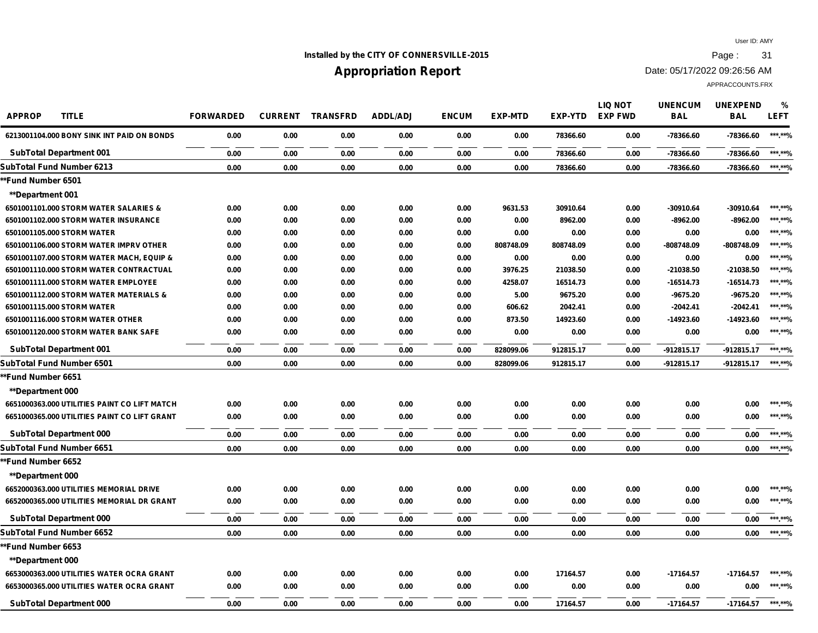## **Installed by the CITY OF CONNERSVILLE-2015 Page : 31**

# **Appropriation Report**

Date: 05/17/2022 09:26:56 AM

| <b>APPROP</b><br><b>TITLE</b>                | <b>FORWARDED</b> | <b>CURRENT</b> | <b>TRANSFRD</b> | <b>ADDL/ADJ</b> | <b>ENCUM</b> | <b>EXP-MTD</b> | <b>EXP-YTD</b> | <b>LIQ NOT</b><br><b>EXP FWD</b> | <b>UNENCUM</b><br><b>BAL</b> | <b>UNEXPEND</b><br><b>BAL</b> | %<br><b>LEFT</b> |
|----------------------------------------------|------------------|----------------|-----------------|-----------------|--------------|----------------|----------------|----------------------------------|------------------------------|-------------------------------|------------------|
| 6213001104.000 BONY SINK INT PAID ON BONDS   | 0.00             | 0.00           | 0.00            | 0.00            | 0.00         | 0.00           | 78366.60       | 0.00                             | -78366.60                    | -78366.60                     | ***.**%          |
| <b>SubTotal Department 001</b>               | 0.00             | 0.00           | 0.00            | 0.00            | 0.00         | 0.00           | 78366.60       | 0.00                             | -78366.60                    | -78366.60                     | ******%          |
| SubTotal Fund Number 6213                    | 0.00             | 0.00           | 0.00            | 0.00            | 0.00         | 0.00           | 78366.60       | 0.00                             | -78366.60                    | -78366.60                     | ***.**%          |
| *Fund Number 6501                            |                  |                |                 |                 |              |                |                |                                  |                              |                               |                  |
| **Department 001                             |                  |                |                 |                 |              |                |                |                                  |                              |                               |                  |
| 6501001101.000 STORM WATER SALARIES &        | 0.00             | 0.00           | 0.00            | 0.00            | 0.00         | 9631.53        | 30910.64       | 0.00                             | -30910.64                    | $-30910.64$                   | ***.**%          |
| 6501001102.000 STORM WATER INSURANCE         | 0.00             | 0.00           | 0.00            | 0.00            | 0.00         | 0.00           | 8962.00        | 0.00                             | $-8962.00$                   | $-8962.00$                    | ***.**%          |
| 6501001105.000 STORM WATER                   | 0.00             | 0.00           | 0.00            | 0.00            | 0.00         | 0.00           | 0.00           | 0.00                             | 0.00                         | 0.00                          | ***.**%          |
| 6501001106.000 STORM WATER IMPRV OTHER       | 0.00             | 0.00           | 0.00            | 0.00            | 0.00         | 808748.09      | 808748.09      | 0.00                             | -808748.09                   | -808748.09                    | ******%          |
| 6501001107.000 STORM WATER MACH, EQUIP &     | 0.00             | 0.00           | 0.00            | 0.00            | 0.00         | 0.00           | 0.00           | 0.00                             | 0.00                         | 0.00                          | ***.**%          |
| 6501001110.000 STORM WATER CONTRACTUAL       | 0.00             | 0.00           | 0.00            | 0.00            | 0.00         | 3976.25        | 21038.50       | 0.00                             | -21038.50                    | -21038.50                     | ******%          |
| 6501001111.000 STORM WATER EMPLOYEE          | 0.00             | 0.00           | 0.00            | 0.00            | 0.00         | 4258.07        | 16514.73       | 0.00                             | -16514.73                    | $-16514.73$                   | ***.**%          |
| 6501001112.000 STORM WATER MATERIALS &       | 0.00             | 0.00           | 0.00            | 0.00            | 0.00         | 5.00           | 9675.20        | 0.00                             | $-9675.20$                   | $-9675.20$                    | ******%          |
| 6501001115.000 STORM WATER                   | 0.00             | 0.00           | 0.00            | 0.00            | 0.00         | 606.62         | 2042.41        | 0.00                             | $-2042.41$                   | $-2042.41$                    | ***.**%          |
| 6501001116.000 STORM WATER OTHER             | 0.00             | 0.00           | 0.00            | 0.00            | 0.00         | 873.50         | 14923.60       | 0.00                             | -14923.60                    | -14923.60                     | ******%          |
| 6501001120.000 STORM WATER BANK SAFE         | 0.00             | 0.00           | 0.00            | 0.00            | 0.00         | 0.00           | 0.00           | 0.00                             | 0.00                         | 0.00                          | ******%          |
| <b>SubTotal Department 001</b>               | 0.00             | 0.00           | 0.00            | 0.00            | 0.00         | 828099.06      | 912815.17      | 0.00                             | $-912815.17$                 | $-912815.17$                  | *** **%          |
| SubTotal Fund Number 6501                    | 0.00             | 0.00           | 0.00            | 0.00            | 0.00         | 828099.06      | 912815.17      | 0.00                             | $-912815.17$                 | $-912815.17$                  | ******%          |
| *Fund Number 6651                            |                  |                |                 |                 |              |                |                |                                  |                              |                               |                  |
| <b>**Department 000</b>                      |                  |                |                 |                 |              |                |                |                                  |                              |                               |                  |
| 6651000363.000 UTILITIES PAINT CO LIFT MATCH | 0.00             | 0.00           | 0.00            | 0.00            | 0.00         | 0.00           | 0.00           | 0.00                             | 0.00                         | 0.00                          | ***.**%          |
| 6651000365.000 UTILITIES PAINT CO LIFT GRANT | 0.00             | 0.00           | 0.00            | 0.00            | 0.00         | 0.00           | 0.00           | 0.00                             | 0.00                         | 0.00                          | *** **%          |
| <b>SubTotal Department 000</b>               | 0.00             | 0.00           | 0.00            | 0.00            | 0.00         | 0.00           | 0.00           | 0.00                             | 0.00                         | 0.00                          | *** **%          |
| SubTotal Fund Number 6651                    | 0.00             | 0.00           | 0.00            | 0.00            | 0.00         | 0.00           | 0.00           | 0.00                             | 0.00                         | 0.00                          | ***.**%          |
| <b>*Fund Number 6652</b>                     |                  |                |                 |                 |              |                |                |                                  |                              |                               |                  |
| <b>**Department 000</b>                      |                  |                |                 |                 |              |                |                |                                  |                              |                               |                  |
| 6652000363.000 UTILITIES MEMORIAL DRIVE      | 0.00             | 0.00           | 0.00            | 0.00            | 0.00         | 0.00           | 0.00           | 0.00                             | 0.00                         | 0.00                          | ***.**%          |
| 6652000365.000 UTILITIES MEMORIAL DR GRANT   | 0.00             | 0.00           | 0.00            | 0.00            | 0.00         | 0.00           | 0.00           | 0.00                             | 0.00                         | 0.00                          | ***.**%          |
| <b>SubTotal Department 000</b>               | 0.00             | 0.00           | 0.00            | 0.00            | 0.00         | 0.00           | 0.00           | 0.00                             | 0.00                         | 0.00                          | ***.**%          |
| SubTotal Fund Number 6652                    | 0.00             | 0.00           | 0.00            | 0.00            | 0.00         | 0.00           | 0.00           | 0.00                             | 0.00                         | 0.00                          | ***.**%          |
| *Fund Number 6653                            |                  |                |                 |                 |              |                |                |                                  |                              |                               |                  |
| <b>**Department 000</b>                      |                  |                |                 |                 |              |                |                |                                  |                              |                               |                  |
| 6653000363.000 UTILITIES WATER OCRA GRANT    | 0.00             | 0.00           | 0.00            | 0.00            | 0.00         | 0.00           | 17164.57       | 0.00                             | $-17164.57$                  | -17164.57                     | ***.**%          |
| 6653000365.000 UTILITIES WATER OCRA GRANT    | 0.00             | 0.00           | 0.00            | 0.00            | 0.00         | 0.00           | 0.00           | 0.00                             | 0.00                         | 0.00                          | ***.**%          |
| <b>SubTotal Department 000</b>               | 0.00             | 0.00           | 0.00            | 0.00            | 0.00         | 0.00           | 17164.57       | 0.00                             | $-17164.57$                  | $-17164.57$                   | *** **0/         |
|                                              |                  |                |                 |                 |              |                |                |                                  |                              |                               |                  |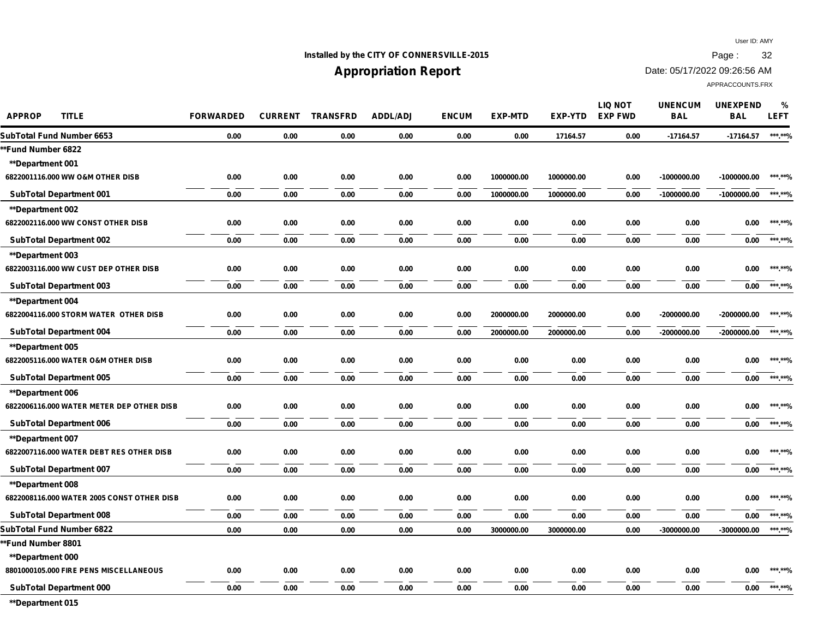## **Installed by the CITY OF CONNERSVILLE-2015 Page : 32**

## **Appropriation Report**

Date: 05/17/2022 09:26:56 AM

APPRACCOUNTS.FRX

| <b>APPROP</b><br><b>TITLE</b>              | <b>FORWARDED</b> | <b>CURRENT</b> | <b>TRANSFRD</b> | <b>ADDL/ADJ</b> | <b>ENCUM</b> | <b>EXP-MTD</b> | EXP-YTD    | <b>LIQ NOT</b><br><b>EXP FWD</b> | <b>UNENCUM</b><br><b>BAL</b> | <b>UNEXPEND</b><br><b>BAL</b> | %<br><b>LEFT</b> |
|--------------------------------------------|------------------|----------------|-----------------|-----------------|--------------|----------------|------------|----------------------------------|------------------------------|-------------------------------|------------------|
| SubTotal Fund Number 6653                  | 0.00             | 0.00           | 0.00            | 0.00            | 0.00         | 0.00           | 17164.57   | 0.00                             | $-17164.57$                  | -17164.57                     | ***.**%          |
| *Fund Number 6822                          |                  |                |                 |                 |              |                |            |                                  |                              |                               |                  |
| <b>**Department 001</b>                    |                  |                |                 |                 |              |                |            |                                  |                              |                               |                  |
| 6822001116.000 WW O&M OTHER DISB           | 0.00             | 0.00           | 0.00            | 0.00            | 0.00         | 1000000.00     | 1000000.00 | 0.00                             | -1000000.00                  | $-1000000.00$                 | *** **0/         |
| <b>SubTotal Department 001</b>             | 0.00             | 0.00           | 0.00            | 0.00            | 0.00         | 1000000.00     | 1000000.00 | 0.00                             | -1000000.00                  | $-1000000.00$                 | ******%          |
| **Department 002                           |                  |                |                 |                 |              |                |            |                                  |                              |                               |                  |
| 6822002116.000 WW CONST OTHER DISB         | 0.00             | 0.00           | 0.00            | 0.00            | 0.00         | 0.00           | 0.00       | 0.00                             | 0.00                         | 0.00                          | ***.**%          |
| <b>SubTotal Department 002</b>             | 0.00             | 0.00           | 0.00            | 0.00            | 0.00         | 0.00           | 0.00       | 0.00                             | 0.00                         | 0.00                          | ***.**%          |
| **Department 003                           |                  |                |                 |                 |              |                |            |                                  |                              |                               |                  |
| 6822003116.000 WW CUST DEP OTHER DISB      | 0.00             | 0.00           | 0.00            | 0.00            | 0.00         | 0.00           | 0.00       | 0.00                             | 0.00                         | 0.00                          | ***.**%          |
| <b>SubTotal Department 003</b>             | 0.00             | 0.00           | 0.00            | 0.00            | 0.00         | 0.00           | 0.00       | 0.00                             | 0.00                         | 0.00                          | ***.**%          |
| **Department 004                           |                  |                |                 |                 |              |                |            |                                  |                              |                               |                  |
| 6822004116.000 STORM WATER OTHER DISB      | 0.00             | 0.00           | 0.00            | 0.00            | 0.00         | 2000000.00     | 2000000.00 | 0.00                             | -2000000.00                  | $-2000000.00$                 | ***.**%          |
| <b>SubTotal Department 004</b>             | 0.00             | 0.00           | 0.00            | 0.00            | 0.00         | 2000000.00     | 2000000.00 | 0.00                             | -2000000.00                  | $-2000000.00$                 | ***.**%          |
| **Department 005                           |                  |                |                 |                 |              |                |            |                                  |                              |                               |                  |
| 6822005116.000 WATER O&M OTHER DISB        | 0.00             | 0.00           | 0.00            | 0.00            | 0.00         | 0.00           | 0.00       | 0.00                             | 0.00                         | 0.00                          | ***.**%          |
| <b>SubTotal Department 005</b>             | 0.00             | 0.00           | 0.00            | 0.00            | 0.00         | 0.00           | 0.00       | 0.00                             | 0.00                         | 0.00                          | ***.**%          |
| **Department 006                           |                  |                |                 |                 |              |                |            |                                  |                              |                               |                  |
| 6822006116.000 WATER METER DEP OTHER DISB  | 0.00             | 0.00           | 0.00            | 0.00            | 0.00         | 0.00           | 0.00       | 0.00                             | 0.00                         | 0.00                          | ***.**%          |
| <b>SubTotal Department 006</b>             | 0.00             | 0.00           | 0.00            | 0.00            | 0.00         | 0.00           | 0.00       | 0.00                             | 0.00                         | 0.00                          | ***.**%          |
| **Department 007                           |                  |                |                 |                 |              |                |            |                                  |                              |                               |                  |
| 6822007116.000 WATER DEBT RES OTHER DISB   | 0.00             | 0.00           | 0.00            | 0.00            | 0.00         | 0.00           | 0.00       | 0.00                             | 0.00                         | 0.00                          | ***.**%          |
| <b>SubTotal Department 007</b>             | 0.00             | 0.00           | 0.00            | 0.00            | 0.00         | 0.00           | 0.00       | 0.00                             | 0.00                         | 0.00                          | ***.**%          |
| **Department 008                           |                  |                |                 |                 |              |                |            |                                  |                              |                               |                  |
| 6822008116.000 WATER 2005 CONST OTHER DISB | 0.00             | 0.00           | 0.00            | 0.00            | 0.00         | 0.00           | 0.00       | 0.00                             | 0.00                         | 0.00                          | ***.**%          |
| <b>SubTotal Department 008</b>             | 0.00             | 0.00           | 0.00            | 0.00            | 0.00         | 0.00           | 0.00       | 0.00                             | 0.00                         | 0.00                          | ******%          |
| SubTotal Fund Number 6822                  | 0.00             | 0.00           | 0.00            | 0.00            | 0.00         | 3000000.00     | 3000000.00 | 0.00                             | -3000000.00                  | $-3000000.00$                 | *** **%          |
| <b>Fund Number 8801</b>                    |                  |                |                 |                 |              |                |            |                                  |                              |                               |                  |
| **Department 000                           |                  |                |                 |                 |              |                |            |                                  |                              |                               |                  |
| 8801000105.000 FIRE PENS MISCELLANEOUS     | 0.00             | 0.00           | 0.00            | 0.00            | 0.00         | 0.00           | 0.00       | 0.00                             | 0.00                         | 0.00                          | ***.**%          |
| <b>SubTotal Department 000</b>             | 0.00             | 0.00           | 0.00            | 0.00            | 0.00         | 0.00           | 0.00       | 0.00                             | 0.00                         | 0.00                          | ***.**%          |
|                                            |                  |                |                 |                 |              |                |            |                                  |                              |                               |                  |

**\*\*Department 015**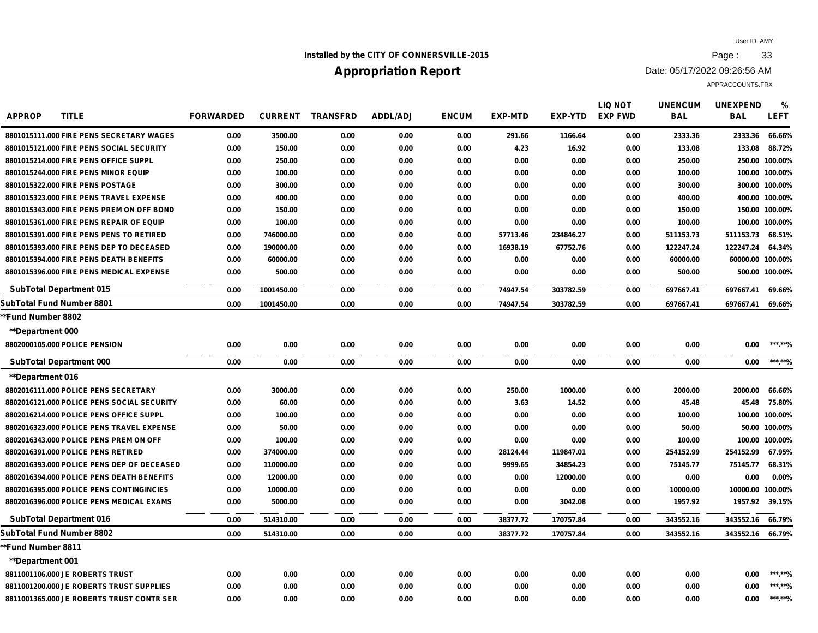## **Installed by the CITY OF CONNERSVILLE-2015 Page : 33**

# **Appropriation Report**

Date: 05/17/2022 09:26:56 AM

| <b>APPROP</b><br><b>TITLE</b>              | <b>FORWARDED</b> | <b>CURRENT</b> | <b>TRANSFRD</b> | <b>ADDL/ADJ</b> | <b>ENCUM</b> | <b>EXP-MTD</b> | EXP-YTD   | <b>LIQ NOT</b><br><b>EXP FWD</b> | <b>UNENCUM</b><br><b>BAL</b> | <b>UNEXPEND</b><br><b>BAL</b> | %<br><b>LEFT</b> |
|--------------------------------------------|------------------|----------------|-----------------|-----------------|--------------|----------------|-----------|----------------------------------|------------------------------|-------------------------------|------------------|
| 8801015111.000 FIRE PENS SECRETARY WAGES   | 0.00             | 3500.00        | 0.00            | 0.00            | 0.00         | 291.66         | 1166.64   | 0.00                             | 2333.36                      | 2333.36                       | 66.66%           |
| 8801015121.000 FIRE PENS SOCIAL SECURITY   | 0.00             | 150.00         | 0.00            | 0.00            | 0.00         | 4.23           | 16.92     | 0.00                             | 133.08                       | 133.08                        | 88.72%           |
| 8801015214,000 FIRE PENS OFFICE SUPPL      | 0.00             | 250.00         | 0.00            | 0.00            | 0.00         | 0.00           | 0.00      | 0.00                             | 250.00                       |                               | 250.00 100.00%   |
| 8801015244,000 FIRE PENS MINOR EQUIP       | 0.00             | 100.00         | 0.00            | 0.00            | 0.00         | 0.00           | 0.00      | 0.00                             | 100.00                       |                               | 100.00 100.00%   |
| 8801015322.000 FIRE PENS POSTAGE           | 0.00             | 300.00         | 0.00            | 0.00            | 0.00         | 0.00           | 0.00      | 0.00                             | 300.00                       |                               | 300.00 100.00%   |
| 8801015323.000 FIRE PENS TRAVEL EXPENSE    | 0.00             | 400.00         | 0.00            | 0.00            | 0.00         | 0.00           | 0.00      | 0.00                             | 400.00                       |                               | 400.00 100.00%   |
| 8801015343.000 FIRE PENS PREM ON OFF BOND  | 0.00             | 150.00         | 0.00            | 0.00            | 0.00         | 0.00           | 0.00      | 0.00                             | 150.00                       |                               | 150.00 100.00%   |
| 8801015361.000 FIRE PENS REPAIR OF EQUIP   | 0.00             | 100.00         | 0.00            | 0.00            | 0.00         | 0.00           | 0.00      | 0.00                             | 100.00                       |                               | 100.00 100.00%   |
| 8801015391.000 FIRE PENS PENS TO RETIRED   | 0.00             | 746000.00      | 0.00            | 0.00            | 0.00         | 57713.46       | 234846.27 | 0.00                             | 511153.73                    | 511153.73                     | 68.51%           |
| 8801015393.000 FIRE PENS DEP TO DECEASED   | 0.00             | 190000.00      | 0.00            | 0.00            | 0.00         | 16938.19       | 67752.76  | 0.00                             | 122247.24                    | 122247.24                     | 64.34%           |
| 8801015394.000 FIRE PENS DEATH BENEFITS    | 0.00             | 60000.00       | 0.00            | 0.00            | 0.00         | 0.00           | 0.00      | 0.00                             | 60000.00                     | 60000.00 100.00%              |                  |
| 8801015396.000 FIRE PENS MEDICAL EXPENSE   | 0.00             | 500.00         | 0.00            | 0.00            | 0.00         | 0.00           | 0.00      | 0.00                             | 500.00                       |                               | 500.00 100.00%   |
| <b>SubTotal Department 015</b>             | 0.00             | 1001450.00     | 0.00            | 0.00            | 0.00         | 74947.54       | 303782.59 | 0.00                             | 697667.41                    | 697667.41                     | 69.66%           |
| SubTotal Fund Number 8801                  | 0.00             | 1001450.00     | 0.00            | 0.00            | 0.00         | 74947.54       | 303782.59 | 0.00                             | 697667.41                    | 697667.41                     | 69.66%           |
| *Fund Number 8802                          |                  |                |                 |                 |              |                |           |                                  |                              |                               |                  |
| <b>**Department 000</b>                    |                  |                |                 |                 |              |                |           |                                  |                              |                               |                  |
| 8802000105.000 POLICE PENSION              | 0.00             | 0.00           | 0.00            | 0.00            | 0.00         | 0.00           | 0.00      | 0.00                             | 0.00                         | 0.00                          | ******%          |
| <b>SubTotal Department 000</b>             | 0.00             | 0.00           | 0.00            | 0.00            | 0.00         | 0.00           | 0.00      | 0.00                             | 0.00                         | 0.00                          | ***.**%          |
| <b>**Department 016</b>                    |                  |                |                 |                 |              |                |           |                                  |                              |                               |                  |
| 8802016111.000 POLICE PENS SECRETARY       | 0.00             | 3000.00        | 0.00            | 0.00            | 0.00         | 250.00         | 1000.00   | 0.00                             | 2000.00                      | 2000.00                       | 66.66%           |
| 8802016121.000 POLICE PENS SOCIAL SECURITY | 0.00             | 60.00          | 0.00            | 0.00            | 0.00         | 3.63           | 14.52     | 0.00                             | 45.48                        | 45.48                         | 75.80%           |
| 8802016214.000 POLICE PENS OFFICE SUPPL    | 0.00             | 100.00         | 0.00            | 0.00            | 0.00         | 0.00           | 0.00      | 0.00                             | 100.00                       |                               | 100.00 100.00%   |
| 8802016323.000 POLICE PENS TRAVEL EXPENSE  | 0.00             | 50.00          | 0.00            | 0.00            | 0.00         | 0.00           | 0.00      | 0.00                             | 50.00                        |                               | 50.00 100.00%    |
| 8802016343,000 POLICE PENS PREM ON OFF     | 0.00             | 100.00         | 0.00            | 0.00            | 0.00         | 0.00           | 0.00      | 0.00                             | 100.00                       |                               | 100.00 100.00%   |
| 8802016391.000 POLICE PENS RETIRED         | 0.00             | 374000.00      | 0.00            | 0.00            | 0.00         | 28124.44       | 119847.01 | 0.00                             | 254152.99                    | 254152.99                     | 67.95%           |
| 8802016393.000 POLICE PENS DEP OF DECEASED | 0.00             | 110000.00      | 0.00            | 0.00            | 0.00         | 9999.65        | 34854.23  | 0.00                             | 75145.77                     | 75145.77                      | 68.31%           |
| 8802016394.000 POLICE PENS DEATH BENEFITS  | 0.00             | 12000.00       | 0.00            | 0.00            | 0.00         | 0.00           | 12000.00  | 0.00                             | 0.00                         | 0.00                          | 0.00%            |
| 8802016395.000 POLICE PENS CONTINGINCIES   | 0.00             | 10000.00       | 0.00            | 0.00            | 0.00         | 0.00           | 0.00      | 0.00                             | 10000.00                     | 10000.00 100.00%              |                  |
| 8802016396.000 POLICE PENS MEDICAL EXAMS   | 0.00             | 5000.00        | 0.00            | 0.00            | 0.00         | 0.00           | 3042.08   | 0.00                             | 1957.92                      | 1957.92                       | 39.15%           |
| <b>SubTotal Department 016</b>             | 0.00             | 514310.00      | 0.00            | 0.00            | 0.00         | 38377.72       | 170757.84 | 0.00                             | 343552.16                    | 343552.16                     | 66.79%           |
| SubTotal Fund Number 8802                  | 0.00             | 514310.00      | 0.00            | 0.00            | 0.00         | 38377.72       | 170757.84 | 0.00                             | 343552.16                    | 343552.16 66.79%              |                  |
| *Fund Number 8811                          |                  |                |                 |                 |              |                |           |                                  |                              |                               |                  |
| **Department 001                           |                  |                |                 |                 |              |                |           |                                  |                              |                               |                  |
| 8811001106.000 JE ROBERTS TRUST            | 0.00             | 0.00           | 0.00            | 0.00            | 0.00         | 0.00           | 0.00      | 0.00                             | 0.00                         | 0.00                          | ***.**%          |
| 8811001200.000 JE ROBERTS TRUST SUPPLIES   | 0.00             | 0.00           | 0.00            | 0.00            | 0.00         | 0.00           | 0.00      | 0.00                             | 0.00                         | 0.00                          | ***.**%          |
| 8811001365.000 JE ROBERTS TRUST CONTR SER  | 0.00             | 0.00           | 0.00            | 0.00            | 0.00         | 0.00           | 0.00      | 0.00                             | 0.00                         | 0.00                          | *** **0/         |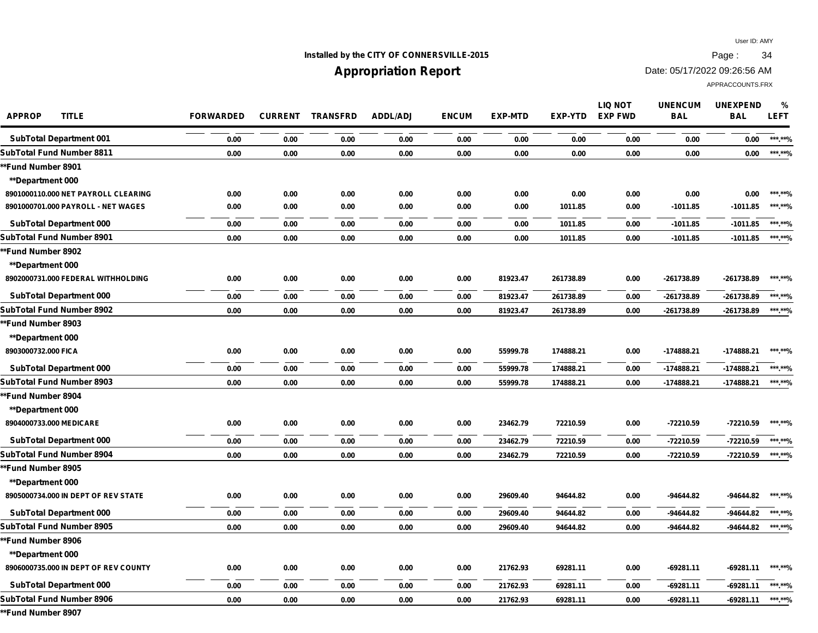## **Installed by the CITY OF CONNERSVILLE-2015 Page : 34**

# **Appropriation Report**

Date: 05/17/2022 09:26:56 AM

APPRACCOUNTS.FRX

| <b>APPROP</b><br><b>TITLE</b>        | <b>FORWARDED</b> | <b>CURRENT</b> | <b>TRANSFRD</b> | <b>ADDL/ADJ</b> | <b>ENCUM</b> | <b>EXP-MTD</b> | <b>EXP-YTD</b> | <b>LIQ NOT</b><br><b>EXP FWD</b> | <b>UNENCUM</b><br><b>BAL</b> | <b>UNEXPEND</b><br><b>BAL</b> | %<br><b>LEFT</b> |
|--------------------------------------|------------------|----------------|-----------------|-----------------|--------------|----------------|----------------|----------------------------------|------------------------------|-------------------------------|------------------|
| <b>SubTotal Department 001</b>       | 0.00             | 0.00           | 0.00            | 0.00            | 0.00         | 0.00           | 0.00           | 0.00                             | 0.00                         | 0.00                          | ***.**%          |
| SubTotal Fund Number 8811            | 0.00             | 0.00           | 0.00            | 0.00            | 0.00         | 0.00           | 0.00           | 0.00                             | 0.00                         | 0.00                          | ***.**%          |
| *Fund Number 8901                    |                  |                |                 |                 |              |                |                |                                  |                              |                               |                  |
| <b>**Department 000</b>              |                  |                |                 |                 |              |                |                |                                  |                              |                               |                  |
| 8901000110.000 NET PAYROLL CLEARING  | 0.00             | 0.00           | 0.00            | 0.00            | 0.00         | 0.00           | 0.00           | 0.00                             | 0.00                         | 0.00                          | *** **%          |
| 8901000701.000 PAYROLL - NET WAGES   | 0.00             | 0.00           | 0.00            | 0.00            | 0.00         | 0.00           | 1011.85        | 0.00                             | $-1011.85$                   | $-1011.85$                    | ***.**%          |
| <b>SubTotal Department 000</b>       | 0.00             | 0.00           | 0.00            | 0.00            | 0.00         | 0.00           | 1011.85        | 0.00                             | $-1011.85$                   | $-1011.85$                    | ***.**%          |
| SubTotal Fund Number 8901            | 0.00             | 0.00           | 0.00            | 0.00            | 0.00         | 0.00           | 1011.85        | 0.00                             | $-1011.85$                   | $-1011.85$                    | ***.**%          |
| *Fund Number 8902                    |                  |                |                 |                 |              |                |                |                                  |                              |                               |                  |
| <b>**Department 000</b>              |                  |                |                 |                 |              |                |                |                                  |                              |                               |                  |
| 8902000731.000 FEDERAL WITHHOLDING   | 0.00             | 0.00           | 0.00            | 0.00            | 0.00         | 81923.47       | 261738.89      | 0.00                             | -261738.89                   | -261738.89                    | ***.**%          |
| <b>SubTotal Department 000</b>       | 0.00             | 0.00           | 0.00            | 0.00            | 0.00         | 81923.47       | 261738.89      | 0.00                             | -261738.89                   | -261738.89                    | ***.**%          |
| SubTotal Fund Number 8902            | 0.00             | 0.00           | 0.00            | 0.00            | 0.00         | 81923.47       | 261738.89      | 0.00                             | -261738.89                   | -261738.89                    | ***.**%          |
| *Fund Number 8903                    |                  |                |                 |                 |              |                |                |                                  |                              |                               |                  |
| <b>**Department 000</b>              |                  |                |                 |                 |              |                |                |                                  |                              |                               |                  |
| 8903000732.000 FICA                  | 0.00             | 0.00           | 0.00            | 0.00            | 0.00         | 55999.78       | 174888.21      | 0.00                             | $-174888.21$                 | -174888.21                    | ***.**%          |
| <b>SubTotal Department 000</b>       | 0.00             | 0.00           | 0.00            | 0.00            | 0.00         | 55999.78       | 174888.21      | 0.00                             | $-174888.21$                 | -174888.21                    | ***.**%          |
| SubTotal Fund Number 8903            | 0.00             | 0.00           | 0.00            | 0.00            | 0.00         | 55999.78       | 174888.21      | 0.00                             | $-174888.21$                 | -174888.21                    | ***.**%          |
| *Fund Number 8904                    |                  |                |                 |                 |              |                |                |                                  |                              |                               |                  |
| <b>**Department 000</b>              |                  |                |                 |                 |              |                |                |                                  |                              |                               |                  |
| 8904000733.000 MEDICARE              | 0.00             | 0.00           | 0.00            | 0.00            | 0.00         | 23462.79       | 72210.59       | 0.00                             | -72210.59                    | -72210.59                     | *** **%          |
| <b>SubTotal Department 000</b>       | 0.00             | 0.00           | 0.00            | 0.00            | 0.00         | 23462.79       | 72210.59       | 0.00                             | -72210.59                    | -72210.59                     | ***.**%          |
| SubTotal Fund Number 8904            | 0.00             | 0.00           | 0.00            | 0.00            | 0.00         | 23462.79       | 72210.59       | 0.00                             | -72210.59                    | -72210.59                     | ******%          |
| *Fund Number 8905                    |                  |                |                 |                 |              |                |                |                                  |                              |                               |                  |
| <b>**Department 000</b>              |                  |                |                 |                 |              |                |                |                                  |                              |                               |                  |
| 8905000734.000 IN DEPT OF REV STATE  | 0.00             | 0.00           | 0.00            | 0.00            | 0.00         | 29609.40       | 94644.82       | 0.00                             | -94644.82                    | -94644.82                     | ***.**%          |
| <b>SubTotal Department 000</b>       | 0.00             | 0.00           | 0.00            | 0.00            | 0.00         | 29609.40       | 94644.82       | 0.00                             | -94644.82                    | -94644.82                     | ***.**%          |
| SubTotal Fund Number 8905            | 0.00             | 0.00           | 0.00            | 0.00            | 0.00         | 29609.40       | 94644.82       | 0.00                             | -94644.82                    | -94644.82                     | ***.**%          |
| *Fund Number 8906                    |                  |                |                 |                 |              |                |                |                                  |                              |                               |                  |
| <b>**Department 000</b>              |                  |                |                 |                 |              |                |                |                                  |                              |                               |                  |
| 8906000735.000 IN DEPT OF REV COUNTY | 0.00             | 0.00           | 0.00            | 0.00            | 0.00         | 21762.93       | 69281.11       | 0.00                             | -69281.11                    | $-69281.11$                   | ***.**%          |
| <b>SubTotal Department 000</b>       | 0.00             | 0.00           | 0.00            | 0.00            | 0.00         | 21762.93       | 69281.11       | 0.00                             | -69281.11                    | $-69281.11$                   | ***.**%          |
| SubTotal Fund Number 8906            | 0.00             | 0.00           | 0.00            | 0.00            | 0.00         | 21762.93       | 69281.11       | 0.00                             | -69281.11                    | $-69281.11$                   | ***.**%          |
|                                      |                  |                |                 |                 |              |                |                |                                  |                              |                               |                  |

**\*\*Fund Number 8907**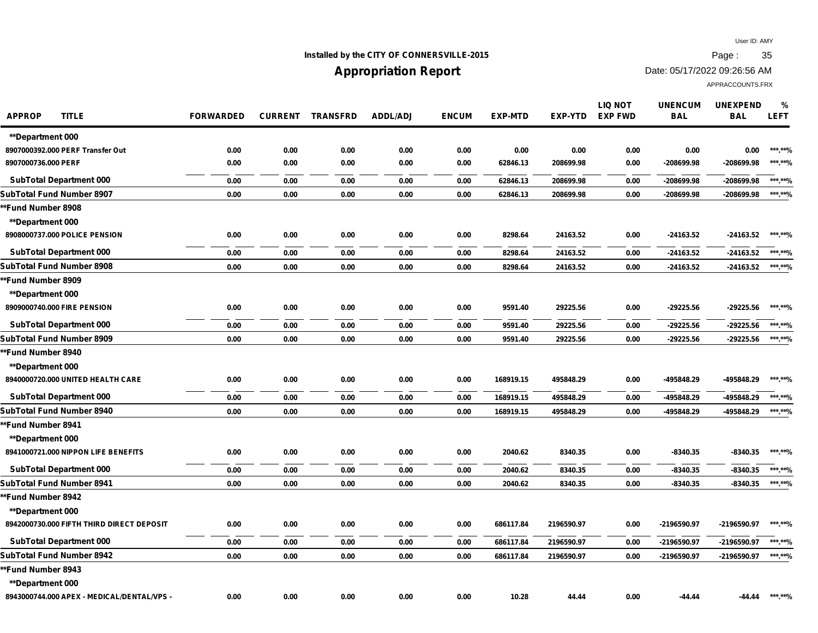## **Installed by the CITY OF CONNERSVILLE-2015 Page : 35**

# **Appropriation Report**

Date: 05/17/2022 09:26:56 AM

| <b>APPROP</b><br><b>TITLE</b>              | <b>FORWARDED</b> | <b>CURRENT</b> | <b>TRANSFRD</b> | <b>ADDL/ADJ</b> | <b>ENCUM</b> | <b>EXP-MTD</b> | <b>EXP-YTD</b> | <b>LIQ NOT</b><br><b>EXP FWD</b> | <b>UNENCUM</b><br><b>BAL</b> | <b>UNEXPEND</b><br><b>BAL</b> | %<br><b>LEFT</b> |
|--------------------------------------------|------------------|----------------|-----------------|-----------------|--------------|----------------|----------------|----------------------------------|------------------------------|-------------------------------|------------------|
| <b>**Department 000</b>                    |                  |                |                 |                 |              |                |                |                                  |                              |                               |                  |
| 8907000392.000 PERF Transfer Out           | 0.00             | 0.00           | 0.00            | 0.00            | 0.00         | 0.00           | 0.00           | 0.00                             | 0.00                         | 0.00                          | *** **%          |
| 8907000736.000 PERF                        | 0.00             | 0.00           | 0.00            | 0.00            | 0.00         | 62846.13       | 208699.98      | 0.00                             | -208699.98                   | -208699.98                    | ***.**%          |
| <b>SubTotal Department 000</b>             | 0.00             | 0.00           | 0.00            | 0.00            | 0.00         | 62846.13       | 208699.98      | 0.00                             | -208699.98                   | $-208699.98$                  | ******%          |
| SubTotal Fund Number 8907                  | 0.00             | 0.00           | 0.00            | 0.00            | 0.00         | 62846.13       | 208699.98      | 0.00                             | -208699.98                   | -208699.98                    | ***.**%          |
| *Fund Number 8908                          |                  |                |                 |                 |              |                |                |                                  |                              |                               |                  |
| **Department 000                           |                  |                |                 |                 |              |                |                |                                  |                              |                               |                  |
| 8908000737.000 POLICE PENSION              | 0.00             | 0.00           | 0.00            | 0.00            | 0.00         | 8298.64        | 24163.52       | 0.00                             | -24163.52                    | -24163.52                     | ***.**%          |
| <b>SubTotal Department 000</b>             | 0.00             | 0.00           | 0.00            | 0.00            | 0.00         | 8298.64        | 24163.52       | 0.00                             | -24163.52                    | -24163.52                     | ******%          |
| SubTotal Fund Number 8908                  | 0.00             | 0.00           | 0.00            | 0.00            | 0.00         | 8298.64        | 24163.52       | 0.00                             | -24163.52                    | -24163.52                     | ******%          |
| <b>Fund Number 8909</b>                    |                  |                |                 |                 |              |                |                |                                  |                              |                               |                  |
| <b>**Department 000</b>                    |                  |                |                 |                 |              |                |                |                                  |                              |                               |                  |
| 8909000740.000 FIRE PENSION                | 0.00             | 0.00           | 0.00            | 0.00            | 0.00         | 9591.40        | 29225.56       | 0.00                             | -29225.56                    | -29225.56                     | ***.**%          |
| <b>SubTotal Department 000</b>             | 0.00             | 0.00           | 0.00            | 0.00            | 0.00         | 9591.40        | 29225.56       | 0.00                             | -29225.56                    | -29225.56                     | ***.**%          |
| SubTotal Fund Number 8909                  | 0.00             | 0.00           | 0.00            | 0.00            | 0.00         | 9591.40        | 29225.56       | 0.00                             | -29225.56                    | -29225.56                     | ******%          |
| <b>*Fund Number 8940</b>                   |                  |                |                 |                 |              |                |                |                                  |                              |                               |                  |
| <b>**Department 000</b>                    |                  |                |                 |                 |              |                |                |                                  |                              |                               |                  |
| 8940000720.000 UNITED HEALTH CARE          | 0.00             | 0.00           | 0.00            | 0.00            | 0.00         | 168919.15      | 495848.29      | 0.00                             | -495848.29                   | -495848.29                    | ***.**%          |
| <b>SubTotal Department 000</b>             | 0.00             | 0.00           | 0.00            | 0.00            | 0.00         | 168919.15      | 495848.29      | 0.00                             | -495848.29                   | -495848.29                    | ******%          |
| SubTotal Fund Number 8940                  | 0.00             | 0.00           | 0.00            | 0.00            | 0.00         | 168919.15      | 495848.29      | 0.00                             | -495848.29                   | -495848.29                    | ***.**%          |
| *Fund Number 8941                          |                  |                |                 |                 |              |                |                |                                  |                              |                               |                  |
| <b>**Department 000</b>                    |                  |                |                 |                 |              |                |                |                                  |                              |                               |                  |
| 8941000721.000 NIPPON LIFE BENEFITS        | 0.00             | 0.00           | 0.00            | 0.00            | 0.00         | 2040.62        | 8340.35        | 0.00                             | $-8340.35$                   | $-8340.35$                    | ***.**%          |
| <b>SubTotal Department 000</b>             | 0.00             | 0.00           | 0.00            | 0.00            | 0.00         | 2040.62        | 8340.35        | 0.00                             | $-8340.35$                   | $-8340.35$                    | ***.**%          |
| SubTotal Fund Number 8941                  | 0.00             | 0.00           | 0.00            | 0.00            | 0.00         | 2040.62        | 8340.35        | 0.00                             | $-8340.35$                   | $-8340.35$                    | ***.**%          |
| *Fund Number 8942                          |                  |                |                 |                 |              |                |                |                                  |                              |                               |                  |
| <b>**Department 000</b>                    |                  |                |                 |                 |              |                |                |                                  |                              |                               |                  |
| 8942000730.000 FIFTH THIRD DIRECT DEPOSIT  | 0.00             | 0.00           | 0.00            | 0.00            | 0.00         | 686117.84      | 2196590.97     | 0.00                             | -2196590.97                  | -2196590.97                   | ***.**%          |
| <b>SubTotal Department 000</b>             | 0.00             | 0.00           | 0.00            | 0.00            | 0.00         | 686117.84      | 2196590.97     | 0.00                             | -2196590.97                  | -2196590.97                   | ******%          |
| SubTotal Fund Number 8942                  | 0.00             | 0.00           | 0.00            | 0.00            | 0.00         | 686117.84      | 2196590.97     | 0.00                             | -2196590.97                  | -2196590.97                   | ******%          |
| <b>Fund Number 8943</b> '                  |                  |                |                 |                 |              |                |                |                                  |                              |                               |                  |
| <b>**Department 000</b>                    |                  |                |                 |                 |              |                |                |                                  |                              |                               |                  |
| 8943000744.000 APEX - MEDICAL/DENTAL/VPS - | 0.00             | 0.00           | 0.00            | 0.00            | 0.00         | 10.28          | 44.44          | 0.00                             | $-44.44$                     | -44.44                        | ***.**%          |
|                                            |                  |                |                 |                 |              |                |                |                                  |                              |                               |                  |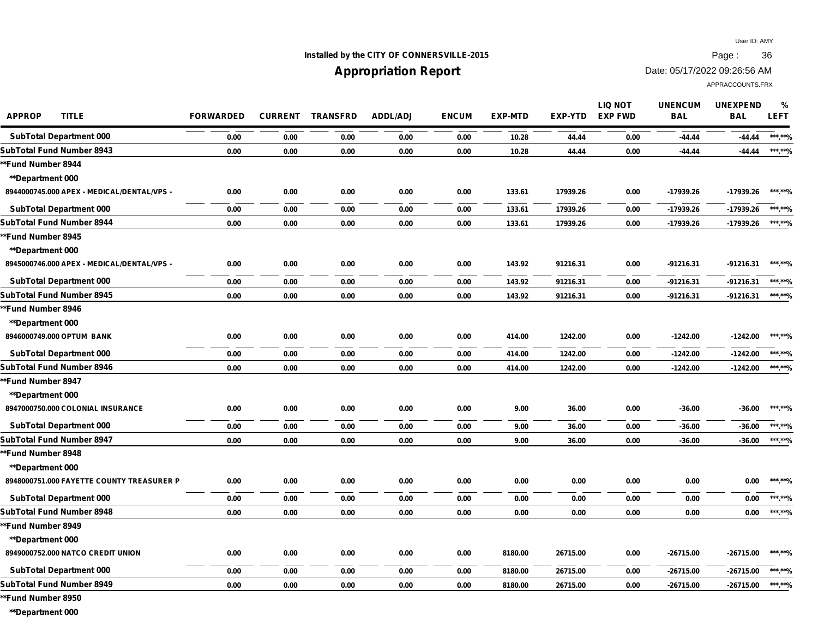## **Installed by the CITY OF CONNERSVILLE-2015 Page : 36**

## **Appropriation Report**

Date: 05/17/2022 09:26:56 AM

APPRACCOUNTS.FRX

| <b>APPROP</b><br><b>TITLE</b>              | <b>FORWARDED</b> | <b>CURRENT</b> | <b>TRANSFRD</b> | <b>ADDL/ADJ</b> | <b>ENCUM</b> | <b>EXP-MTD</b> | EXP-YTD  | <b>LIQ NOT</b><br><b>EXP FWD</b> | <b>UNENCUM</b><br><b>BAL</b> | <b>UNEXPEND</b><br><b>BAL</b> | %<br><b>LEFT</b> |
|--------------------------------------------|------------------|----------------|-----------------|-----------------|--------------|----------------|----------|----------------------------------|------------------------------|-------------------------------|------------------|
| <b>SubTotal Department 000</b>             | 0.00             | 0.00           | 0.00            | 0.00            | 0.00         | 10.28          | 44.44    | 0.00                             | $-44.44$                     | $-44.44$                      | ***.**%          |
| SubTotal Fund Number 8943                  | 0.00             | 0.00           | 0.00            | 0.00            | 0.00         | 10.28          | 44.44    | 0.00                             | $-44.44$                     | $-44.44$                      | ***.**%          |
| *Fund Number 8944                          |                  |                |                 |                 |              |                |          |                                  |                              |                               |                  |
| **Department 000                           |                  |                |                 |                 |              |                |          |                                  |                              |                               |                  |
| 8944000745.000 APEX - MEDICAL/DENTAL/VPS - | 0.00             | 0.00           | 0.00            | 0.00            | 0.00         | 133.61         | 17939.26 | 0.00                             | -17939.26                    | -17939.26                     | ***.**%          |
| <b>SubTotal Department 000</b>             | 0.00             | 0.00           | 0.00            | 0.00            | 0.00         | 133.61         | 17939.26 | 0.00                             | -17939.26                    | -17939.26                     | ***.**%          |
| <b>SubTotal Fund Number 8944</b>           | 0.00             | 0.00           | 0.00            | 0.00            | 0.00         | 133.61         | 17939.26 | 0.00                             | -17939.26                    | -17939.26                     | ***.**%          |
| *Fund Number 8945                          |                  |                |                 |                 |              |                |          |                                  |                              |                               |                  |
| **Department 000                           |                  |                |                 |                 |              |                |          |                                  |                              |                               |                  |
| 8945000746.000 APEX - MEDICAL/DENTAL/VPS - | 0.00             | 0.00           | 0.00            | 0.00            | 0.00         | 143.92         | 91216.31 | 0.00                             | $-91216.31$                  | $-91216.31$                   | ***.**%          |
| <b>SubTotal Department 000</b>             | 0.00             | 0.00           | 0.00            | 0.00            | 0.00         | 143.92         | 91216.31 | 0.00                             | -91216.31                    | -91216.31                     | ******%          |
| <b>SubTotal Fund Number 8945</b>           | 0.00             | 0.00           | 0.00            | 0.00            | 0.00         | 143.92         | 91216.31 | 0.00                             | -91216.31                    | -91216.31                     | ***.**%          |
| *Fund Number 8946                          |                  |                |                 |                 |              |                |          |                                  |                              |                               |                  |
| <b>**Department 000</b>                    |                  |                |                 |                 |              |                |          |                                  |                              |                               |                  |
| 8946000749.000 OPTUM BANK                  | 0.00             | 0.00           | 0.00            | 0.00            | 0.00         | 414.00         | 1242.00  | 0.00                             | $-1242.00$                   | $-1242.00$                    | ***.**%          |
| <b>SubTotal Department 000</b>             | 0.00             | 0.00           | 0.00            | 0.00            | 0.00         | 414.00         | 1242.00  | 0.00                             | $-1242.00$                   | $-1242.00$                    | ******%          |
| <b>SubTotal Fund Number 8946</b>           | 0.00             | 0.00           | 0.00            | 0.00            | 0.00         | 414.00         | 1242.00  | 0.00                             | $-1242.00$                   | $-1242.00$                    | ***.**%          |
| *Fund Number 8947                          |                  |                |                 |                 |              |                |          |                                  |                              |                               |                  |
| <b>**Department 000</b>                    |                  |                |                 |                 |              |                |          |                                  |                              |                               |                  |
| 8947000750.000 COLONIAL INSURANCE          | 0.00             | 0.00           | 0.00            | 0.00            | 0.00         | 9.00           | 36.00    | 0.00                             | $-36.00$                     | $-36.00$                      | ***.**%          |
| <b>SubTotal Department 000</b>             | 0.00             | 0.00           | 0.00            | 0.00            | 0.00         | 9.00           | 36.00    | 0.00                             | $-36.00$                     | $-36.00$                      | ******%          |
| SubTotal Fund Number 8947                  | 0.00             | 0.00           | 0.00            | 0.00            | 0.00         | 9.00           | 36.00    | 0.00                             | $-36.00$                     | $-36.00$                      | ***.**%          |
| *Fund Number 8948                          |                  |                |                 |                 |              |                |          |                                  |                              |                               |                  |
| **Department 000                           |                  |                |                 |                 |              |                |          |                                  |                              |                               |                  |
| 8948000751.000 FAYETTE COUNTY TREASURER P  | 0.00             | 0.00           | 0.00            | 0.00            | 0.00         | 0.00           | 0.00     | 0.00                             | 0.00                         | 0.00                          | ***.**%          |
| <b>SubTotal Department 000</b>             | 0.00             | 0.00           | 0.00            | 0.00            | 0.00         | 0.00           | 0.00     | 0.00                             | 0.00                         | 0.00                          | ***.**%          |
| <b>SubTotal Fund Number 8948</b>           | 0.00             | 0.00           | 0.00            | 0.00            | 0.00         | 0.00           | 0.00     | 0.00                             | 0.00                         | 0.00                          | ***.**%          |
| *Fund Number 8949                          |                  |                |                 |                 |              |                |          |                                  |                              |                               |                  |
| <b>**Department 000</b>                    |                  |                |                 |                 |              |                |          |                                  |                              |                               |                  |
| 8949000752.000 NATCO CREDIT UNION          | 0.00             | 0.00           | 0.00            | 0.00            | 0.00         | 8180.00        | 26715.00 | 0.00                             | $-26715.00$                  | -26715.00                     | ***.**%          |
| <b>SubTotal Department 000</b>             | 0.00             | 0.00           | 0.00            | 0.00            | 0.00         | 8180.00        | 26715.00 | 0.00                             | -26715.00                    | -26715.00                     | ******%          |
| <b>SubTotal Fund Number 8949</b>           | 0.00             | 0.00           | 0.00            | 0.00            | 0.00         | 8180.00        | 26715.00 | 0.00                             | -26715.00                    | -26715.00                     | ***.**%          |
|                                            |                  |                |                 |                 |              |                |          |                                  |                              |                               |                  |

**\*\*Fund Number 8950**

**\*\*Department 000**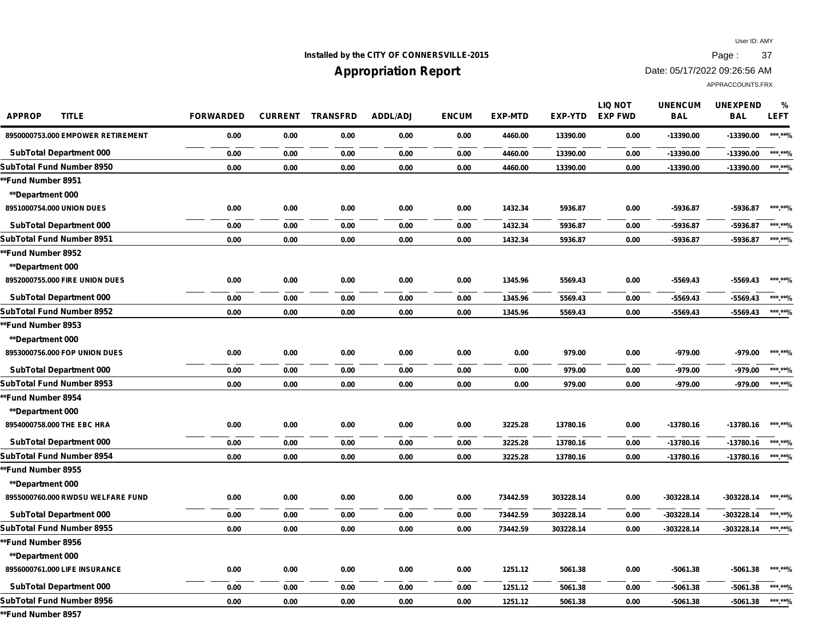## **Installed by the CITY OF CONNERSVILLE-2015 Page : 37**

## **Appropriation Report**

Date: 05/17/2022 09:26:56 AM

APPRACCOUNTS.FRX

| <b>APPROP</b><br><b>TITLE</b>     | <b>FORWARDED</b> | <b>CURRENT</b> | <b>TRANSFRD</b> | <b>ADDL/ADJ</b> | <b>ENCUM</b> | <b>EXP-MTD</b> | <b>EXP-YTD</b> | <b>LIQ NOT</b><br><b>EXP FWD</b> | <b>UNENCUM</b><br><b>BAL</b> | <b>UNEXPEND</b><br><b>BAL</b> | %<br><b>LEFT</b> |
|-----------------------------------|------------------|----------------|-----------------|-----------------|--------------|----------------|----------------|----------------------------------|------------------------------|-------------------------------|------------------|
| 8950000753.000 EMPOWER RETIREMENT | 0.00             | 0.00           | 0.00            | 0.00            | 0.00         | 4460.00        | 13390.00       | 0.00                             | -13390.00                    | -13390.00                     | ***.**%          |
| <b>SubTotal Department 000</b>    | 0.00             | 0.00           | 0.00            | 0.00            | 0.00         | 4460.00        | 13390.00       | 0.00                             | -13390.00                    | $-13390.00$                   | ***.**%          |
| SubTotal Fund Number 8950         | 0.00             | 0.00           | 0.00            | 0.00            | 0.00         | 4460.00        | 13390.00       | 0.00                             | -13390.00                    | -13390.00                     | ***.**%          |
| *Fund Number 8951                 |                  |                |                 |                 |              |                |                |                                  |                              |                               |                  |
| **Department 000                  |                  |                |                 |                 |              |                |                |                                  |                              |                               |                  |
| 8951000754.000 UNION DUES         | 0.00             | 0.00           | 0.00            | 0.00            | 0.00         | 1432.34        | 5936.87        | 0.00                             | -5936.87                     | $-5936.87$                    | ***.**%          |
| <b>SubTotal Department 000</b>    | 0.00             | 0.00           | 0.00            | 0.00            | 0.00         | 1432.34        | 5936.87        | 0.00                             | -5936.87                     | -5936.87                      | ***.**%          |
| SubTotal Fund Number 8951         | 0.00             | 0.00           | 0.00            | 0.00            | 0.00         | 1432.34        | 5936.87        | 0.00                             | -5936.87                     | $-5936.87$                    | ***.**%          |
| *Fund Number 8952                 |                  |                |                 |                 |              |                |                |                                  |                              |                               |                  |
| **Department 000                  |                  |                |                 |                 |              |                |                |                                  |                              |                               |                  |
| 8952000755.000 FIRE UNION DUES    | 0.00             | 0.00           | 0.00            | 0.00            | 0.00         | 1345.96        | 5569.43        | 0.00                             | $-5569.43$                   | $-5569.43$                    | ***.**%          |
| <b>SubTotal Department 000</b>    | 0.00             | 0.00           | 0.00            | 0.00            | 0.00         | 1345.96        | 5569.43        | 0.00                             | $-5569.43$                   | $-5569.43$                    | ***.**%          |
| SubTotal Fund Number 8952         | 0.00             | 0.00           | 0.00            | 0.00            | 0.00         | 1345.96        | 5569.43        | 0.00                             | $-5569.43$                   | $-5569.43$                    | ******%          |
| *Fund Number 8953                 |                  |                |                 |                 |              |                |                |                                  |                              |                               |                  |
| **Department 000                  |                  |                |                 |                 |              |                |                |                                  |                              |                               |                  |
| 8953000756.000 FOP UNION DUES     | 0.00             | 0.00           | 0.00            | 0.00            | 0.00         | 0.00           | 979.00         | 0.00                             | -979.00                      | -979.00                       | ***.**%          |
| <b>SubTotal Department 000</b>    | 0.00             | 0.00           | 0.00            | 0.00            | 0.00         | 0.00           | 979.00         | 0.00                             | $-979.00$                    | -979.00                       | ******%          |
| SubTotal Fund Number 8953         | 0.00             | 0.00           | 0.00            | 0.00            | 0.00         | 0.00           | 979.00         | 0.00                             | $-979.00$                    | -979.00                       | ******%          |
| *Fund Number 8954                 |                  |                |                 |                 |              |                |                |                                  |                              |                               |                  |
| **Department 000                  |                  |                |                 |                 |              |                |                |                                  |                              |                               |                  |
| 8954000758.000 THE EBC HRA        | 0.00             | 0.00           | 0.00            | 0.00            | 0.00         | 3225.28        | 13780.16       | 0.00                             | $-13780.16$                  | -13780.16                     | ******%          |
| <b>SubTotal Department 000</b>    | 0.00             | 0.00           | 0.00            | 0.00            | 0.00         | 3225.28        | 13780.16       | 0.00                             | -13780.16                    | -13780.16                     | ***.**%          |
| SubTotal Fund Number 8954         | 0.00             | 0.00           | 0.00            | 0.00            | 0.00         | 3225.28        | 13780.16       | 0.00                             | -13780.16                    | -13780.16                     | ***.**%          |
| *Fund Number 8955                 |                  |                |                 |                 |              |                |                |                                  |                              |                               |                  |
| <b>**Department 000</b>           |                  |                |                 |                 |              |                |                |                                  |                              |                               |                  |
| 8955000760.000 RWDSU WELFARE FUND | 0.00             | 0.00           | 0.00            | 0.00            | 0.00         | 73442.59       | 303228.14      | 0.00                             | $-303228.14$                 | -303228.14                    | ***.**%          |
| <b>SubTotal Department 000</b>    | 0.00             | 0.00           | 0.00            | 0.00            | 0.00         | 73442.59       | 303228.14      | 0.00                             | -303228.14                   | -303228.14                    | ***.**%          |
| SubTotal Fund Number 8955         | 0.00             | 0.00           | 0.00            | 0.00            | 0.00         | 73442.59       | 303228.14      | 0.00                             | -303228.14                   | -303228.14                    | ***.**%          |
| *Fund Number 8956                 |                  |                |                 |                 |              |                |                |                                  |                              |                               |                  |
| **Department 000                  |                  |                |                 |                 |              |                |                |                                  |                              |                               |                  |
| 8956000761.000 LIFE INSURANCE     | 0.00             | 0.00           | 0.00            | 0.00            | 0.00         | 1251.12        | 5061.38        | 0.00                             | $-5061.38$                   | $-5061.38$                    | *** **%          |
| <b>SubTotal Department 000</b>    | 0.00             | 0.00           | 0.00            | 0.00            | 0.00         | 1251.12        | 5061.38        | 0.00                             | $-5061.38$                   | $-5061.38$                    | ***.**%          |
| SubTotal Fund Number 8956         | 0.00             | 0.00           | 0.00            | 0.00            | 0.00         | 1251.12        | 5061.38        | 0.00                             | $-5061.38$                   | -5061.38                      | ******%          |
|                                   |                  |                |                 |                 |              |                |                |                                  |                              |                               |                  |

**\*\*Fund Number 8957**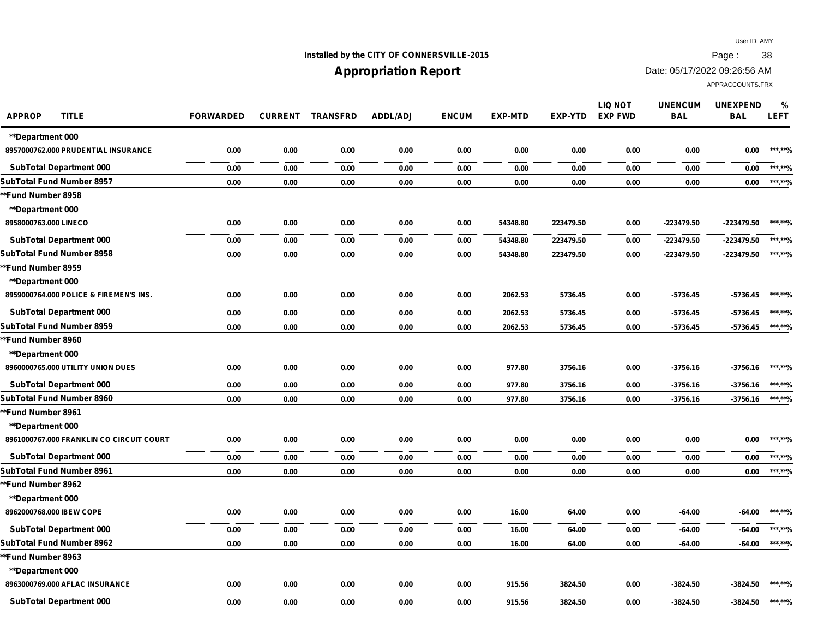**%**

### **Installed by the CITY OF CONNERSVILLE-2015 Page : 38**

### **Appropriation Report**

Date: 05/17/2022 09:26:56 AM

APPRACCOUNTS.FRX

**APPROP TITLE FORWARDED CURRENT TRANSFRD ADDL/ADJ ENCUM EXP-MTD EXP-YTD UNENCUM BAL UNEXPEND BAL LEFT LIQ NOT EXP FWD \*\*Department 000 8957000762.000 PRUDENTIAL INSURANCE 0.00 0.00 0.00 0.00 0.00 0.00 0.00 0.00 0.00 0.00 \*\*\*.\*\*% SubTotal Department 000 0.00 0.00 0.00 0.00 0.00 0.00 0.00 0.00 0.00 0.00 \*\*\*.\*\*% SubTotal Fund Number 8957 0.00 0.00 0.00 0.00 0.00 0.00 0.00 0.00 0.00 0.00 \*\*\*.\*\*% \*\*Fund Number 8958 \*\*Department 000 8958000763.000 LINECO 0.00 0.00 0.00 0.00 0.00 54348.80 223479.50 0.00 -223479.50 -223479.50 \*\*\*.\*\*% SubTotal Department 000 0.00 0.00 0.00 0.00 0.00 54348.80 223479.50 0.00 -223479.50 -223479.50 \*\*\*.\*\*% SubTotal Fund Number 8958 0.00 0.00 0.00 0.00 0.00 54348.80 223479.50 0.00 -223479.50 -223479.50 \*\*\*.\*\*% \*\*Fund Number 8959 \*\*Department 000 8959000764.000 POLICE & FIREMEN'S INS. 0.00 0.00 0.00 0.00 0.00 2062.53 5736.45 0.00 -5736.45 -5736.45 \*\*\*.\*\*% SubTotal Department 000 0.00 0.00 0.00 0.00 0.00 2062.53 5736.45 0.00 -5736.45 -5736.45 \*\*\*.\*\*% SubTotal Fund Number 8959 0.00 0.00 0.00 0.00 0.00 2062.53 5736.45 0.00 -5736.45 -5736.45 \*\*\*.\*\*% \*\*Fund Number 8960 \*\*Department 000 8960000765.000 UTILITY UNION DUES 0.00 0.00 0.00 0.00 0.00 977.80 3756.16 0.00 -3756.16 -3756.16 \*\*\*.\*\*% SubTotal Department 000 0.00 0.00 0.00 0.00 0.00 977.80 3756.16 0.00 -3756.16 -3756.16 \*\*\*.\*\*% SubTotal Fund Number 8960 0.00 0.00 0.00 0.00 0.00 977.80 3756.16 0.00 -3756.16 -3756.16 \*\*\*.\*\*% \*\*Fund Number 8961 \*\*Department 000 8961000767.000 FRANKLIN CO CIRCUIT COURT 0.00 0.00 0.00 0.00 0.00 0.00 0.00 0.00 0.00 0.00 \*\*\*.\*\*% SubTotal Department 000 0.00 0.00 0.00 0.00 0.00 0.00 0.00 0.00 0.00 0.00 \*\*\*.\*\*% SubTotal Fund Number 8961 0.00 0.00 0.00 0.00 0.00 0.00 0.00 0.00 0.00 0.00 \*\*\*.\*\*% \*\*Fund Number 8962 \*\*Department 000 8962000768.000 IBEW COPE 0.00 0.00 0.00 0.00 0.00 16.00 64.00 0.00 -64.00 -64.00 \*\*\*.\*\*% SubTotal Department 000 0.00 0.00 0.00 0.00 0.00 16.00 64.00 0.00 -64.00 -64.00 \*\*\*.\*\*% SubTotal Fund Number 8962 0.00 0.00 0.00 0.00 0.00 16.00 64.00 0.00 -64.00 -64.00 \*\*\*.\*\*% \*\*Fund Number 8963 \*\*Department 000 8963000769.000 AFLAC INSURANCE 0.00 0.00 0.00 0.00 0.00 915.56 3824.50 0.00 -3824.50 -3824.50 \*\*\*.\*\*%**

**SubTotal Department 000 0.00 0.00 0.00 0.00 0.00 915.56 3824.50 0.00 -3824.50 -3824.50 \*\*\*.\*\*%**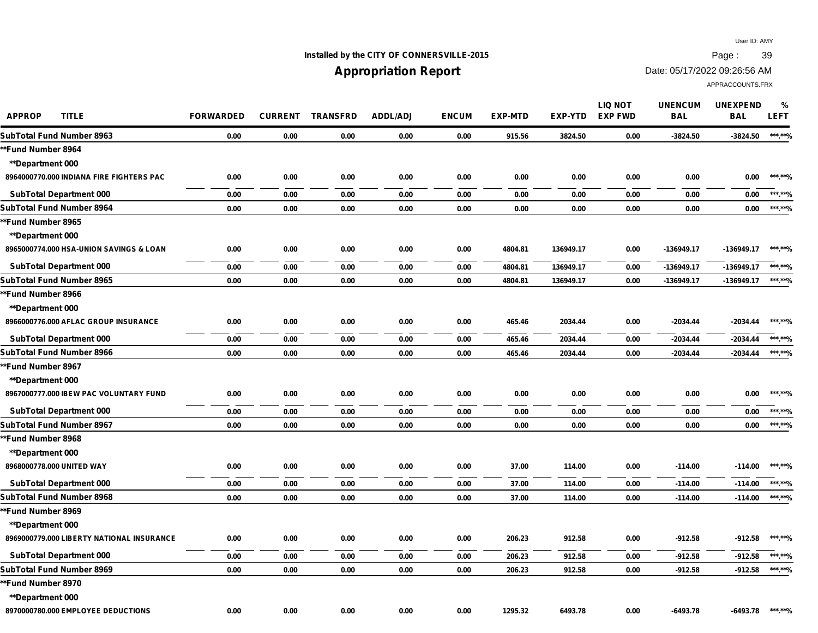## **Installed by the CITY OF CONNERSVILLE-2015 Page : 39**

# **Appropriation Report**

Date: 05/17/2022 09:26:56 AM

| <b>APPROP</b><br><b>TITLE</b>             | <b>FORWARDED</b> | <b>CURRENT</b> | <b>TRANSFRD</b> | <b>ADDL/ADJ</b> | <b>ENCUM</b> | <b>EXP-MTD</b> | <b>EXP-YTD</b> | <b>LIQ NOT</b><br><b>EXP FWD</b> | <b>UNENCUM</b><br><b>BAL</b> | <b>UNEXPEND</b><br><b>BAL</b> | $\frac{9}{6}$<br><b>LEFT</b> |
|-------------------------------------------|------------------|----------------|-----------------|-----------------|--------------|----------------|----------------|----------------------------------|------------------------------|-------------------------------|------------------------------|
| SubTotal Fund Number 8963                 | 0.00             | 0.00           | 0.00            | 0.00            | 0.00         | 915.56         | 3824.50        | 0.00                             | $-3824.50$                   | $-3824.50$                    | ***.**%                      |
| *Fund Number 8964                         |                  |                |                 |                 |              |                |                |                                  |                              |                               |                              |
| <b>**Department 000</b>                   |                  |                |                 |                 |              |                |                |                                  |                              |                               |                              |
| 8964000770.000 INDIANA FIRE FIGHTERS PAC  | 0.00             | 0.00           | 0.00            | 0.00            | 0.00         | 0.00           | 0.00           | 0.00                             | 0.00                         | 0.00                          | ***.**%                      |
| <b>SubTotal Department 000</b>            | 0.00             | 0.00           | 0.00            | 0.00            | 0.00         | 0.00           | 0.00           | 0.00                             | 0.00                         | 0.00                          | ***.**%                      |
| SubTotal Fund Number 8964                 | 0.00             | 0.00           | 0.00            | 0.00            | 0.00         | 0.00           | 0.00           | 0.00                             | 0.00                         | 0.00                          | ******%                      |
| *Fund Number 8965                         |                  |                |                 |                 |              |                |                |                                  |                              |                               |                              |
| <b>**Department 000</b>                   |                  |                |                 |                 |              |                |                |                                  |                              |                               |                              |
| 8965000774.000 HSA-UNION SAVINGS & LOAN   | 0.00             | 0.00           | 0.00            | 0.00            | 0.00         | 4804.81        | 136949.17      | 0.00                             | -136949.17                   | -136949.17                    | ***.**%                      |
| <b>SubTotal Department 000</b>            | 0.00             | 0.00           | 0.00            | 0.00            | 0.00         | 4804.81        | 136949.17      | 0.00                             | -136949.17                   | $-136949.17$                  | ***.**%                      |
| SubTotal Fund Number 8965                 | 0.00             | 0.00           | 0.00            | 0.00            | 0.00         | 4804.81        | 136949.17      | 0.00                             | -136949.17                   | -136949.17                    | ***.**%                      |
| *Fund Number 8966                         |                  |                |                 |                 |              |                |                |                                  |                              |                               |                              |
| <b>**Department 000</b>                   |                  |                |                 |                 |              |                |                |                                  |                              |                               |                              |
| 8966000776.000 AFLAC GROUP INSURANCE      | 0.00             | 0.00           | 0.00            | 0.00            | 0.00         | 465.46         | 2034.44        | 0.00                             | $-2034.44$                   | $-2034.44$                    | ***.**%                      |
| <b>SubTotal Department 000</b>            | 0.00             | 0.00           | 0.00            | 0.00            | 0.00         | 465.46         | 2034.44        | 0.00                             | $-2034.44$                   | $-2034.44$                    | ***.**%                      |
| SubTotal Fund Number 8966                 | 0.00             | 0.00           | 0.00            | 0.00            | 0.00         | 465.46         | 2034.44        | 0.00                             | $-2034.44$                   | $-2034.44$                    | ***.**%                      |
| **Fund Number 8967                        |                  |                |                 |                 |              |                |                |                                  |                              |                               |                              |
| <b>**Department 000</b>                   |                  |                |                 |                 |              |                |                |                                  |                              |                               |                              |
| 8967000777.000 IBEW PAC VOLUNTARY FUND    | 0.00             | 0.00           | 0.00            | 0.00            | 0.00         | 0.00           | 0.00           | 0.00                             | 0.00                         | 0.00                          | ***.**%                      |
| <b>SubTotal Department 000</b>            | 0.00             | 0.00           | 0.00            | 0.00            | 0.00         | 0.00           | 0.00           | 0.00                             | 0.00                         | 0.00                          | ***.**%                      |
| SubTotal Fund Number 8967                 | 0.00             | 0.00           | 0.00            | 0.00            | 0.00         | 0.00           | 0.00           | 0.00                             | 0.00                         | 0.00                          | ***.**%                      |
| *Fund Number 8968                         |                  |                |                 |                 |              |                |                |                                  |                              |                               |                              |
| <b>**Department 000</b>                   |                  |                |                 |                 |              |                |                |                                  |                              |                               |                              |
| 8968000778.000 UNITED WAY                 | 0.00             | 0.00           | 0.00            | 0.00            | 0.00         | 37.00          | 114.00         | 0.00                             | $-114.00$                    | $-114.00$                     | ***.**%                      |
| <b>SubTotal Department 000</b>            | 0.00             | 0.00           | 0.00            | 0.00            | 0.00         | 37.00          | 114.00         | 0.00                             | $-114.00$                    | -114.00                       | ***.**%                      |
| SubTotal Fund Number 8968                 | 0.00             | 0.00           | 0.00            | 0.00            | 0.00         | 37.00          | 114.00         | 0.00                             | $-114.00$                    | $-114.00$                     | ***.**%                      |
| **Fund Number 8969                        |                  |                |                 |                 |              |                |                |                                  |                              |                               |                              |
| <b>**Department 000</b>                   |                  |                |                 |                 |              |                |                |                                  |                              |                               |                              |
| 8969000779.000 LIBERTY NATIONAL INSURANCE | 0.00             | 0.00           | 0.00            | 0.00            | 0.00         | 206.23         | 912.58         | 0.00                             | $-912.58$                    | -912.58                       | ***.**%                      |
| <b>SubTotal Department 000</b>            | 0.00             | 0.00           | 0.00            | 0.00            | 0.00         | 206.23         | 912.58         | 0.00                             | $-912.58$                    | $-912.58$                     | *** **%                      |
| SubTotal Fund Number 8969                 | 0.00             | 0.00           | 0.00            | 0.00            | 0.00         | 206.23         | 912.58         | 0.00                             | $-912.58$                    | -912.58                       | ***.**%                      |
| *Fund Number 8970                         |                  |                |                 |                 |              |                |                |                                  |                              |                               |                              |
| <b>**Department 000</b>                   |                  |                |                 |                 |              |                |                |                                  |                              |                               |                              |
| 8970000780.000 EMPLOYEE DEDUCTIONS        | 0.00             | 0.00           | 0.00            | 0.00            | 0.00         | 1295.32        | 6493.78        | 0.00                             | $-6493.78$                   | -6493.78                      | ***.**%                      |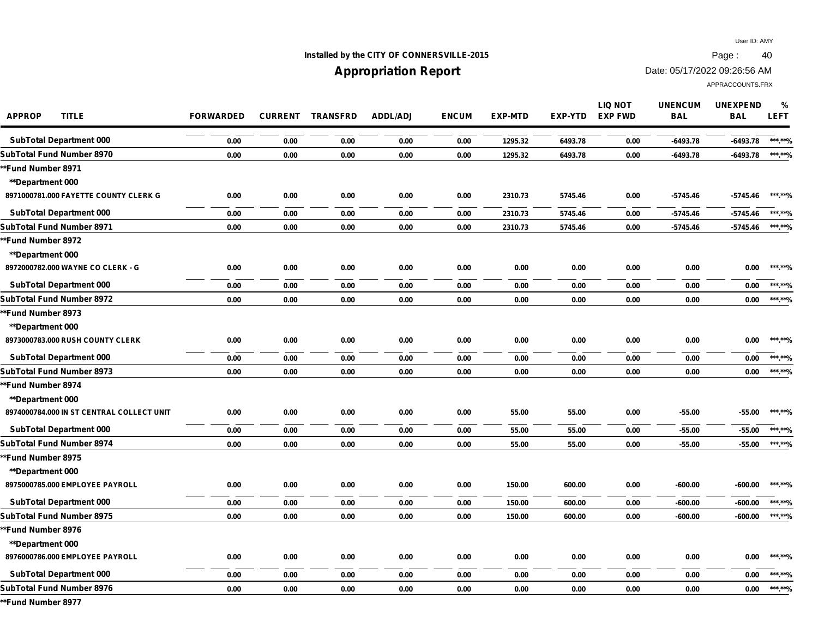## **Installed by the CITY OF CONNERSVILLE-2015 Page : 40**

## **Appropriation Report**

Date: 05/17/2022 09:26:56 AM

| <b>APPROP</b><br><b>TITLE</b>             | <b>FORWARDED</b> | <b>CURRENT</b> | <b>TRANSFRD</b> | ADDL/ADJ | <b>ENCUM</b> | <b>EXP-MTD</b> | <b>EXP-YTD</b> | <b>LIQ NOT</b><br><b>EXP FWD</b> | <b>UNENCUM</b><br><b>BAL</b> | <b>UNEXPEND</b><br><b>BAL</b> | %<br><b>LEFT</b> |
|-------------------------------------------|------------------|----------------|-----------------|----------|--------------|----------------|----------------|----------------------------------|------------------------------|-------------------------------|------------------|
| <b>SubTotal Department 000</b>            | 0.00             | 0.00           | 0.00            | 0.00     | 0.00         | 1295.32        | 6493.78        | 0.00                             | $-6493.78$                   | $-6493.78$                    | ******%          |
| SubTotal Fund Number 8970                 | 0.00             | 0.00           | 0.00            | 0.00     | 0.00         | 1295.32        | 6493.78        | 0.00                             | $-6493.78$                   | -6493.78                      | ***.**%          |
| *Fund Number 8971                         |                  |                |                 |          |              |                |                |                                  |                              |                               |                  |
| <b>**Department 000</b>                   |                  |                |                 |          |              |                |                |                                  |                              |                               |                  |
| 8971000781.000 FAYETTE COUNTY CLERK G     | 0.00             | 0.00           | 0.00            | 0.00     | 0.00         | 2310.73        | 5745.46        | 0.00                             | $-5745.46$                   | -5745.46                      | ***.**%          |
| <b>SubTotal Department 000</b>            | 0.00             | 0.00           | 0.00            | 0.00     | 0.00         | 2310.73        | 5745.46        | 0.00                             | $-5745.46$                   | $-5745.46$                    | ***.**%          |
| SubTotal Fund Number 8971                 | 0.00             | 0.00           | 0.00            | 0.00     | 0.00         | 2310.73        | 5745.46        | 0.00                             | $-5745.46$                   | -5745.46                      | ***.**%          |
| *Fund Number 8972                         |                  |                |                 |          |              |                |                |                                  |                              |                               |                  |
| <b>**Department 000</b>                   |                  |                |                 |          |              |                |                |                                  |                              |                               |                  |
| 8972000782.000 WAYNE CO CLERK - G         | 0.00             | 0.00           | 0.00            | 0.00     | 0.00         | 0.00           | 0.00           | 0.00                             | 0.00                         | 0.00                          | ******%          |
| <b>SubTotal Department 000</b>            | 0.00             | 0.00           | 0.00            | 0.00     | 0.00         | 0.00           | 0.00           | 0.00                             | 0.00                         | 0.00                          | *** **%          |
| SubTotal Fund Number 8972                 | 0.00             | 0.00           | 0.00            | 0.00     | 0.00         | 0.00           | 0.00           | 0.00                             | 0.00                         | 0.00                          | ***.**%          |
| *Fund Number 8973                         |                  |                |                 |          |              |                |                |                                  |                              |                               |                  |
| **Department 000                          |                  |                |                 |          |              |                |                |                                  |                              |                               |                  |
| 8973000783.000 RUSH COUNTY CLERK          | 0.00             | 0.00           | 0.00            | 0.00     | 0.00         | 0.00           | 0.00           | 0.00                             | 0.00                         | 0.00                          | ******%          |
| <b>SubTotal Department 000</b>            | 0.00             | 0.00           | 0.00            | 0.00     | 0.00         | 0.00           | 0.00           | 0.00                             | 0.00                         | 0.00                          | ***.**%          |
| SubTotal Fund Number 8973                 | 0.00             | 0.00           | 0.00            | 0.00     | 0.00         | 0.00           | 0.00           | 0.00                             | 0.00                         | 0.00                          | ***.**%          |
| *Fund Number 8974                         |                  |                |                 |          |              |                |                |                                  |                              |                               |                  |
| <b>**Department 000</b>                   |                  |                |                 |          |              |                |                |                                  |                              |                               |                  |
| 8974000784.000 IN ST CENTRAL COLLECT UNIT | 0.00             | 0.00           | 0.00            | 0.00     | 0.00         | 55.00          | 55.00          | 0.00                             | $-55.00$                     | $-55.00$                      | ***.**%          |
| <b>SubTotal Department 000</b>            | 0.00             | 0.00           | 0.00            | 0.00     | 0.00         | 55.00          | 55.00          | 0.00                             | $-55.00$                     | $-55.00$                      | ***.**%          |
| SubTotal Fund Number 8974                 | 0.00             | 0.00           | 0.00            | 0.00     | 0.00         | 55.00          | 55.00          | 0.00                             | $-55.00$                     | $-55.00$                      | *** **%          |
| *Fund Number 8975                         |                  |                |                 |          |              |                |                |                                  |                              |                               |                  |
| <b>**Department 000</b>                   |                  |                |                 |          |              |                |                |                                  |                              |                               |                  |
| 8975000785.000 EMPLOYEE PAYROLL           | 0.00             | 0.00           | 0.00            | 0.00     | 0.00         | 150.00         | 600.00         | 0.00                             | -600.00                      | -600.00                       | ***.**%          |
| <b>SubTotal Department 000</b>            | 0.00             | 0.00           | 0.00            | 0.00     | 0.00         | 150.00         | 600.00         | 0.00                             | $-600.00$                    | -600.00                       | ******%          |
| SubTotal Fund Number 8975                 | 0.00             | 0.00           | 0.00            | 0.00     | 0.00         | 150.00         | 600.00         | 0.00                             | $-600.00$                    | -600.00                       | ***.**%          |
| *Fund Number 8976                         |                  |                |                 |          |              |                |                |                                  |                              |                               |                  |
| <b>**Department 000</b>                   |                  |                |                 |          |              |                |                |                                  |                              |                               |                  |
| 8976000786.000 EMPLOYEE PAYROLL           | 0.00             | 0.00           | 0.00            | 0.00     | 0.00         | 0.00           | 0.00           | 0.00                             | 0.00                         | 0.00                          | ***.**%          |
| <b>SubTotal Department 000</b>            | 0.00             | 0.00           | 0.00            | 0.00     | 0.00         | 0.00           | 0.00           | 0.00                             | 0.00                         | 0.00                          | *** **%          |
| SubTotal Fund Number 8976                 | 0.00             | 0.00           | 0.00            | 0.00     | 0.00         | 0.00           | 0.00           | 0.00                             | 0.00                         | 0.00                          | ***.**%          |
| *Fund Number 8977                         |                  |                |                 |          |              |                |                |                                  |                              |                               |                  |